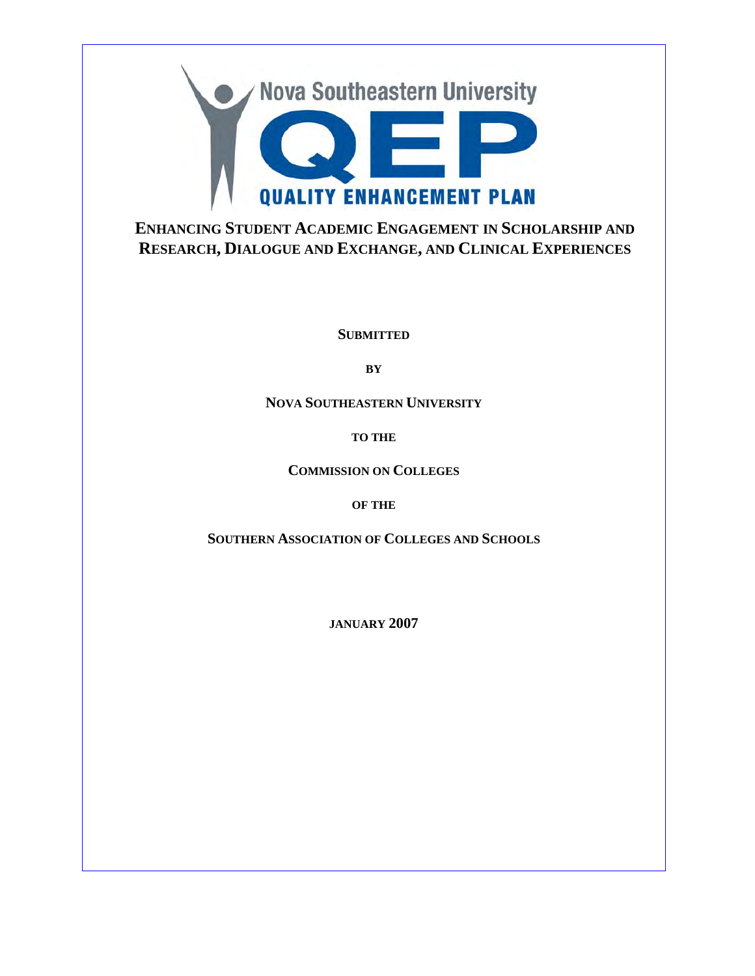

**ENHANCING STUDENT ACADEMIC ENGAGEMENT IN SCHOLARSHIP AND RESEARCH, DIALOGUE AND EXCHANGE, AND CLINICAL EXPERIENCES**

**SUBMITTED**

**BY**

**NOVA SOUTHEASTERN UNIVERSITY**

**TO THE**

**COMMISSION ON COLLEGES**

**OF THE**

**SOUTHERN ASSOCIATION OF COLLEGES AND SCHOOLS**

**JANUARY 2007**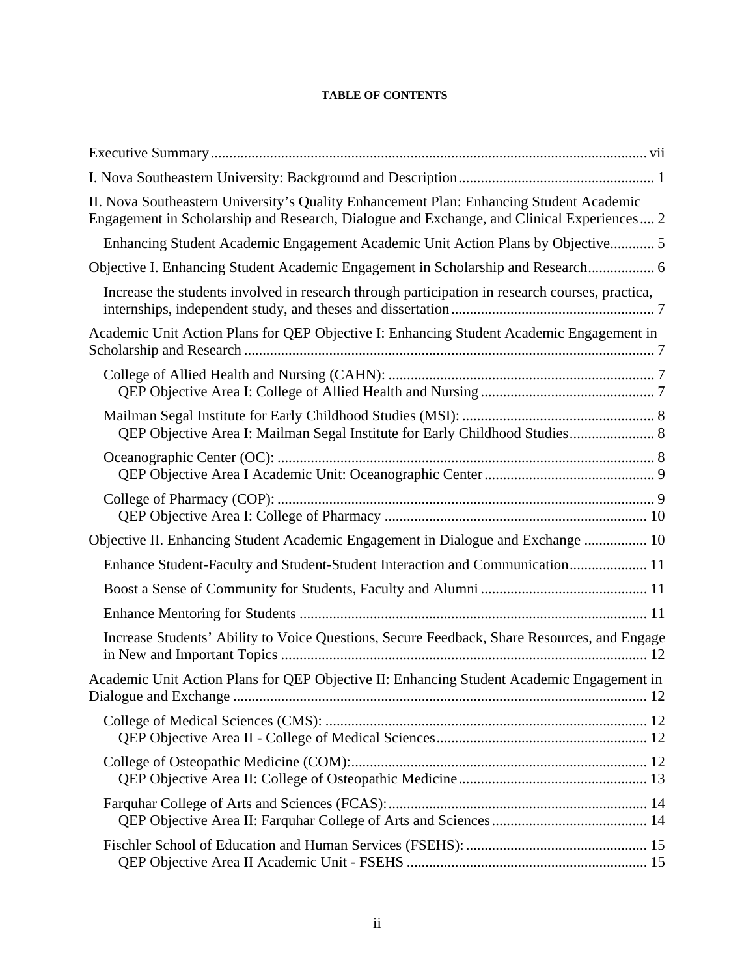#### **TABLE OF CONTENTS**

| II. Nova Southeastern University's Quality Enhancement Plan: Enhancing Student Academic<br>Engagement in Scholarship and Research, Dialogue and Exchange, and Clinical Experiences 2 |
|--------------------------------------------------------------------------------------------------------------------------------------------------------------------------------------|
| Enhancing Student Academic Engagement Academic Unit Action Plans by Objective 5                                                                                                      |
| Objective I. Enhancing Student Academic Engagement in Scholarship and Research 6                                                                                                     |
| Increase the students involved in research through participation in research courses, practica,                                                                                      |
| Academic Unit Action Plans for QEP Objective I: Enhancing Student Academic Engagement in                                                                                             |
|                                                                                                                                                                                      |
| QEP Objective Area I: Mailman Segal Institute for Early Childhood Studies 8                                                                                                          |
|                                                                                                                                                                                      |
|                                                                                                                                                                                      |
| Objective II. Enhancing Student Academic Engagement in Dialogue and Exchange  10                                                                                                     |
| Enhance Student-Faculty and Student-Student Interaction and Communication 11                                                                                                         |
|                                                                                                                                                                                      |
|                                                                                                                                                                                      |
| Increase Students' Ability to Voice Questions, Secure Feedback, Share Resources, and Engage                                                                                          |
| Academic Unit Action Plans for QEP Objective II: Enhancing Student Academic Engagement in                                                                                            |
|                                                                                                                                                                                      |
|                                                                                                                                                                                      |
|                                                                                                                                                                                      |
|                                                                                                                                                                                      |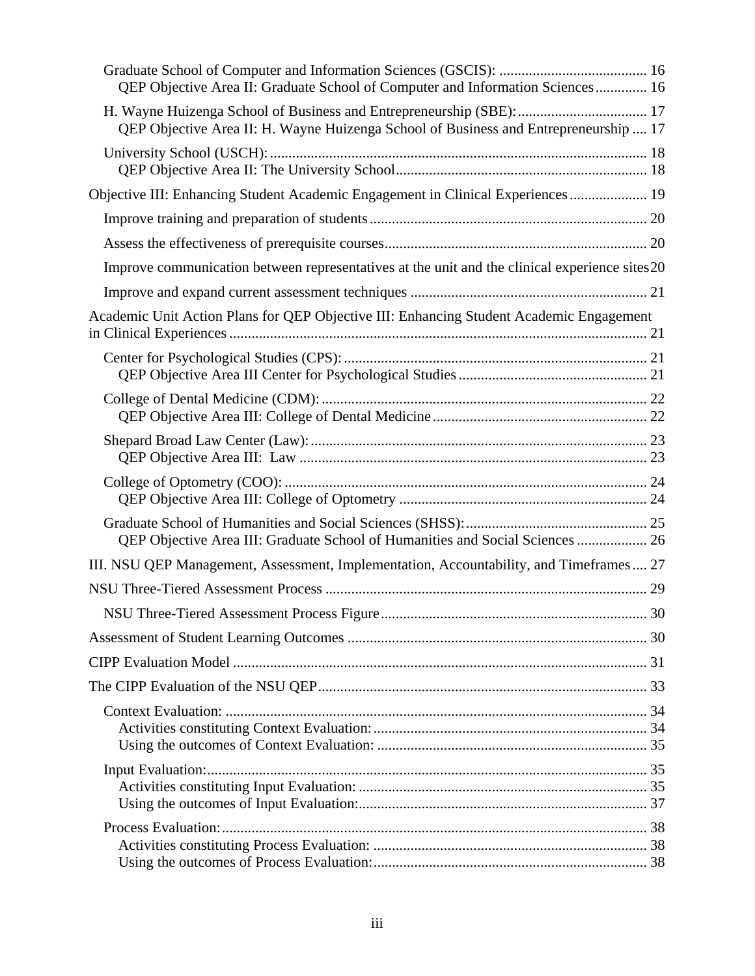| QEP Objective Area II: Graduate School of Computer and Information Sciences 16                 |  |
|------------------------------------------------------------------------------------------------|--|
| QEP Objective Area II: H. Wayne Huizenga School of Business and Entrepreneurship  17           |  |
|                                                                                                |  |
| Objective III: Enhancing Student Academic Engagement in Clinical Experiences  19               |  |
|                                                                                                |  |
|                                                                                                |  |
| Improve communication between representatives at the unit and the clinical experience sites 20 |  |
|                                                                                                |  |
| Academic Unit Action Plans for QEP Objective III: Enhancing Student Academic Engagement        |  |
|                                                                                                |  |
|                                                                                                |  |
|                                                                                                |  |
|                                                                                                |  |
| QEP Objective Area III: Graduate School of Humanities and Social Sciences  26                  |  |
| III. NSU QEP Management, Assessment, Implementation, Accountability, and Timeframes 27         |  |
|                                                                                                |  |
|                                                                                                |  |
|                                                                                                |  |
|                                                                                                |  |
|                                                                                                |  |
|                                                                                                |  |
|                                                                                                |  |
|                                                                                                |  |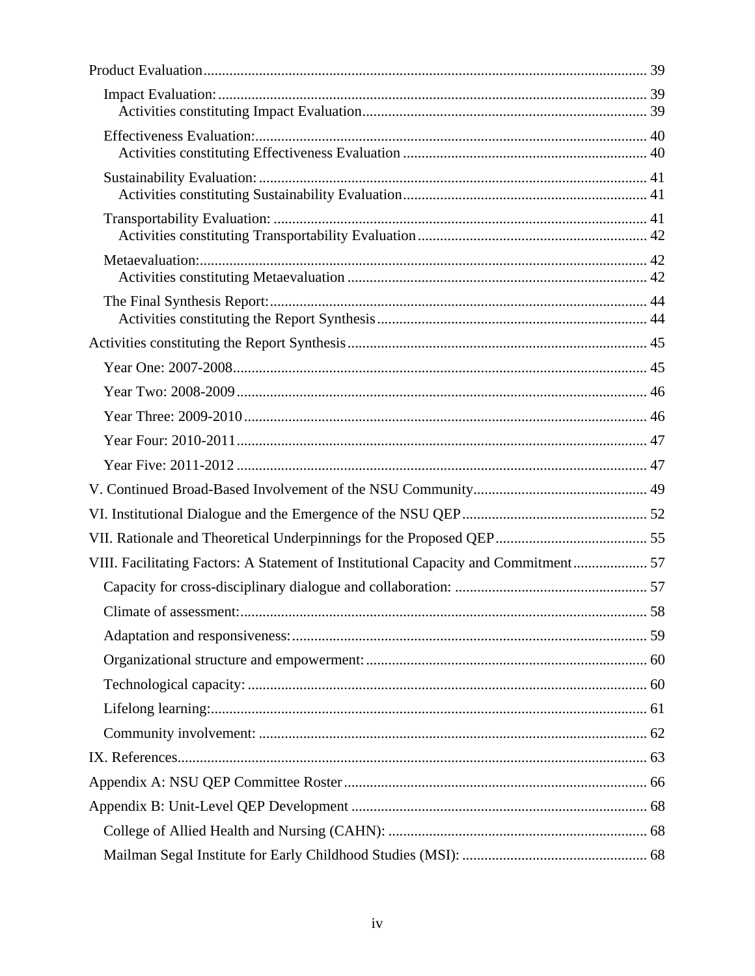| VIII. Facilitating Factors: A Statement of Institutional Capacity and Commitment 57 |    |
|-------------------------------------------------------------------------------------|----|
|                                                                                     |    |
| Climate of assessment:                                                              | 58 |
|                                                                                     |    |
|                                                                                     |    |
|                                                                                     |    |
|                                                                                     |    |
|                                                                                     |    |
|                                                                                     |    |
|                                                                                     |    |
|                                                                                     |    |
|                                                                                     |    |
|                                                                                     |    |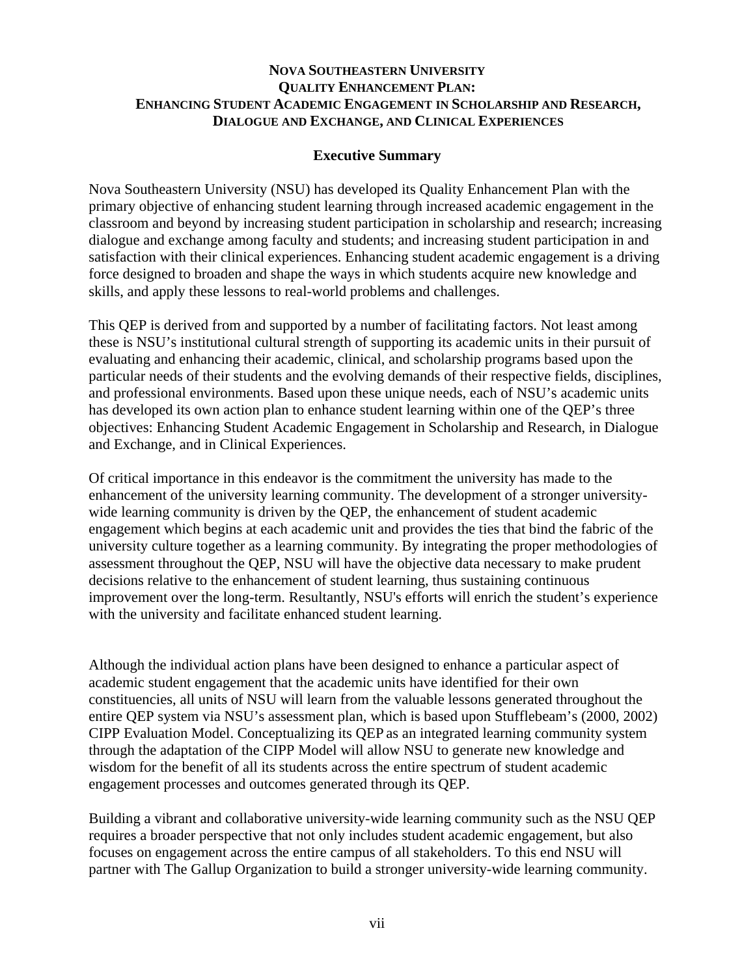### **NOVA SOUTHEASTERN UNIVERSITY QUALITY ENHANCEMENT PLAN: ENHANCING STUDENT ACADEMIC ENGAGEMENT IN SCHOLARSHIP AND RESEARCH, DIALOGUE AND EXCHANGE, AND CLINICAL EXPERIENCES**

### **Executive Summary**

Nova Southeastern University (NSU) has developed its Quality Enhancement Plan with the primary objective of enhancing student learning through increased academic engagement in the classroom and beyond by increasing student participation in scholarship and research; increasing dialogue and exchange among faculty and students; and increasing student participation in and satisfaction with their clinical experiences. Enhancing student academic engagement is a driving force designed to broaden and shape the ways in which students acquire new knowledge and skills, and apply these lessons to real-world problems and challenges.

This QEP is derived from and supported by a number of facilitating factors. Not least among these is NSU's institutional cultural strength of supporting its academic units in their pursuit of evaluating and enhancing their academic, clinical, and scholarship programs based upon the particular needs of their students and the evolving demands of their respective fields, disciplines, and professional environments. Based upon these unique needs, each of NSU's academic units has developed its own action plan to enhance student learning within one of the QEP's three objectives: Enhancing Student Academic Engagement in Scholarship and Research, in Dialogue and Exchange, and in Clinical Experiences.

Of critical importance in this endeavor is the commitment the university has made to the enhancement of the university learning community. The development of a stronger universitywide learning community is driven by the QEP, the enhancement of student academic engagement which begins at each academic unit and provides the ties that bind the fabric of the university culture together as a learning community. By integrating the proper methodologies of assessment throughout the QEP, NSU will have the objective data necessary to make prudent decisions relative to the enhancement of student learning, thus sustaining continuous improvement over the long-term. Resultantly, NSU's efforts will enrich the student's experience with the university and facilitate enhanced student learning.

Although the individual action plans have been designed to enhance a particular aspect of academic student engagement that the academic units have identified for their own constituencies, all units of NSU will learn from the valuable lessons generated throughout the entire QEP system via NSU's assessment plan, which is based upon Stufflebeam's (2000, 2002) CIPP Evaluation Model. Conceptualizing its QEP as an integrated learning community system through the adaptation of the CIPP Model will allow NSU to generate new knowledge and wisdom for the benefit of all its students across the entire spectrum of student academic engagement processes and outcomes generated through its QEP.

Building a vibrant and collaborative university-wide learning community such as the NSU QEP requires a broader perspective that not only includes student academic engagement, but also focuses on engagement across the entire campus of all stakeholders. To this end NSU will partner with The Gallup Organization to build a stronger university-wide learning community.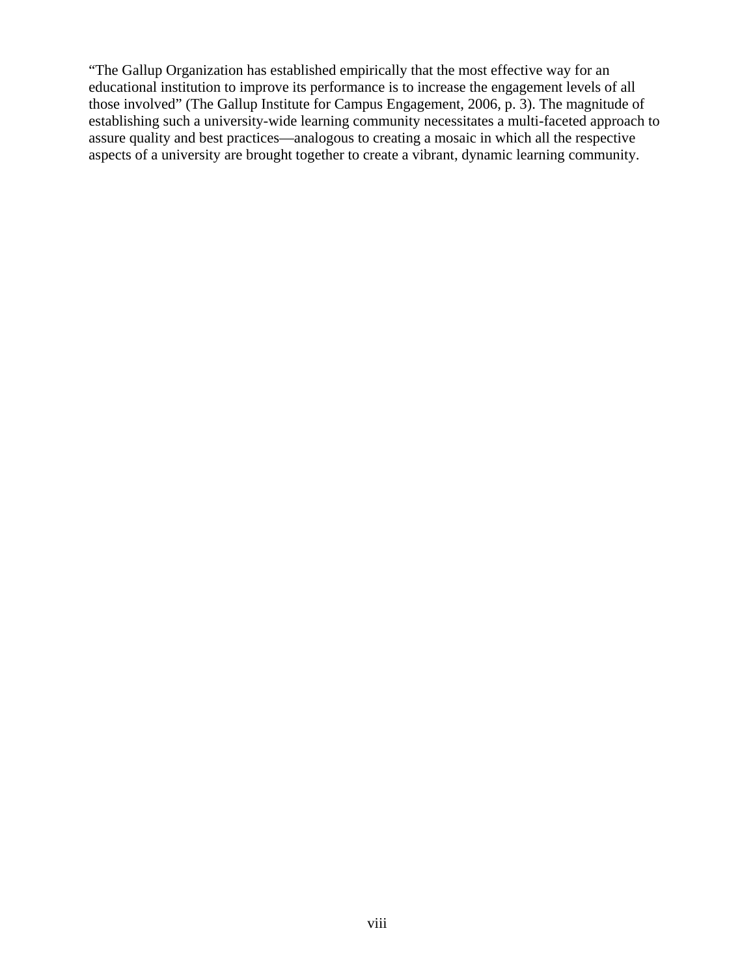"The Gallup Organization has established empirically that the most effective way for an educational institution to improve its performance is to increase the engagement levels of all those involved" (The Gallup Institute for Campus Engagement, 2006, p. 3). The magnitude of establishing such a university-wide learning community necessitates a multi-faceted approach to assure quality and best practices—analogous to creating a mosaic in which all the respective aspects of a university are brought together to create a vibrant, dynamic learning community.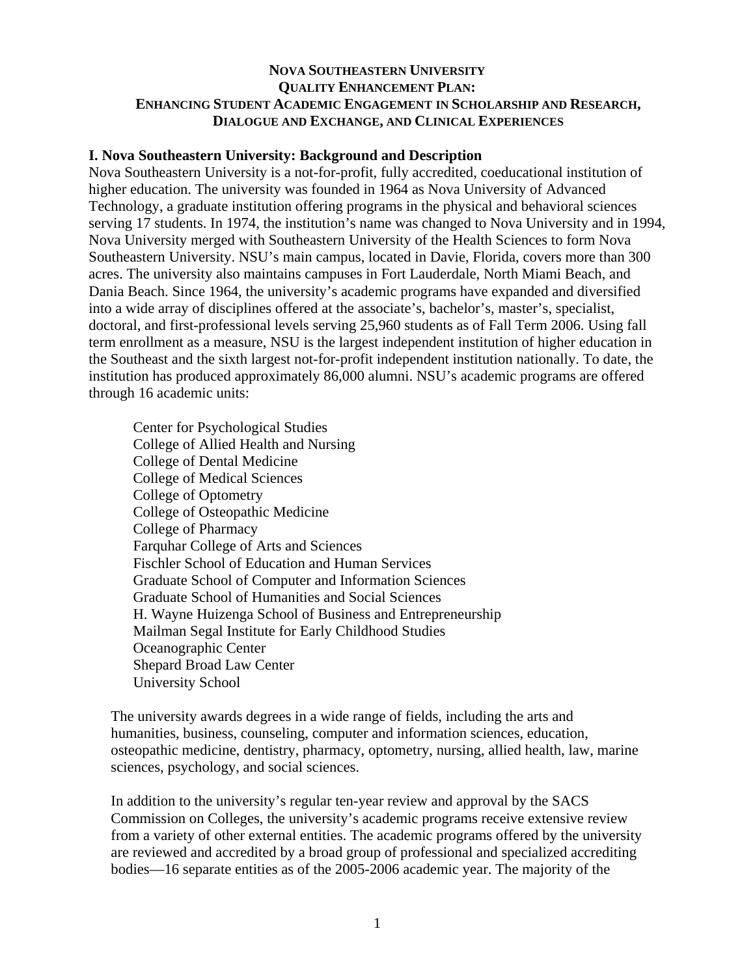### **NOVA SOUTHEASTERN UNIVERSITY QUALITY ENHANCEMENT PLAN: ENHANCING STUDENT ACADEMIC ENGAGEMENT IN SCHOLARSHIP AND RESEARCH, DIALOGUE AND EXCHANGE, AND CLINICAL EXPERIENCES**

#### **I. Nova Southeastern University: Background and Description**

Nova Southeastern University is a not-for-profit, fully accredited, coeducational institution of higher education. The university was founded in 1964 as Nova University of Advanced Technology, a graduate institution offering programs in the physical and behavioral sciences serving 17 students. In 1974, the institution's name was changed to Nova University and in 1994, Nova University merged with Southeastern University of the Health Sciences to form Nova Southeastern University. NSU's main campus, located in Davie, Florida, covers more than 300 acres. The university also maintains campuses in Fort Lauderdale, North Miami Beach, and Dania Beach. Since 1964, the university's academic programs have expanded and diversified into a wide array of disciplines offered at the associate's, bachelor's, master's, specialist, doctoral, and first-professional levels serving 25,960 students as of Fall Term 2006. Using fall term enrollment as a measure, NSU is the largest independent institution of higher education in the Southeast and the sixth largest not-for-profit independent institution nationally. To date, the institution has produced approximately 86,000 alumni. NSU's academic programs are offered through 16 academic units:

Center for Psychological Studies College of Allied Health and Nursing College of Dental Medicine College of Medical Sciences College of Optometry College of Osteopathic Medicine College of Pharmacy Farquhar College of Arts and Sciences Fischler School of Education and Human Services Graduate School of Computer and Information Sciences Graduate School of Humanities and Social Sciences H. Wayne Huizenga School of Business and Entrepreneurship Mailman Segal Institute for Early Childhood Studies Oceanographic Center Shepard Broad Law Center University School

The university awards degrees in a wide range of fields, including the arts and humanities, business, counseling, computer and information sciences, education, osteopathic medicine, dentistry, pharmacy, optometry, nursing, allied health, law, marine sciences, psychology, and social sciences.

In addition to the university's regular ten-year review and approval by the SACS Commission on Colleges, the university's academic programs receive extensive review from a variety of other external entities. The academic programs offered by the university are reviewed and accredited by a broad group of professional and specialized accrediting bodies—16 separate entities as of the 2005-2006 academic year. The majority of the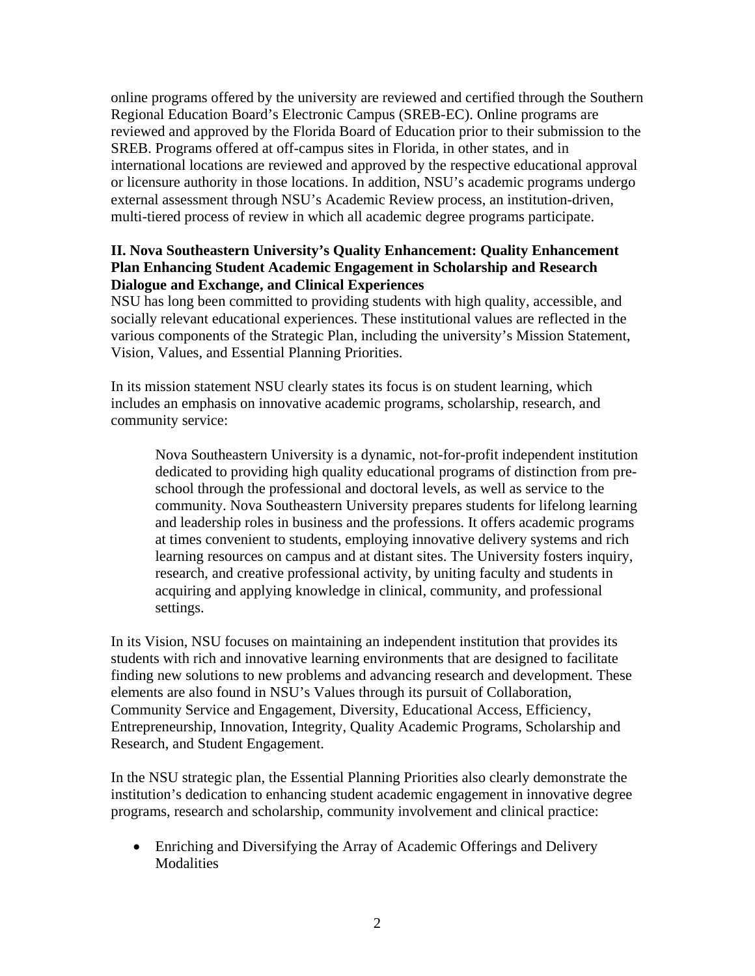online programs offered by the university are reviewed and certified through the Southern Regional Education Board's Electronic Campus (SREB-EC). Online programs are reviewed and approved by the Florida Board of Education prior to their submission to the SREB. Programs offered at off-campus sites in Florida, in other states, and in international locations are reviewed and approved by the respective educational approval or licensure authority in those locations. In addition, NSU's academic programs undergo external assessment through NSU's Academic Review process, an institution-driven, multi-tiered process of review in which all academic degree programs participate.

# **II. Nova Southeastern University's Quality Enhancement: Quality Enhancement Plan Enhancing Student Academic Engagement in Scholarship and Research Dialogue and Exchange, and Clinical Experiences**

NSU has long been committed to providing students with high quality, accessible, and socially relevant educational experiences. These institutional values are reflected in the various components of the Strategic Plan, including the university's Mission Statement, Vision, Values, and Essential Planning Priorities.

In its mission statement NSU clearly states its focus is on student learning, which includes an emphasis on innovative academic programs, scholarship, research, and community service:

Nova Southeastern University is a dynamic, not-for-profit independent institution dedicated to providing high quality educational programs of distinction from preschool through the professional and doctoral levels, as well as service to the community. Nova Southeastern University prepares students for lifelong learning and leadership roles in business and the professions. It offers academic programs at times convenient to students, employing innovative delivery systems and rich learning resources on campus and at distant sites. The University fosters inquiry, research, and creative professional activity, by uniting faculty and students in acquiring and applying knowledge in clinical, community, and professional settings.

In its Vision, NSU focuses on maintaining an independent institution that provides its students with rich and innovative learning environments that are designed to facilitate finding new solutions to new problems and advancing research and development. These elements are also found in NSU's Values through its pursuit of Collaboration, Community Service and Engagement, Diversity, Educational Access, Efficiency, Entrepreneurship, Innovation, Integrity, Quality Academic Programs, Scholarship and Research, and Student Engagement.

In the NSU strategic plan, the Essential Planning Priorities also clearly demonstrate the institution's dedication to enhancing student academic engagement in innovative degree programs, research and scholarship, community involvement and clinical practice:

• Enriching and Diversifying the Array of Academic Offerings and Delivery Modalities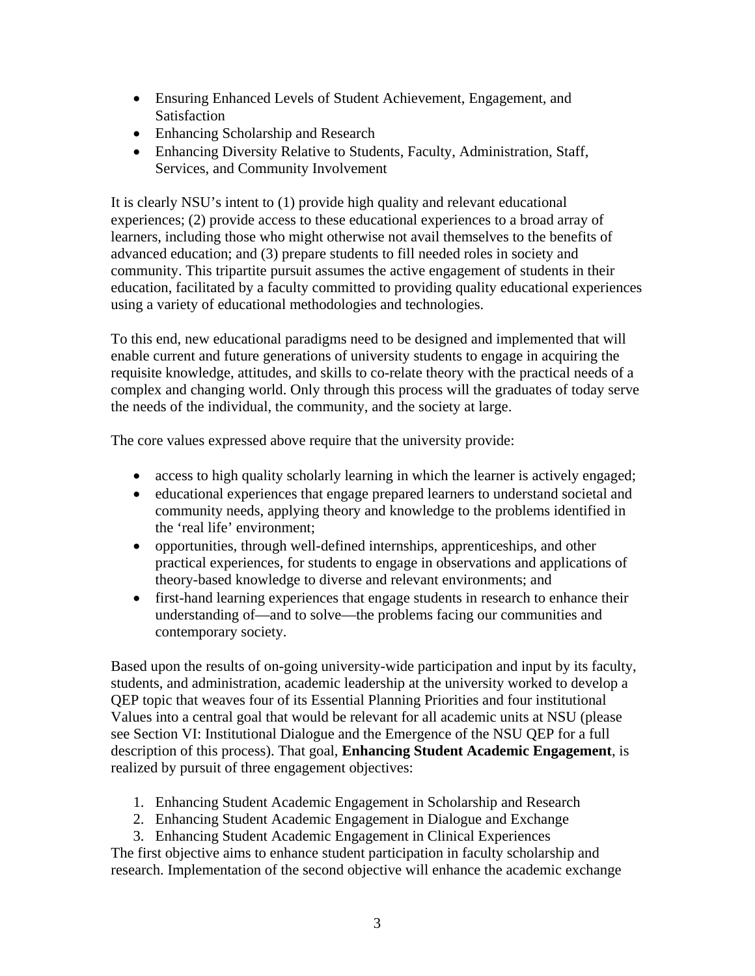- Ensuring Enhanced Levels of Student Achievement, Engagement, and Satisfaction
- Enhancing Scholarship and Research
- Enhancing Diversity Relative to Students, Faculty, Administration, Staff, Services, and Community Involvement

It is clearly NSU's intent to (1) provide high quality and relevant educational experiences; (2) provide access to these educational experiences to a broad array of learners, including those who might otherwise not avail themselves to the benefits of advanced education; and (3) prepare students to fill needed roles in society and community. This tripartite pursuit assumes the active engagement of students in their education, facilitated by a faculty committed to providing quality educational experiences using a variety of educational methodologies and technologies.

To this end, new educational paradigms need to be designed and implemented that will enable current and future generations of university students to engage in acquiring the requisite knowledge, attitudes, and skills to co-relate theory with the practical needs of a complex and changing world. Only through this process will the graduates of today serve the needs of the individual, the community, and the society at large.

The core values expressed above require that the university provide:

- access to high quality scholarly learning in which the learner is actively engaged;
- educational experiences that engage prepared learners to understand societal and community needs, applying theory and knowledge to the problems identified in the 'real life' environment;
- opportunities, through well-defined internships, apprenticeships, and other practical experiences, for students to engage in observations and applications of theory-based knowledge to diverse and relevant environments; and
- first-hand learning experiences that engage students in research to enhance their understanding of—and to solve—the problems facing our communities and contemporary society.

Based upon the results of on-going university-wide participation and input by its faculty, students, and administration, academic leadership at the university worked to develop a QEP topic that weaves four of its Essential Planning Priorities and four institutional Values into a central goal that would be relevant for all academic units at NSU (please see Section VI: Institutional Dialogue and the Emergence of the NSU QEP for a full description of this process). That goal, **Enhancing Student Academic Engagement**, is realized by pursuit of three engagement objectives:

- 1. Enhancing Student Academic Engagement in Scholarship and Research
- 2. Enhancing Student Academic Engagement in Dialogue and Exchange
- 3. Enhancing Student Academic Engagement in Clinical Experiences

The first objective aims to enhance student participation in faculty scholarship and research. Implementation of the second objective will enhance the academic exchange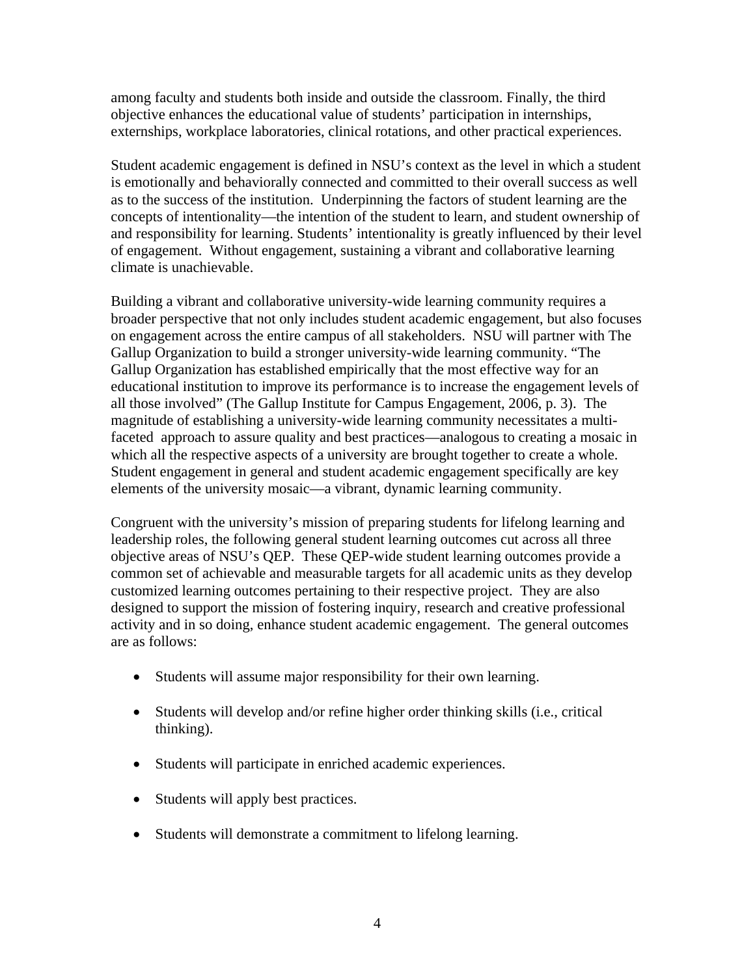among faculty and students both inside and outside the classroom. Finally, the third objective enhances the educational value of students' participation in internships, externships, workplace laboratories, clinical rotations, and other practical experiences.

Student academic engagement is defined in NSU's context as the level in which a student is emotionally and behaviorally connected and committed to their overall success as well as to the success of the institution. Underpinning the factors of student learning are the concepts of intentionality—the intention of the student to learn, and student ownership of and responsibility for learning. Students' intentionality is greatly influenced by their level of engagement. Without engagement, sustaining a vibrant and collaborative learning climate is unachievable.

Building a vibrant and collaborative university-wide learning community requires a broader perspective that not only includes student academic engagement, but also focuses on engagement across the entire campus of all stakeholders. NSU will partner with The Gallup Organization to build a stronger university-wide learning community. "The Gallup Organization has established empirically that the most effective way for an educational institution to improve its performance is to increase the engagement levels of all those involved" (The Gallup Institute for Campus Engagement, 2006, p. 3). The magnitude of establishing a university-wide learning community necessitates a multifaceted approach to assure quality and best practices—analogous to creating a mosaic in which all the respective aspects of a university are brought together to create a whole. Student engagement in general and student academic engagement specifically are key elements of the university mosaic—a vibrant, dynamic learning community.

Congruent with the university's mission of preparing students for lifelong learning and leadership roles, the following general student learning outcomes cut across all three objective areas of NSU's QEP. These QEP-wide student learning outcomes provide a common set of achievable and measurable targets for all academic units as they develop customized learning outcomes pertaining to their respective project. They are also designed to support the mission of fostering inquiry, research and creative professional activity and in so doing, enhance student academic engagement. The general outcomes are as follows:

- Students will assume major responsibility for their own learning.
- Students will develop and/or refine higher order thinking skills (i.e., critical thinking).
- Students will participate in enriched academic experiences.
- Students will apply best practices.
- Students will demonstrate a commitment to lifelong learning.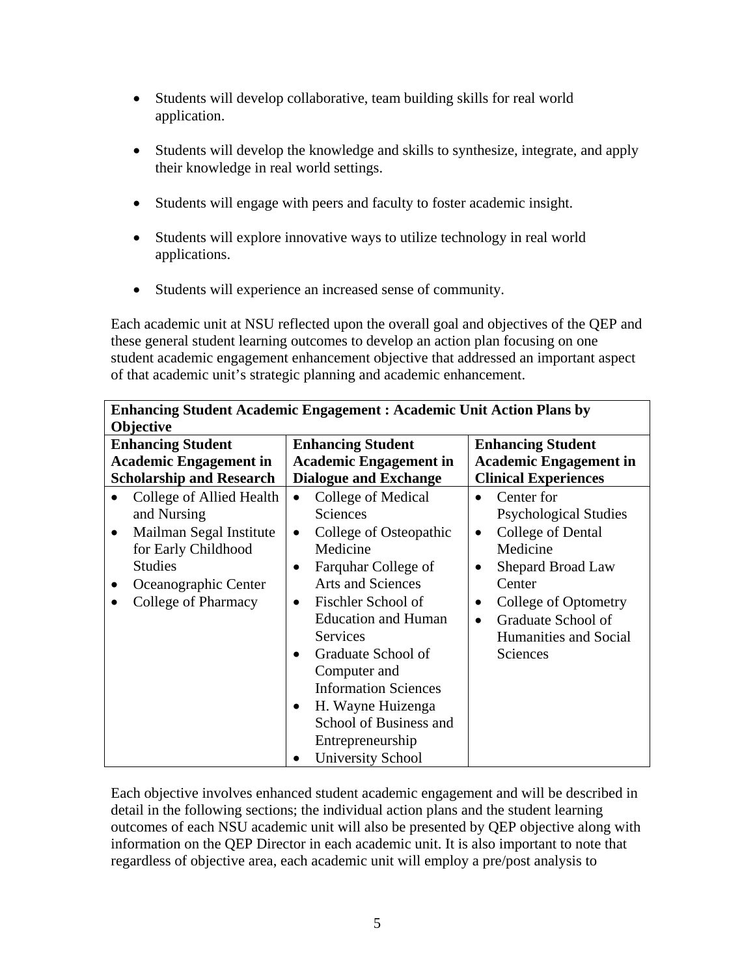- Students will develop collaborative, team building skills for real world application.
- Students will develop the knowledge and skills to synthesize, integrate, and apply their knowledge in real world settings.
- Students will engage with peers and faculty to foster academic insight.
- Students will explore innovative ways to utilize technology in real world applications.
- Students will experience an increased sense of community.

Each academic unit at NSU reflected upon the overall goal and objectives of the QEP and these general student learning outcomes to develop an action plan focusing on one student academic engagement enhancement objective that addressed an important aspect of that academic unit's strategic planning and academic enhancement.

| <b>Enhancing Student Academic Engagement: Academic Unit Action Plans by</b><br>Objective                                                                                                                   |                                                                                                                                                                                                                                                                                                                                                                                                                                           |                                                                                                                                                                                                                                                                          |  |
|------------------------------------------------------------------------------------------------------------------------------------------------------------------------------------------------------------|-------------------------------------------------------------------------------------------------------------------------------------------------------------------------------------------------------------------------------------------------------------------------------------------------------------------------------------------------------------------------------------------------------------------------------------------|--------------------------------------------------------------------------------------------------------------------------------------------------------------------------------------------------------------------------------------------------------------------------|--|
| <b>Enhancing Student</b><br><b>Academic Engagement in</b>                                                                                                                                                  | <b>Enhancing Student</b><br><b>Academic Engagement in</b>                                                                                                                                                                                                                                                                                                                                                                                 | <b>Enhancing Student</b><br><b>Academic Engagement in</b>                                                                                                                                                                                                                |  |
| <b>Scholarship and Research</b><br>College of Allied Health<br>and Nursing<br>Mailman Segal Institute<br>$\bullet$<br>for Early Childhood<br><b>Studies</b><br>Oceanographic Center<br>College of Pharmacy | <b>Dialogue and Exchange</b><br>College of Medical<br>$\bullet$<br><b>Sciences</b><br>College of Osteopathic<br>$\bullet$<br>Medicine<br>Farquhar College of<br><b>Arts and Sciences</b><br>Fischler School of<br><b>Education and Human</b><br>Services<br>Graduate School of<br>$\bullet$<br>Computer and<br><b>Information Sciences</b><br>H. Wayne Huizenga<br>School of Business and<br>Entrepreneurship<br><b>University School</b> | <b>Clinical Experiences</b><br>Center for<br>$\bullet$<br><b>Psychological Studies</b><br>College of Dental<br>$\bullet$<br>Medicine<br>Shepard Broad Law<br>٠<br>Center<br>College of Optometry<br>Graduate School of<br>$\bullet$<br>Humanities and Social<br>Sciences |  |

Each objective involves enhanced student academic engagement and will be described in detail in the following sections; the individual action plans and the student learning outcomes of each NSU academic unit will also be presented by QEP objective along with information on the QEP Director in each academic unit. It is also important to note that regardless of objective area, each academic unit will employ a pre/post analysis to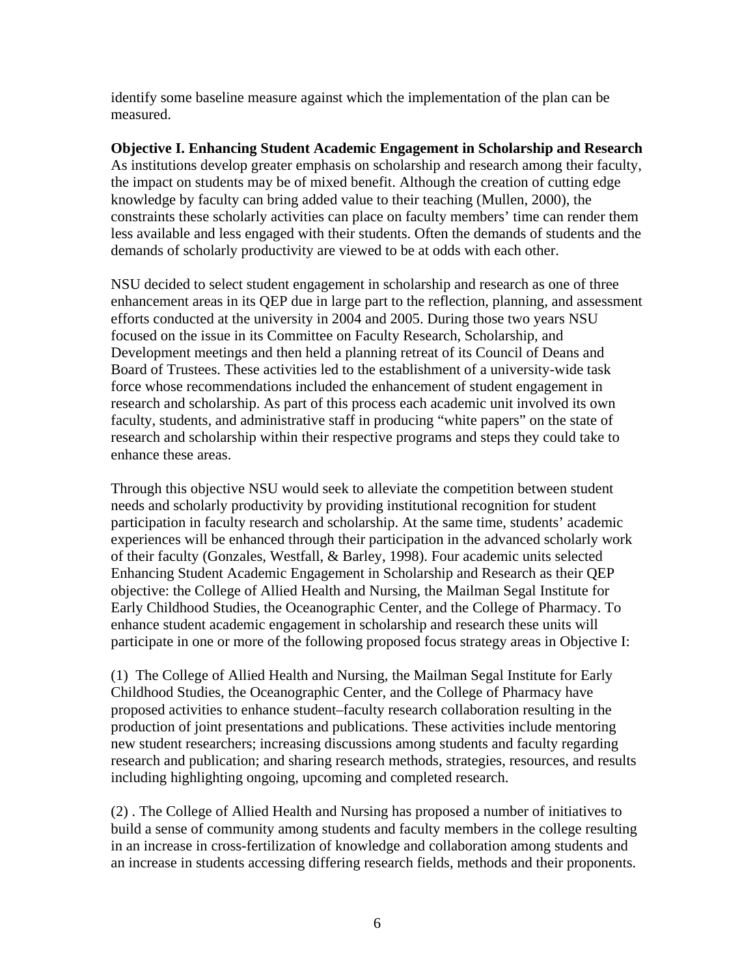identify some baseline measure against which the implementation of the plan can be measured.

**Objective I. Enhancing Student Academic Engagement in Scholarship and Research**  As institutions develop greater emphasis on scholarship and research among their faculty, the impact on students may be of mixed benefit. Although the creation of cutting edge knowledge by faculty can bring added value to their teaching (Mullen, 2000), the constraints these scholarly activities can place on faculty members' time can render them less available and less engaged with their students. Often the demands of students and the demands of scholarly productivity are viewed to be at odds with each other.

NSU decided to select student engagement in scholarship and research as one of three enhancement areas in its QEP due in large part to the reflection, planning, and assessment efforts conducted at the university in 2004 and 2005. During those two years NSU focused on the issue in its Committee on Faculty Research, Scholarship, and Development meetings and then held a planning retreat of its Council of Deans and Board of Trustees. These activities led to the establishment of a university-wide task force whose recommendations included the enhancement of student engagement in research and scholarship. As part of this process each academic unit involved its own faculty, students, and administrative staff in producing "white papers" on the state of research and scholarship within their respective programs and steps they could take to enhance these areas.

Through this objective NSU would seek to alleviate the competition between student needs and scholarly productivity by providing institutional recognition for student participation in faculty research and scholarship. At the same time, students' academic experiences will be enhanced through their participation in the advanced scholarly work of their faculty (Gonzales, Westfall, & Barley, 1998). Four academic units selected Enhancing Student Academic Engagement in Scholarship and Research as their QEP objective: the College of Allied Health and Nursing, the Mailman Segal Institute for Early Childhood Studies, the Oceanographic Center, and the College of Pharmacy. To enhance student academic engagement in scholarship and research these units will participate in one or more of the following proposed focus strategy areas in Objective I:

(1) The College of Allied Health and Nursing, the Mailman Segal Institute for Early Childhood Studies, the Oceanographic Center, and the College of Pharmacy have proposed activities to enhance student–faculty research collaboration resulting in the production of joint presentations and publications. These activities include mentoring new student researchers; increasing discussions among students and faculty regarding research and publication; and sharing research methods, strategies, resources, and results including highlighting ongoing, upcoming and completed research.

(2) . The College of Allied Health and Nursing has proposed a number of initiatives to build a sense of community among students and faculty members in the college resulting in an increase in cross-fertilization of knowledge and collaboration among students and an increase in students accessing differing research fields, methods and their proponents.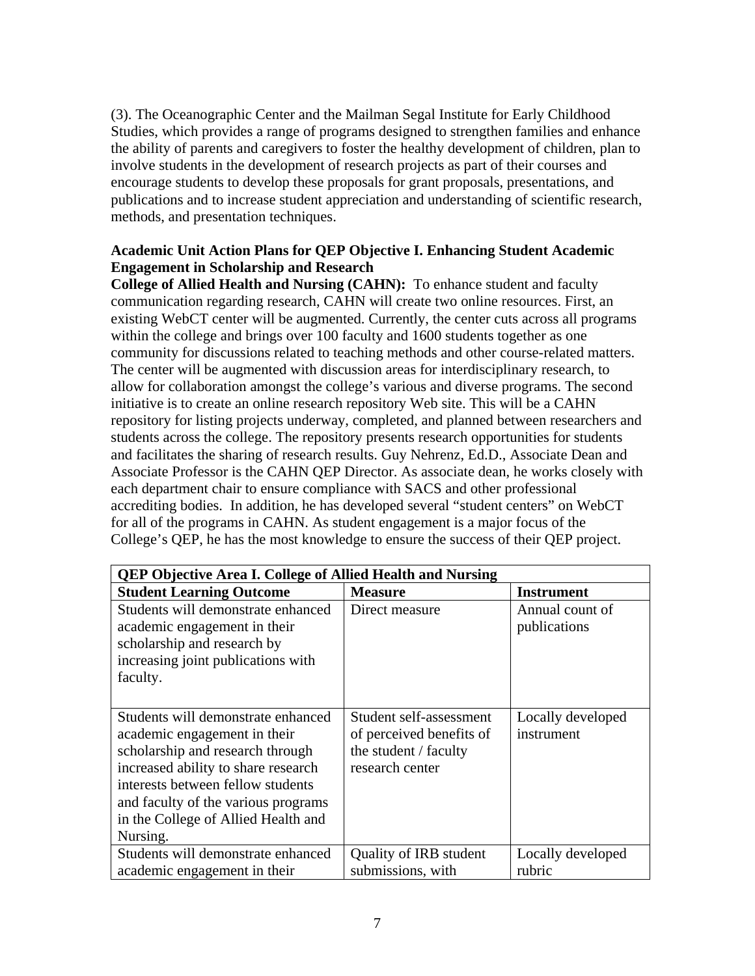(3). The Oceanographic Center and the Mailman Segal Institute for Early Childhood Studies, which provides a range of programs designed to strengthen families and enhance the ability of parents and caregivers to foster the healthy development of children, plan to involve students in the development of research projects as part of their courses and encourage students to develop these proposals for grant proposals, presentations, and publications and to increase student appreciation and understanding of scientific research, methods, and presentation techniques.

# **Academic Unit Action Plans for QEP Objective I. Enhancing Student Academic Engagement in Scholarship and Research**

**College of Allied Health and Nursing (CAHN):** To enhance student and faculty communication regarding research, CAHN will create two online resources. First, an existing WebCT center will be augmented. Currently, the center cuts across all programs within the college and brings over 100 faculty and 1600 students together as one community for discussions related to teaching methods and other course-related matters. The center will be augmented with discussion areas for interdisciplinary research, to allow for collaboration amongst the college's various and diverse programs. The second initiative is to create an online research repository Web site. This will be a CAHN repository for listing projects underway, completed, and planned between researchers and students across the college. The repository presents research opportunities for students and facilitates the sharing of research results. Guy Nehrenz, Ed.D., Associate Dean and Associate Professor is the CAHN QEP Director. As associate dean, he works closely with each department chair to ensure compliance with SACS and other professional accrediting bodies. In addition, he has developed several "student centers" on WebCT for all of the programs in CAHN. As student engagement is a major focus of the College's QEP, he has the most knowledge to ensure the success of their QEP project.

| <b>QEP Objective Area I. College of Allied Health and Nursing</b>                                                                                                                                                                                                            |                                                                                                 |                                 |  |
|------------------------------------------------------------------------------------------------------------------------------------------------------------------------------------------------------------------------------------------------------------------------------|-------------------------------------------------------------------------------------------------|---------------------------------|--|
| <b>Student Learning Outcome</b>                                                                                                                                                                                                                                              | <b>Measure</b>                                                                                  | <b>Instrument</b>               |  |
| Students will demonstrate enhanced<br>academic engagement in their<br>scholarship and research by<br>increasing joint publications with<br>faculty.                                                                                                                          | Direct measure                                                                                  | Annual count of<br>publications |  |
| Students will demonstrate enhanced<br>academic engagement in their<br>scholarship and research through<br>increased ability to share research<br>interests between fellow students<br>and faculty of the various programs<br>in the College of Allied Health and<br>Nursing. | Student self-assessment<br>of perceived benefits of<br>the student / faculty<br>research center | Locally developed<br>instrument |  |
| Students will demonstrate enhanced                                                                                                                                                                                                                                           | Quality of IRB student                                                                          | Locally developed               |  |
| academic engagement in their                                                                                                                                                                                                                                                 | submissions, with                                                                               | rubric                          |  |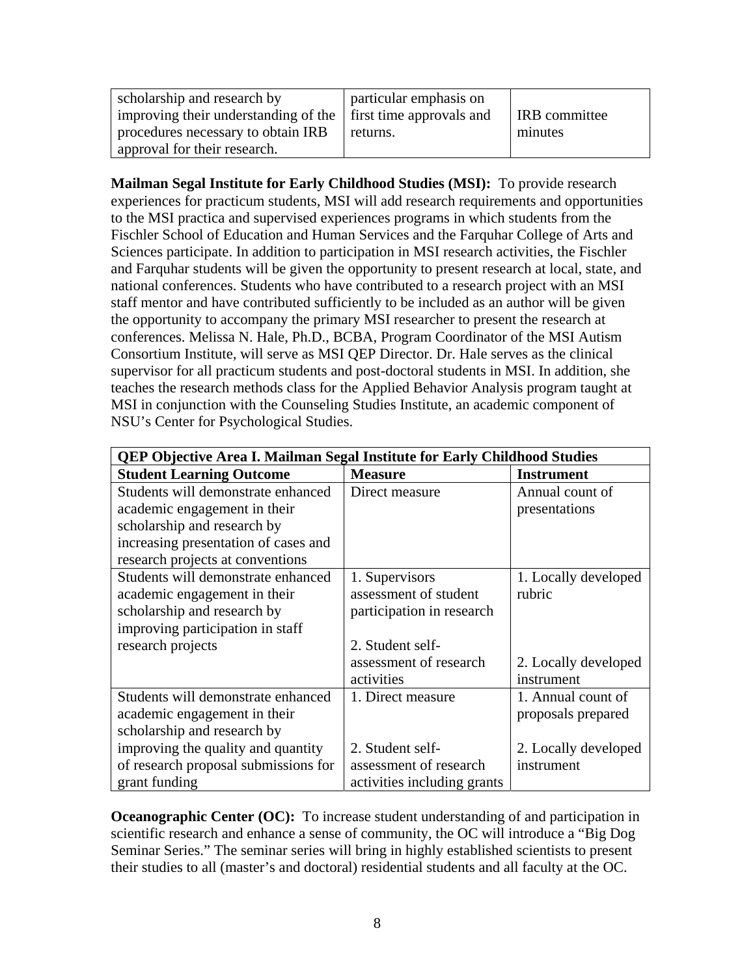| scholarship and research by                                   | particular emphasis on |                      |
|---------------------------------------------------------------|------------------------|----------------------|
| improving their understanding of the first time approvals and |                        | <b>IRB</b> committee |
| procedures necessary to obtain IRB                            | returns.               | minutes              |
| approval for their research.                                  |                        |                      |

**Mailman Segal Institute for Early Childhood Studies (MSI):** To provide research experiences for practicum students, MSI will add research requirements and opportunities to the MSI practica and supervised experiences programs in which students from the Fischler School of Education and Human Services and the Farquhar College of Arts and Sciences participate. In addition to participation in MSI research activities, the Fischler and Farquhar students will be given the opportunity to present research at local, state, and national conferences. Students who have contributed to a research project with an MSI staff mentor and have contributed sufficiently to be included as an author will be given the opportunity to accompany the primary MSI researcher to present the research at conferences. Melissa N. Hale, Ph.D., BCBA, Program Coordinator of the MSI Autism Consortium Institute, will serve as MSI QEP Director. Dr. Hale serves as the clinical supervisor for all practicum students and post-doctoral students in MSI. In addition, she teaches the research methods class for the Applied Behavior Analysis program taught at MSI in conjunction with the Counseling Studies Institute, an academic component of NSU's Center for Psychological Studies.

| <b>QEP Objective Area I. Mailman Segal Institute for Early Childhood Studies</b> |                             |                      |  |
|----------------------------------------------------------------------------------|-----------------------------|----------------------|--|
| <b>Student Learning Outcome</b>                                                  | <b>Measure</b>              | <b>Instrument</b>    |  |
| Students will demonstrate enhanced                                               | Direct measure              | Annual count of      |  |
| academic engagement in their                                                     |                             | presentations        |  |
| scholarship and research by                                                      |                             |                      |  |
| increasing presentation of cases and                                             |                             |                      |  |
| research projects at conventions                                                 |                             |                      |  |
| Students will demonstrate enhanced                                               | 1. Supervisors              | 1. Locally developed |  |
| academic engagement in their                                                     | assessment of student       | rubric               |  |
| scholarship and research by                                                      | participation in research   |                      |  |
| improving participation in staff                                                 |                             |                      |  |
| research projects                                                                | 2. Student self-            |                      |  |
|                                                                                  | assessment of research      | 2. Locally developed |  |
|                                                                                  | activities                  | instrument           |  |
| Students will demonstrate enhanced                                               | 1. Direct measure           | 1. Annual count of   |  |
| academic engagement in their                                                     |                             | proposals prepared   |  |
| scholarship and research by                                                      |                             |                      |  |
| improving the quality and quantity                                               | 2. Student self-            | 2. Locally developed |  |
| of research proposal submissions for                                             | assessment of research      | instrument           |  |
| grant funding                                                                    | activities including grants |                      |  |

**Oceanographic Center (OC):** To increase student understanding of and participation in scientific research and enhance a sense of community, the OC will introduce a "Big Dog Seminar Series." The seminar series will bring in highly established scientists to present their studies to all (master's and doctoral) residential students and all faculty at the OC.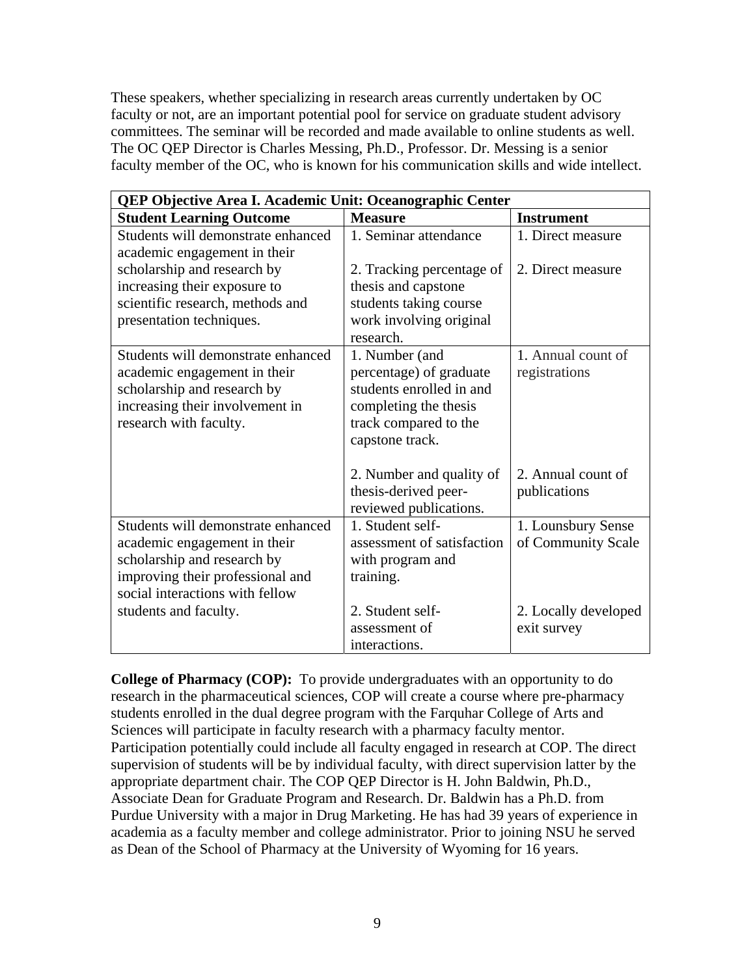These speakers, whether specializing in research areas currently undertaken by OC faculty or not, are an important potential pool for service on graduate student advisory committees. The seminar will be recorded and made available to online students as well. The OC QEP Director is Charles Messing, Ph.D., Professor. Dr. Messing is a senior faculty member of the OC, who is known for his communication skills and wide intellect.

| QEP Objective Area I. Academic Unit: Oceanographic Center                                                                                                                |                                                                                                                                            |                                          |  |
|--------------------------------------------------------------------------------------------------------------------------------------------------------------------------|--------------------------------------------------------------------------------------------------------------------------------------------|------------------------------------------|--|
| <b>Student Learning Outcome</b>                                                                                                                                          | <b>Measure</b>                                                                                                                             | <b>Instrument</b>                        |  |
| Students will demonstrate enhanced                                                                                                                                       | 1. Seminar attendance                                                                                                                      | 1. Direct measure                        |  |
| academic engagement in their<br>scholarship and research by<br>increasing their exposure to<br>scientific research, methods and<br>presentation techniques.              | 2. Tracking percentage of<br>thesis and capstone<br>students taking course<br>work involving original<br>research.                         | 2. Direct measure                        |  |
| Students will demonstrate enhanced<br>academic engagement in their<br>scholarship and research by<br>increasing their involvement in<br>research with faculty.           | 1. Number (and<br>percentage) of graduate<br>students enrolled in and<br>completing the thesis<br>track compared to the<br>capstone track. | 1. Annual count of<br>registrations      |  |
|                                                                                                                                                                          | 2. Number and quality of<br>thesis-derived peer-<br>reviewed publications.                                                                 | 2. Annual count of<br>publications       |  |
| Students will demonstrate enhanced<br>academic engagement in their<br>scholarship and research by<br>improving their professional and<br>social interactions with fellow | 1. Student self-<br>assessment of satisfaction<br>with program and<br>training.                                                            | 1. Lounsbury Sense<br>of Community Scale |  |
| students and faculty.                                                                                                                                                    | 2. Student self-<br>assessment of<br>interactions.                                                                                         | 2. Locally developed<br>exit survey      |  |

**College of Pharmacy (COP):** To provide undergraduates with an opportunity to do research in the pharmaceutical sciences, COP will create a course where pre-pharmacy students enrolled in the dual degree program with the Farquhar College of Arts and Sciences will participate in faculty research with a pharmacy faculty mentor. Participation potentially could include all faculty engaged in research at COP. The direct supervision of students will be by individual faculty, with direct supervision latter by the appropriate department chair. The COP QEP Director is H. John Baldwin, Ph.D., Associate Dean for Graduate Program and Research. Dr. Baldwin has a Ph.D. from Purdue University with a major in Drug Marketing. He has had 39 years of experience in academia as a faculty member and college administrator. Prior to joining NSU he served as Dean of the School of Pharmacy at the University of Wyoming for 16 years.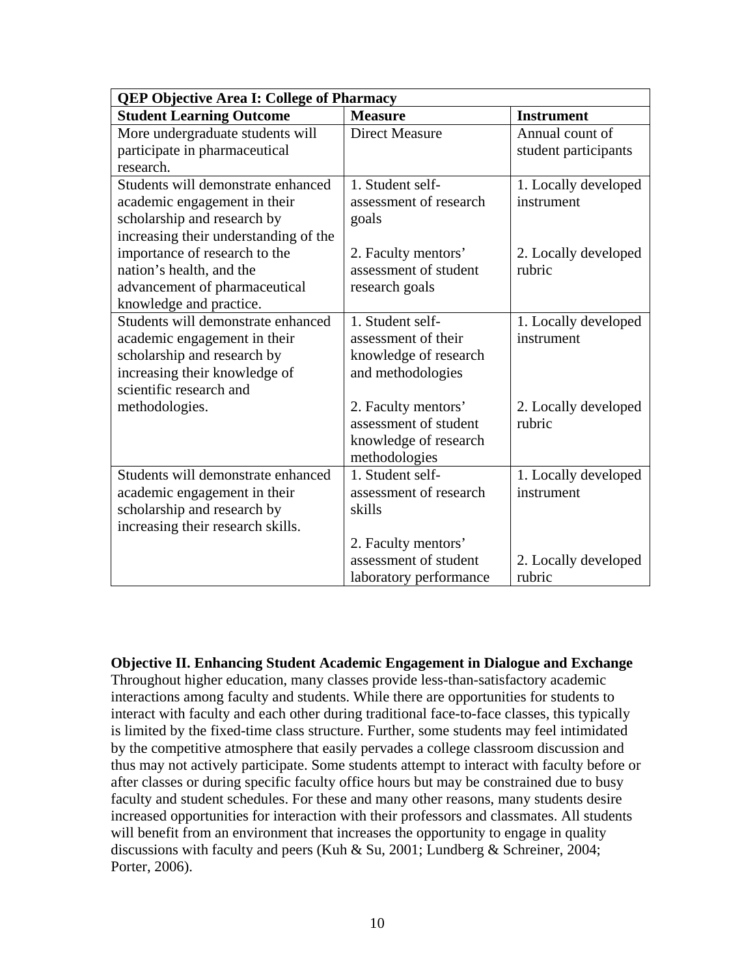| <b>QEP Objective Area I: College of Pharmacy</b> |                        |                      |  |
|--------------------------------------------------|------------------------|----------------------|--|
| <b>Student Learning Outcome</b>                  | <b>Measure</b>         | <b>Instrument</b>    |  |
| More undergraduate students will                 | <b>Direct Measure</b>  | Annual count of      |  |
| participate in pharmaceutical                    |                        | student participants |  |
| research.                                        |                        |                      |  |
| Students will demonstrate enhanced               | 1. Student self-       | 1. Locally developed |  |
| academic engagement in their                     | assessment of research | instrument           |  |
| scholarship and research by                      | goals                  |                      |  |
| increasing their understanding of the            |                        |                      |  |
| importance of research to the                    | 2. Faculty mentors'    | 2. Locally developed |  |
| nation's health, and the                         | assessment of student  | rubric               |  |
| advancement of pharmaceutical                    | research goals         |                      |  |
| knowledge and practice.                          |                        |                      |  |
| Students will demonstrate enhanced               | 1. Student self-       | 1. Locally developed |  |
| academic engagement in their                     | assessment of their    | instrument           |  |
| scholarship and research by                      | knowledge of research  |                      |  |
| increasing their knowledge of                    | and methodologies      |                      |  |
| scientific research and                          |                        |                      |  |
| methodologies.                                   | 2. Faculty mentors'    | 2. Locally developed |  |
|                                                  | assessment of student  | rubric               |  |
|                                                  | knowledge of research  |                      |  |
|                                                  | methodologies          |                      |  |
| Students will demonstrate enhanced               | 1. Student self-       | 1. Locally developed |  |
| academic engagement in their                     | assessment of research | instrument           |  |
| scholarship and research by                      | skills                 |                      |  |
| increasing their research skills.                |                        |                      |  |
|                                                  | 2. Faculty mentors'    |                      |  |
|                                                  | assessment of student  | 2. Locally developed |  |
|                                                  | laboratory performance | rubric               |  |

**Objective II. Enhancing Student Academic Engagement in Dialogue and Exchange** Throughout higher education, many classes provide less-than-satisfactory academic interactions among faculty and students. While there are opportunities for students to interact with faculty and each other during traditional face-to-face classes, this typically is limited by the fixed-time class structure. Further, some students may feel intimidated by the competitive atmosphere that easily pervades a college classroom discussion and thus may not actively participate. Some students attempt to interact with faculty before or after classes or during specific faculty office hours but may be constrained due to busy faculty and student schedules. For these and many other reasons, many students desire increased opportunities for interaction with their professors and classmates. All students will benefit from an environment that increases the opportunity to engage in quality discussions with faculty and peers (Kuh & Su, 2001; Lundberg & Schreiner, 2004; Porter, 2006).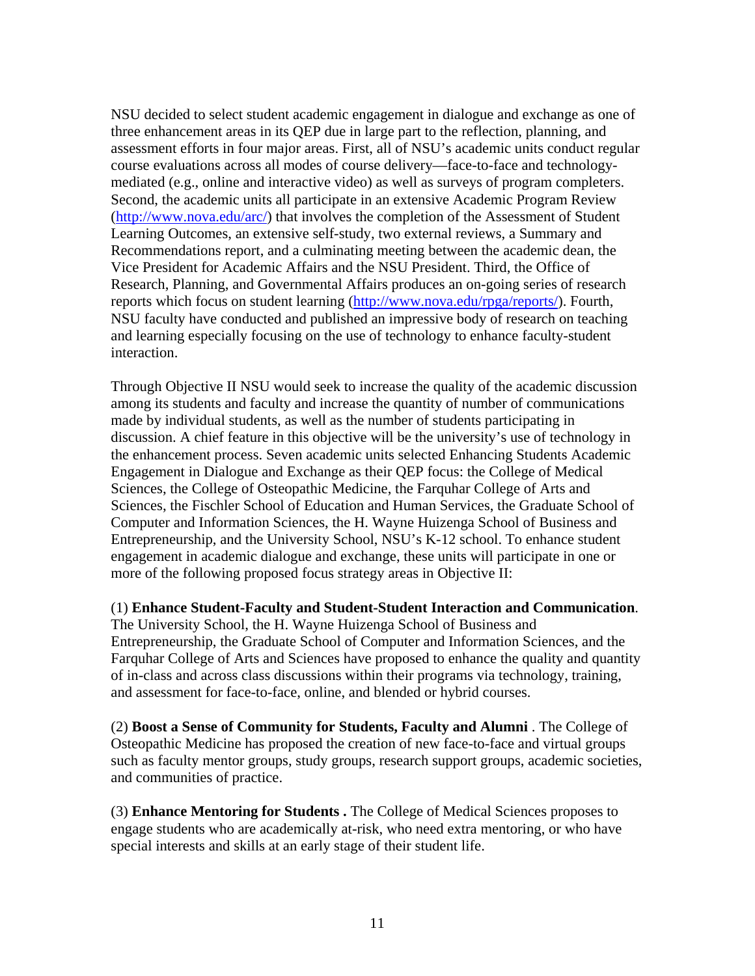NSU decided to select student academic engagement in dialogue and exchange as one of three enhancement areas in its QEP due in large part to the reflection, planning, and assessment efforts in four major areas. First, all of NSU's academic units conduct regular course evaluations across all modes of course delivery—face-to-face and technologymediated (e.g., online and interactive video) as well as surveys of program completers. Second, the academic units all participate in an extensive Academic Program Review (http://www.nova.edu/arc/) that involves the completion of the Assessment of Student Learning Outcomes, an extensive self-study, two external reviews, a Summary and Recommendations report, and a culminating meeting between the academic dean, the Vice President for Academic Affairs and the NSU President. Third, the Office of Research, Planning, and Governmental Affairs produces an on-going series of research reports which focus on student learning (http://www.nova.edu/rpga/reports/). Fourth, NSU faculty have conducted and published an impressive body of research on teaching and learning especially focusing on the use of technology to enhance faculty-student interaction.

Through Objective II NSU would seek to increase the quality of the academic discussion among its students and faculty and increase the quantity of number of communications made by individual students, as well as the number of students participating in discussion. A chief feature in this objective will be the university's use of technology in the enhancement process. Seven academic units selected Enhancing Students Academic Engagement in Dialogue and Exchange as their QEP focus: the College of Medical Sciences, the College of Osteopathic Medicine, the Farquhar College of Arts and Sciences, the Fischler School of Education and Human Services, the Graduate School of Computer and Information Sciences, the H. Wayne Huizenga School of Business and Entrepreneurship, and the University School, NSU's K-12 school. To enhance student engagement in academic dialogue and exchange, these units will participate in one or more of the following proposed focus strategy areas in Objective II:

(1) **Enhance Student-Faculty and Student-Student Interaction and Communication**. The University School, the H. Wayne Huizenga School of Business and Entrepreneurship, the Graduate School of Computer and Information Sciences, and the Farquhar College of Arts and Sciences have proposed to enhance the quality and quantity of in-class and across class discussions within their programs via technology, training, and assessment for face-to-face, online, and blended or hybrid courses.

(2) **Boost a Sense of Community for Students, Faculty and Alumni** . The College of Osteopathic Medicine has proposed the creation of new face-to-face and virtual groups such as faculty mentor groups, study groups, research support groups, academic societies, and communities of practice.

(3) **Enhance Mentoring for Students .** The College of Medical Sciences proposes to engage students who are academically at-risk, who need extra mentoring, or who have special interests and skills at an early stage of their student life.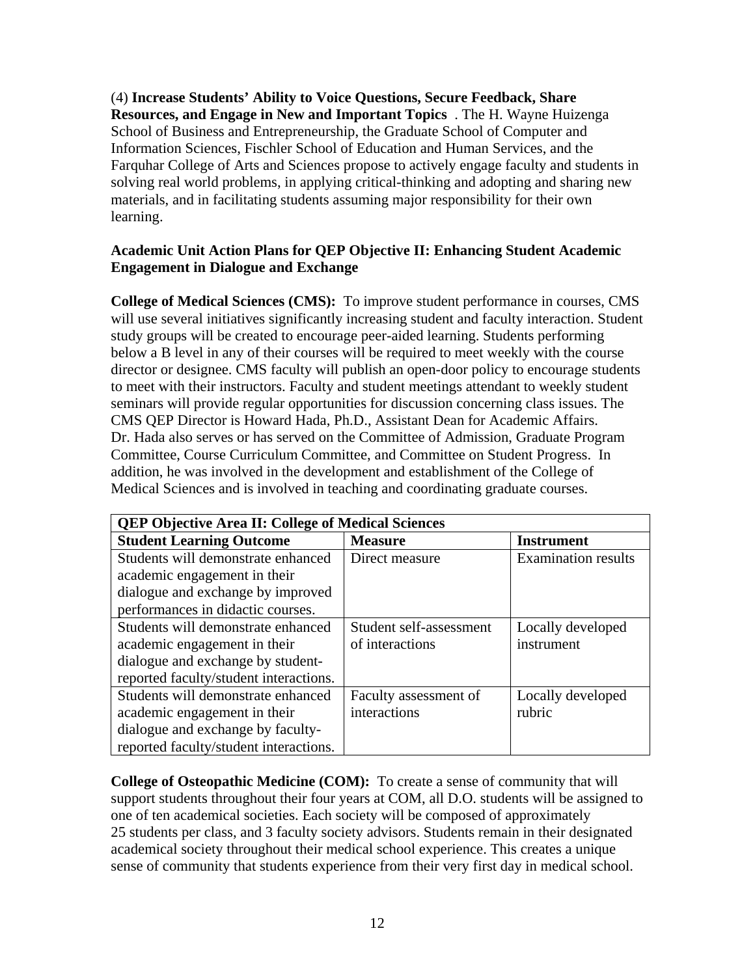(4) **Increase Students' Ability to Voice Questions, Secure Feedback, Share Resources, and Engage in New and Important Topics** . The H. Wayne Huizenga School of Business and Entrepreneurship, the Graduate School of Computer and Information Sciences, Fischler School of Education and Human Services, and the Farquhar College of Arts and Sciences propose to actively engage faculty and students in solving real world problems, in applying critical-thinking and adopting and sharing new materials, and in facilitating students assuming major responsibility for their own learning.

# **Academic Unit Action Plans for QEP Objective II: Enhancing Student Academic Engagement in Dialogue and Exchange**

**College of Medical Sciences (CMS):** To improve student performance in courses, CMS will use several initiatives significantly increasing student and faculty interaction. Student study groups will be created to encourage peer-aided learning. Students performing below a B level in any of their courses will be required to meet weekly with the course director or designee. CMS faculty will publish an open-door policy to encourage students to meet with their instructors. Faculty and student meetings attendant to weekly student seminars will provide regular opportunities for discussion concerning class issues. The CMS QEP Director is Howard Hada, Ph.D., Assistant Dean for Academic Affairs. Dr. Hada also serves or has served on the Committee of Admission, Graduate Program Committee, Course Curriculum Committee, and Committee on Student Progress. In addition, he was involved in the development and establishment of the College of Medical Sciences and is involved in teaching and coordinating graduate courses.

| <b>QEP Objective Area II: College of Medical Sciences</b> |                         |                            |  |
|-----------------------------------------------------------|-------------------------|----------------------------|--|
| <b>Student Learning Outcome</b>                           | <b>Measure</b>          | <b>Instrument</b>          |  |
| Students will demonstrate enhanced                        | Direct measure          | <b>Examination results</b> |  |
| academic engagement in their                              |                         |                            |  |
| dialogue and exchange by improved                         |                         |                            |  |
| performances in didactic courses.                         |                         |                            |  |
| Students will demonstrate enhanced                        | Student self-assessment | Locally developed          |  |
| academic engagement in their                              | of interactions         | instrument                 |  |
| dialogue and exchange by student-                         |                         |                            |  |
| reported faculty/student interactions.                    |                         |                            |  |
| Students will demonstrate enhanced                        | Faculty assessment of   | Locally developed          |  |
| academic engagement in their                              | interactions            | rubric                     |  |
| dialogue and exchange by faculty-                         |                         |                            |  |
| reported faculty/student interactions.                    |                         |                            |  |

**College of Osteopathic Medicine (COM):** To create a sense of community that will support students throughout their four years at COM, all D.O. students will be assigned to one of ten academical societies. Each society will be composed of approximately 25 students per class, and 3 faculty society advisors. Students remain in their designated academical society throughout their medical school experience. This creates a unique sense of community that students experience from their very first day in medical school.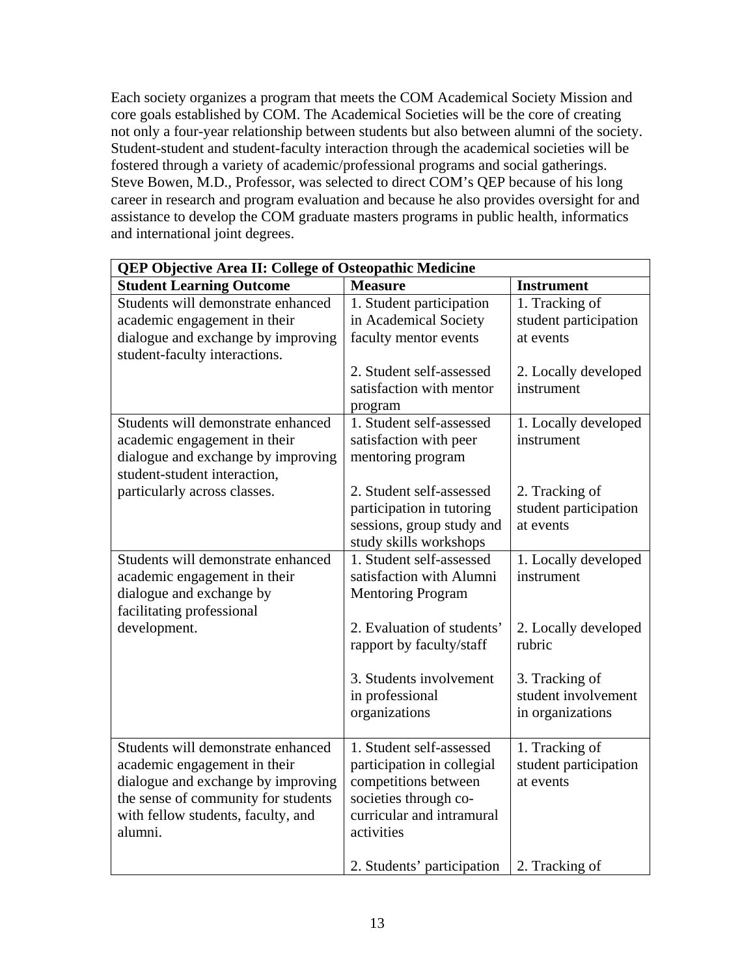Each society organizes a program that meets the COM Academical Society Mission and core goals established by COM. The Academical Societies will be the core of creating not only a four-year relationship between students but also between alumni of the society. Student-student and student-faculty interaction through the academical societies will be fostered through a variety of academic/professional programs and social gatherings. Steve Bowen, M.D., Professor, was selected to direct COM's QEP because of his long career in research and program evaluation and because he also provides oversight for and assistance to develop the COM graduate masters programs in public health, informatics and international joint degrees.

| <b>Student Learning Outcome</b><br><b>Measure</b><br><b>Instrument</b><br>Students will demonstrate enhanced<br>1. Tracking of<br>1. Student participation<br>student participation<br>academic engagement in their<br>in Academical Society<br>dialogue and exchange by improving<br>faculty mentor events<br>at events<br>student-faculty interactions.<br>2. Student self-assessed<br>satisfaction with mentor<br>instrument<br>program<br>Students will demonstrate enhanced<br>1. Student self-assessed<br>satisfaction with peer<br>academic engagement in their<br>instrument<br>dialogue and exchange by improving<br>mentoring program<br>student-student interaction,<br>particularly across classes.<br>2. Student self-assessed<br>2. Tracking of<br>participation in tutoring<br>student participation<br>sessions, group study and<br>at events<br>study skills workshops<br>Students will demonstrate enhanced<br>1. Student self-assessed<br>academic engagement in their<br>satisfaction with Alumni<br>instrument<br>dialogue and exchange by<br><b>Mentoring Program</b><br>facilitating professional<br>development.<br>2. Evaluation of students'<br>rapport by faculty/staff<br>rubric<br>3. Students involvement<br>3. Tracking of<br>student involvement<br>in professional<br>organizations<br>in organizations<br>Students will demonstrate enhanced<br>1. Student self-assessed<br>1. Tracking of<br>student participation<br>academic engagement in their<br>participation in collegial<br>dialogue and exchange by improving<br>competitions between<br>at events<br>the sense of community for students<br>societies through co-<br>curricular and intramural<br>with fellow students, faculty, and | <b>QEP Objective Area II: College of Osteopathic Medicine</b> |            |                      |
|-----------------------------------------------------------------------------------------------------------------------------------------------------------------------------------------------------------------------------------------------------------------------------------------------------------------------------------------------------------------------------------------------------------------------------------------------------------------------------------------------------------------------------------------------------------------------------------------------------------------------------------------------------------------------------------------------------------------------------------------------------------------------------------------------------------------------------------------------------------------------------------------------------------------------------------------------------------------------------------------------------------------------------------------------------------------------------------------------------------------------------------------------------------------------------------------------------------------------------------------------------------------------------------------------------------------------------------------------------------------------------------------------------------------------------------------------------------------------------------------------------------------------------------------------------------------------------------------------------------------------------------------------------------------------------------------------------------------------------------|---------------------------------------------------------------|------------|----------------------|
|                                                                                                                                                                                                                                                                                                                                                                                                                                                                                                                                                                                                                                                                                                                                                                                                                                                                                                                                                                                                                                                                                                                                                                                                                                                                                                                                                                                                                                                                                                                                                                                                                                                                                                                                   |                                                               |            |                      |
|                                                                                                                                                                                                                                                                                                                                                                                                                                                                                                                                                                                                                                                                                                                                                                                                                                                                                                                                                                                                                                                                                                                                                                                                                                                                                                                                                                                                                                                                                                                                                                                                                                                                                                                                   |                                                               |            |                      |
|                                                                                                                                                                                                                                                                                                                                                                                                                                                                                                                                                                                                                                                                                                                                                                                                                                                                                                                                                                                                                                                                                                                                                                                                                                                                                                                                                                                                                                                                                                                                                                                                                                                                                                                                   |                                                               |            | 2. Locally developed |
|                                                                                                                                                                                                                                                                                                                                                                                                                                                                                                                                                                                                                                                                                                                                                                                                                                                                                                                                                                                                                                                                                                                                                                                                                                                                                                                                                                                                                                                                                                                                                                                                                                                                                                                                   |                                                               |            | 1. Locally developed |
|                                                                                                                                                                                                                                                                                                                                                                                                                                                                                                                                                                                                                                                                                                                                                                                                                                                                                                                                                                                                                                                                                                                                                                                                                                                                                                                                                                                                                                                                                                                                                                                                                                                                                                                                   |                                                               |            |                      |
|                                                                                                                                                                                                                                                                                                                                                                                                                                                                                                                                                                                                                                                                                                                                                                                                                                                                                                                                                                                                                                                                                                                                                                                                                                                                                                                                                                                                                                                                                                                                                                                                                                                                                                                                   |                                                               |            | 1. Locally developed |
|                                                                                                                                                                                                                                                                                                                                                                                                                                                                                                                                                                                                                                                                                                                                                                                                                                                                                                                                                                                                                                                                                                                                                                                                                                                                                                                                                                                                                                                                                                                                                                                                                                                                                                                                   |                                                               |            | 2. Locally developed |
|                                                                                                                                                                                                                                                                                                                                                                                                                                                                                                                                                                                                                                                                                                                                                                                                                                                                                                                                                                                                                                                                                                                                                                                                                                                                                                                                                                                                                                                                                                                                                                                                                                                                                                                                   |                                                               |            |                      |
| 2. Students' participation<br>2. Tracking of                                                                                                                                                                                                                                                                                                                                                                                                                                                                                                                                                                                                                                                                                                                                                                                                                                                                                                                                                                                                                                                                                                                                                                                                                                                                                                                                                                                                                                                                                                                                                                                                                                                                                      | alumni.                                                       | activities |                      |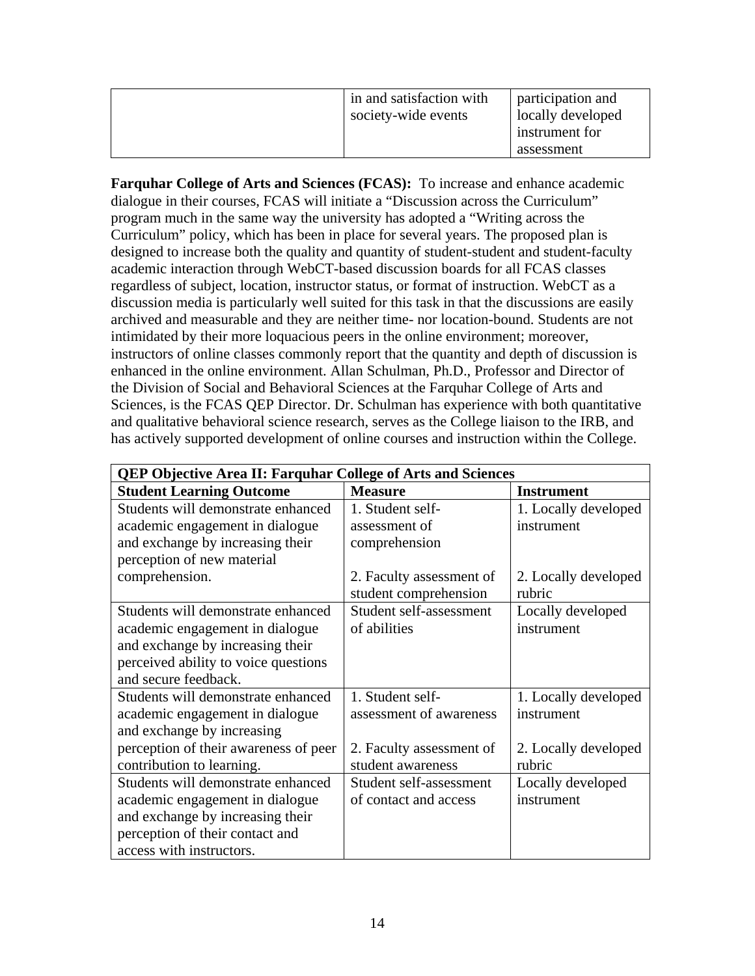| in and satisfaction with<br>society-wide events | participation and<br>locally developed<br>instrument for<br>assessment |
|-------------------------------------------------|------------------------------------------------------------------------|
|-------------------------------------------------|------------------------------------------------------------------------|

**Farquhar College of Arts and Sciences (FCAS):** To increase and enhance academic dialogue in their courses, FCAS will initiate a "Discussion across the Curriculum" program much in the same way the university has adopted a "Writing across the Curriculum" policy, which has been in place for several years. The proposed plan is designed to increase both the quality and quantity of student-student and student-faculty academic interaction through WebCT-based discussion boards for all FCAS classes regardless of subject, location, instructor status, or format of instruction. WebCT as a discussion media is particularly well suited for this task in that the discussions are easily archived and measurable and they are neither time- nor location-bound. Students are not intimidated by their more loquacious peers in the online environment; moreover, instructors of online classes commonly report that the quantity and depth of discussion is enhanced in the online environment. Allan Schulman, Ph.D., Professor and Director of the Division of Social and Behavioral Sciences at the Farquhar College of Arts and Sciences, is the FCAS QEP Director. Dr. Schulman has experience with both quantitative and qualitative behavioral science research, serves as the College liaison to the IRB, and has actively supported development of online courses and instruction within the College.

| <b>QEP Objective Area II: Farquhar College of Arts and Sciences</b> |                          |                      |
|---------------------------------------------------------------------|--------------------------|----------------------|
| <b>Student Learning Outcome</b>                                     | <b>Measure</b>           | <b>Instrument</b>    |
| Students will demonstrate enhanced                                  | 1. Student self-         | 1. Locally developed |
| academic engagement in dialogue                                     | assessment of            | instrument           |
| and exchange by increasing their                                    | comprehension            |                      |
| perception of new material                                          |                          |                      |
| comprehension.                                                      | 2. Faculty assessment of | 2. Locally developed |
|                                                                     | student comprehension    | rubric               |
| Students will demonstrate enhanced                                  | Student self-assessment  | Locally developed    |
| academic engagement in dialogue                                     | of abilities             | instrument           |
| and exchange by increasing their                                    |                          |                      |
| perceived ability to voice questions                                |                          |                      |
| and secure feedback.                                                |                          |                      |
| Students will demonstrate enhanced                                  | 1. Student self-         | 1. Locally developed |
| academic engagement in dialogue                                     | assessment of awareness  | instrument           |
| and exchange by increasing                                          |                          |                      |
| perception of their awareness of peer                               | 2. Faculty assessment of | 2. Locally developed |
| contribution to learning.                                           | student awareness        | rubric               |
| Students will demonstrate enhanced                                  | Student self-assessment  | Locally developed    |
| academic engagement in dialogue                                     | of contact and access    | instrument           |
| and exchange by increasing their                                    |                          |                      |
| perception of their contact and                                     |                          |                      |
| access with instructors.                                            |                          |                      |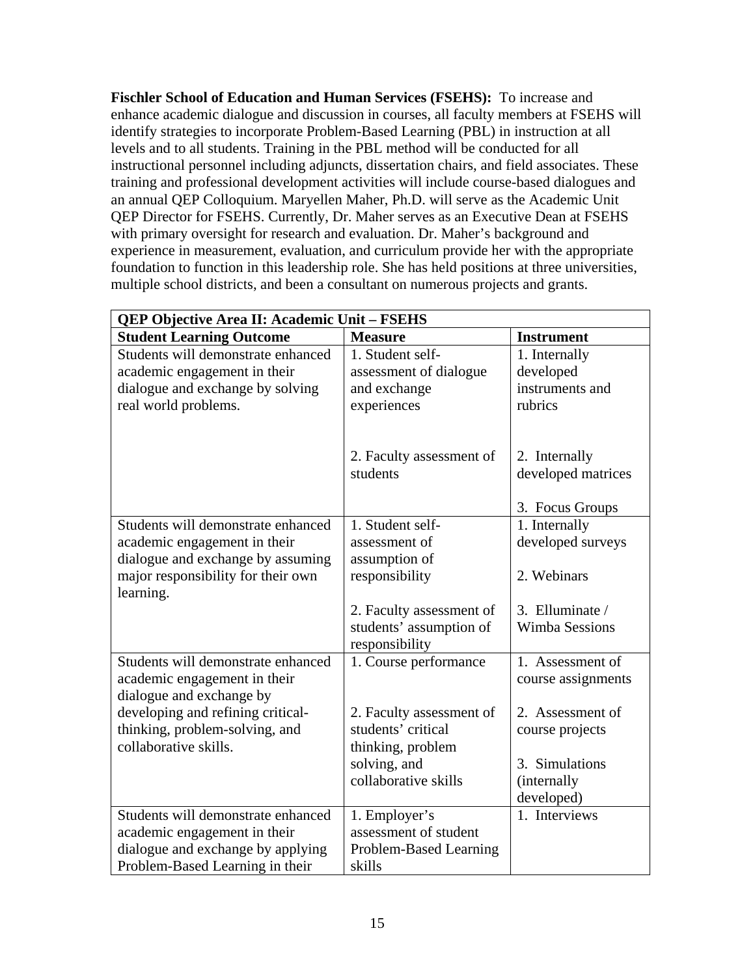**Fischler School of Education and Human Services (FSEHS):** To increase and enhance academic dialogue and discussion in courses, all faculty members at FSEHS will identify strategies to incorporate Problem-Based Learning (PBL) in instruction at all levels and to all students. Training in the PBL method will be conducted for all instructional personnel including adjuncts, dissertation chairs, and field associates. These training and professional development activities will include course-based dialogues and an annual QEP Colloquium. Maryellen Maher, Ph.D. will serve as the Academic Unit QEP Director for FSEHS. Currently, Dr. Maher serves as an Executive Dean at FSEHS with primary oversight for research and evaluation. Dr. Maher's background and experience in measurement, evaluation, and curriculum provide her with the appropriate foundation to function in this leadership role. She has held positions at three universities, multiple school districts, and been a consultant on numerous projects and grants.

| QEP Objective Area II: Academic Unit - FSEHS |                          |                       |
|----------------------------------------------|--------------------------|-----------------------|
| <b>Student Learning Outcome</b>              | <b>Measure</b>           | <b>Instrument</b>     |
| Students will demonstrate enhanced           | 1. Student self-         | 1. Internally         |
| academic engagement in their                 | assessment of dialogue   | developed             |
| dialogue and exchange by solving             | and exchange             | instruments and       |
| real world problems.                         | experiences              | rubrics               |
|                                              |                          |                       |
|                                              |                          |                       |
|                                              | 2. Faculty assessment of | 2. Internally         |
|                                              | students                 | developed matrices    |
|                                              |                          |                       |
|                                              |                          | 3. Focus Groups       |
| Students will demonstrate enhanced           | 1. Student self-         | 1. Internally         |
| academic engagement in their                 | assessment of            | developed surveys     |
| dialogue and exchange by assuming            | assumption of            |                       |
| major responsibility for their own           | responsibility           | 2. Webinars           |
| learning.                                    |                          |                       |
|                                              | 2. Faculty assessment of | 3. Elluminate /       |
|                                              | students' assumption of  | <b>Wimba Sessions</b> |
|                                              | responsibility           |                       |
| Students will demonstrate enhanced           | 1. Course performance    | 1. Assessment of      |
| academic engagement in their                 |                          | course assignments    |
| dialogue and exchange by                     |                          |                       |
| developing and refining critical-            | 2. Faculty assessment of | 2. Assessment of      |
| thinking, problem-solving, and               | students' critical       | course projects       |
| collaborative skills.                        | thinking, problem        |                       |
|                                              | solving, and             | 3. Simulations        |
|                                              | collaborative skills     | (internally           |
|                                              |                          | developed)            |
| Students will demonstrate enhanced           | 1. Employer's            | 1. Interviews         |
| academic engagement in their                 | assessment of student    |                       |
| dialogue and exchange by applying            | Problem-Based Learning   |                       |
| Problem-Based Learning in their              | skills                   |                       |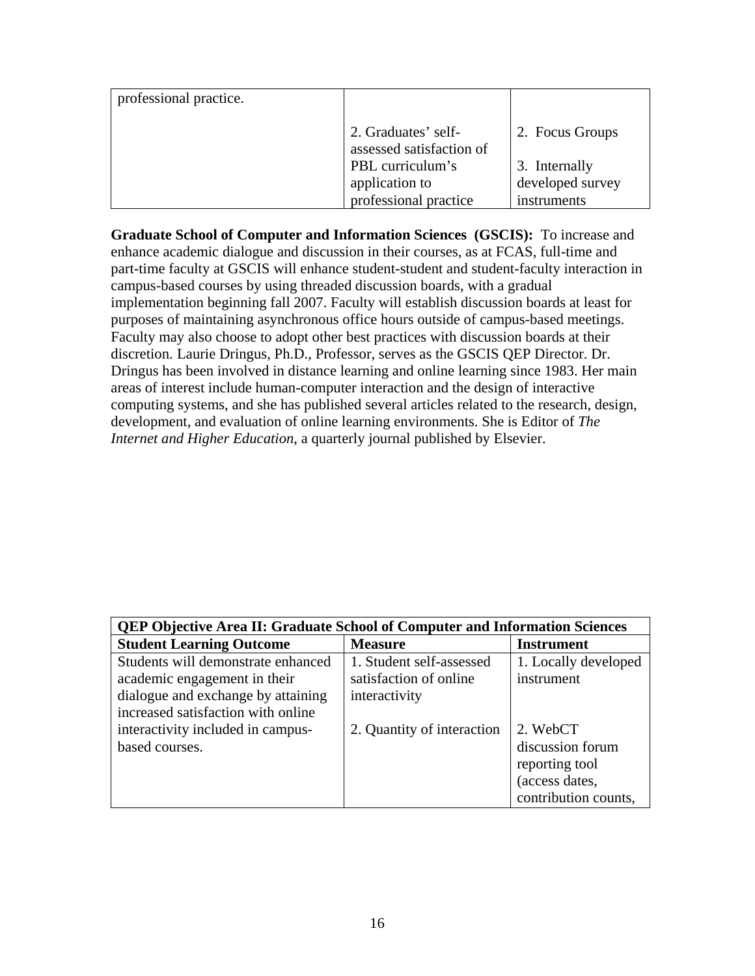| professional practice. |                                                 |                  |
|------------------------|-------------------------------------------------|------------------|
|                        | 2. Graduates' self-<br>assessed satisfaction of | 2. Focus Groups  |
|                        | PBL curriculum's                                | 3. Internally    |
|                        | application to                                  | developed survey |
|                        | professional practice                           | instruments      |

**Graduate School of Computer and Information Sciences (GSCIS):** To increase and enhance academic dialogue and discussion in their courses, as at FCAS, full-time and part-time faculty at GSCIS will enhance student-student and student-faculty interaction in campus-based courses by using threaded discussion boards, with a gradual implementation beginning fall 2007. Faculty will establish discussion boards at least for purposes of maintaining asynchronous office hours outside of campus-based meetings. Faculty may also choose to adopt other best practices with discussion boards at their discretion. Laurie Dringus, Ph.D., Professor, serves as the GSCIS QEP Director. Dr. Dringus has been involved in distance learning and online learning since 1983. Her main areas of interest include human-computer interaction and the design of interactive computing systems, and she has published several articles related to the research, design, development, and evaluation of online learning environments. She is Editor of *The Internet and Higher Education*, a quarterly journal published by Elsevier.

| <b>QEP Objective Area II: Graduate School of Computer and Information Sciences</b> |                            |                      |
|------------------------------------------------------------------------------------|----------------------------|----------------------|
| <b>Student Learning Outcome</b>                                                    | <b>Measure</b>             | <b>Instrument</b>    |
| Students will demonstrate enhanced                                                 | 1. Student self-assessed   | 1. Locally developed |
| academic engagement in their                                                       | satisfaction of online     | instrument           |
| dialogue and exchange by attaining                                                 | interactivity              |                      |
| increased satisfaction with online                                                 |                            |                      |
| interactivity included in campus-                                                  | 2. Quantity of interaction | 2. WebCT             |
| based courses.                                                                     |                            | discussion forum     |
|                                                                                    |                            | reporting tool       |
|                                                                                    |                            | (access dates,       |
|                                                                                    |                            | contribution counts, |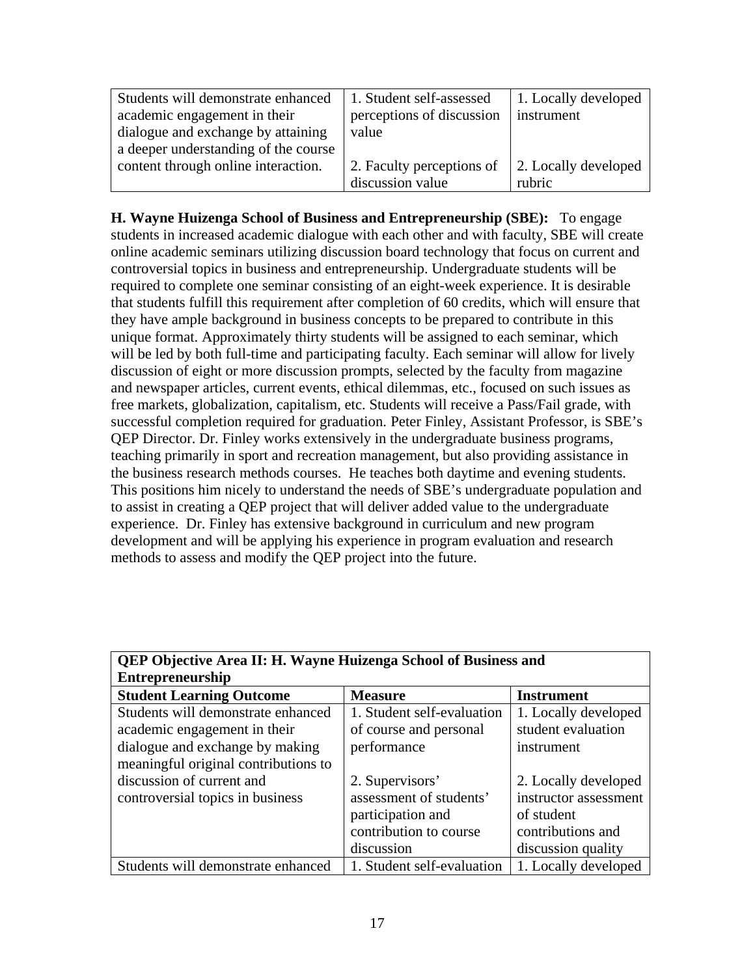| Students will demonstrate enhanced   | 1. Student self-assessed  | 1. Locally developed |
|--------------------------------------|---------------------------|----------------------|
| academic engagement in their         | perceptions of discussion | instrument           |
| dialogue and exchange by attaining   | value                     |                      |
| a deeper understanding of the course |                           |                      |
| content through online interaction.  | 2. Faculty perceptions of | 2. Locally developed |
|                                      | discussion value          | rubric               |

**H. Wayne Huizenga School of Business and Entrepreneurship (SBE):** To engage students in increased academic dialogue with each other and with faculty, SBE will create online academic seminars utilizing discussion board technology that focus on current and controversial topics in business and entrepreneurship. Undergraduate students will be required to complete one seminar consisting of an eight-week experience. It is desirable that students fulfill this requirement after completion of 60 credits, which will ensure that they have ample background in business concepts to be prepared to contribute in this unique format. Approximately thirty students will be assigned to each seminar, which will be led by both full-time and participating faculty. Each seminar will allow for lively discussion of eight or more discussion prompts, selected by the faculty from magazine and newspaper articles, current events, ethical dilemmas, etc., focused on such issues as free markets, globalization, capitalism, etc. Students will receive a Pass/Fail grade, with successful completion required for graduation. Peter Finley, Assistant Professor, is SBE's QEP Director. Dr. Finley works extensively in the undergraduate business programs, teaching primarily in sport and recreation management, but also providing assistance in the business research methods courses. He teaches both daytime and evening students. This positions him nicely to understand the needs of SBE's undergraduate population and to assist in creating a QEP project that will deliver added value to the undergraduate experience. Dr. Finley has extensive background in curriculum and new program development and will be applying his experience in program evaluation and research methods to assess and modify the QEP project into the future.

| <b>QEP Objective Area II: H. Wayne Huizenga School of Business and</b> |                            |                       |  |
|------------------------------------------------------------------------|----------------------------|-----------------------|--|
| <b>Entrepreneurship</b>                                                |                            |                       |  |
| <b>Student Learning Outcome</b>                                        | <b>Measure</b>             | <b>Instrument</b>     |  |
| Students will demonstrate enhanced                                     | 1. Student self-evaluation | 1. Locally developed  |  |
| academic engagement in their                                           | of course and personal     | student evaluation    |  |
| dialogue and exchange by making                                        | performance                | instrument            |  |
| meaningful original contributions to                                   |                            |                       |  |
| discussion of current and                                              | 2. Supervisors'            | 2. Locally developed  |  |
| controversial topics in business                                       | assessment of students'    | instructor assessment |  |
|                                                                        | participation and          | of student            |  |
|                                                                        | contribution to course     | contributions and     |  |
|                                                                        | discussion                 | discussion quality    |  |
| Students will demonstrate enhanced                                     | 1. Student self-evaluation | 1. Locally developed  |  |

| <b>QEP Objective Area II: H. Wayne Huizenga School of Business and</b> |  |
|------------------------------------------------------------------------|--|
| <b>Entrepreneurship</b>                                                |  |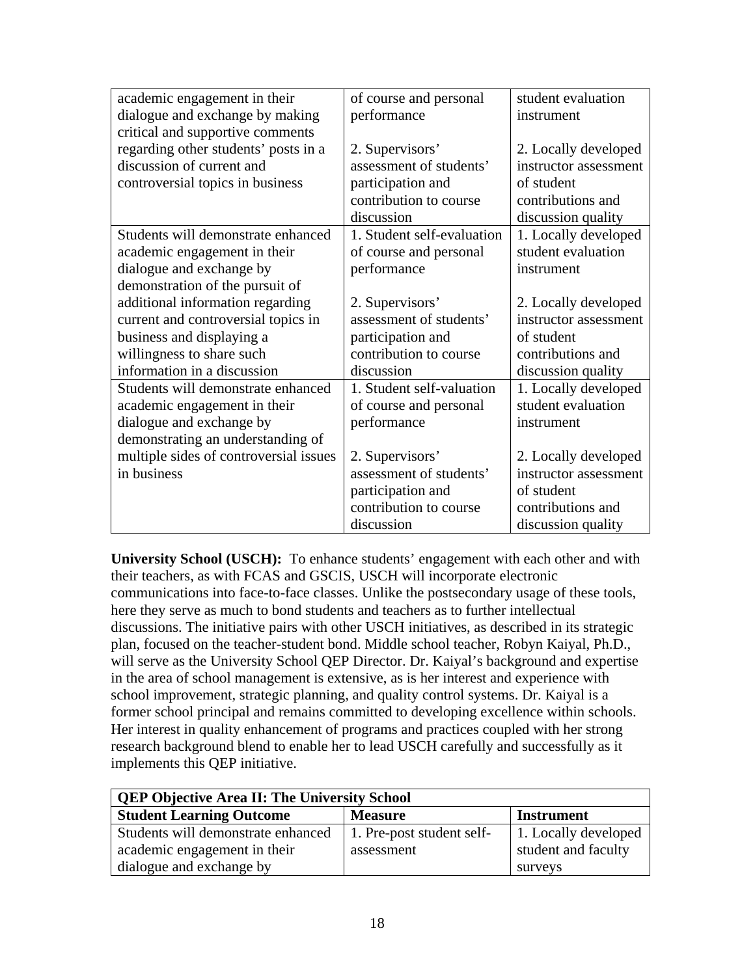| academic engagement in their           | of course and personal     | student evaluation    |
|----------------------------------------|----------------------------|-----------------------|
| dialogue and exchange by making        | performance                | instrument            |
| critical and supportive comments       |                            |                       |
| regarding other students' posts in a   | 2. Supervisors'            | 2. Locally developed  |
| discussion of current and              | assessment of students'    | instructor assessment |
| controversial topics in business       | participation and          | of student            |
|                                        | contribution to course     | contributions and     |
|                                        | discussion                 | discussion quality    |
| Students will demonstrate enhanced     | 1. Student self-evaluation | 1. Locally developed  |
| academic engagement in their           | of course and personal     | student evaluation    |
| dialogue and exchange by               | performance                | instrument            |
| demonstration of the pursuit of        |                            |                       |
| additional information regarding       | 2. Supervisors'            | 2. Locally developed  |
| current and controversial topics in    | assessment of students'    | instructor assessment |
| business and displaying a              | participation and          | of student            |
| willingness to share such              | contribution to course     | contributions and     |
| information in a discussion            | discussion                 | discussion quality    |
| Students will demonstrate enhanced     | 1. Student self-valuation  | 1. Locally developed  |
| academic engagement in their           | of course and personal     | student evaluation    |
| dialogue and exchange by               | performance                | instrument            |
| demonstrating an understanding of      |                            |                       |
| multiple sides of controversial issues | 2. Supervisors'            | 2. Locally developed  |
| in business                            | assessment of students'    | instructor assessment |
|                                        | participation and          | of student            |
|                                        | contribution to course     | contributions and     |
|                                        | discussion                 | discussion quality    |

**University School (USCH):** To enhance students' engagement with each other and with their teachers, as with FCAS and GSCIS, USCH will incorporate electronic communications into face-to-face classes. Unlike the postsecondary usage of these tools, here they serve as much to bond students and teachers as to further intellectual discussions. The initiative pairs with other USCH initiatives, as described in its strategic plan, focused on the teacher-student bond. Middle school teacher, Robyn Kaiyal, Ph.D., will serve as the University School QEP Director. Dr. Kaiyal's background and expertise in the area of school management is extensive, as is her interest and experience with school improvement, strategic planning, and quality control systems. Dr. Kaiyal is a former school principal and remains committed to developing excellence within schools. Her interest in quality enhancement of programs and practices coupled with her strong research background blend to enable her to lead USCH carefully and successfully as it implements this QEP initiative.

| <b>QEP Objective Area II: The University School</b> |                           |                      |  |
|-----------------------------------------------------|---------------------------|----------------------|--|
| <b>Student Learning Outcome</b>                     | <b>Measure</b>            | <b>Instrument</b>    |  |
| Students will demonstrate enhanced                  | 1. Pre-post student self- | 1. Locally developed |  |
| academic engagement in their                        | assessment                | student and faculty  |  |
| dialogue and exchange by                            |                           | surveys              |  |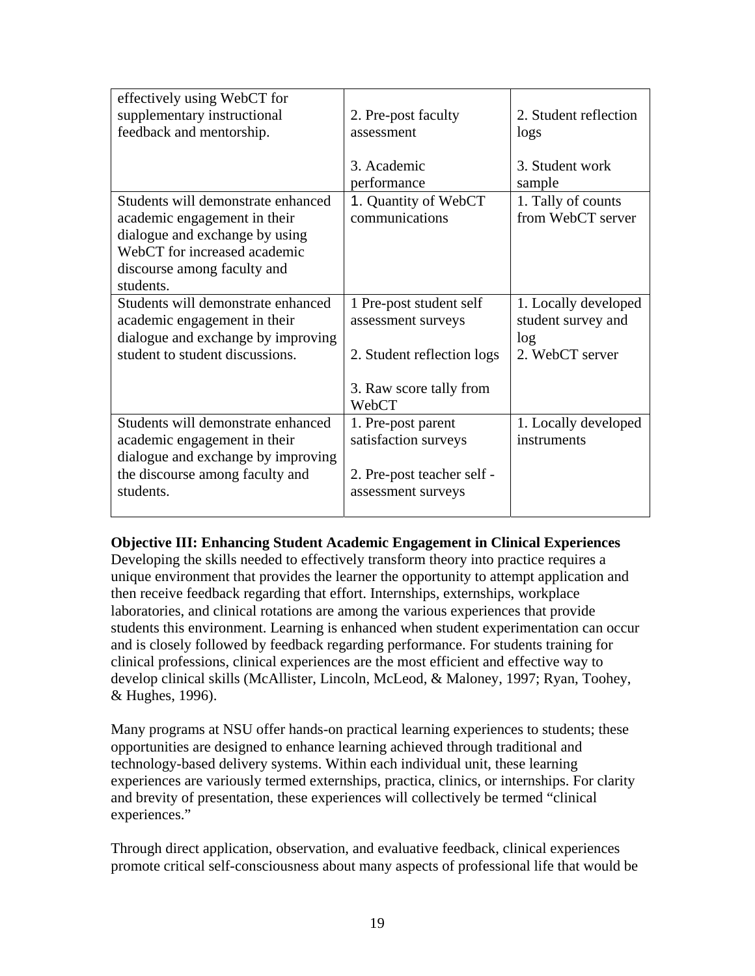| effectively using WebCT for        |                            |                       |
|------------------------------------|----------------------------|-----------------------|
| supplementary instructional        | 2. Pre-post faculty        | 2. Student reflection |
| feedback and mentorship.           | assessment                 | logs                  |
|                                    |                            |                       |
|                                    | 3. Academic                | 3. Student work       |
|                                    | performance                | sample                |
| Students will demonstrate enhanced | 1. Quantity of WebCT       | 1. Tally of counts    |
| academic engagement in their       | communications             | from WebCT server     |
| dialogue and exchange by using     |                            |                       |
| WebCT for increased academic       |                            |                       |
| discourse among faculty and        |                            |                       |
| students.                          |                            |                       |
| Students will demonstrate enhanced | 1 Pre-post student self    | 1. Locally developed  |
| academic engagement in their       | assessment surveys         | student survey and    |
| dialogue and exchange by improving |                            | log                   |
| student to student discussions.    | 2. Student reflection logs | 2. WebCT server       |
|                                    |                            |                       |
|                                    | 3. Raw score tally from    |                       |
|                                    | WebCT                      |                       |
| Students will demonstrate enhanced | 1. Pre-post parent         | 1. Locally developed  |
| academic engagement in their       | satisfaction surveys       | instruments           |
| dialogue and exchange by improving |                            |                       |
| the discourse among faculty and    | 2. Pre-post teacher self - |                       |
| students.                          | assessment surveys         |                       |
|                                    |                            |                       |

# **Objective III: Enhancing Student Academic Engagement in Clinical Experiences**

Developing the skills needed to effectively transform theory into practice requires a unique environment that provides the learner the opportunity to attempt application and then receive feedback regarding that effort. Internships, externships, workplace laboratories, and clinical rotations are among the various experiences that provide students this environment. Learning is enhanced when student experimentation can occur and is closely followed by feedback regarding performance. For students training for clinical professions, clinical experiences are the most efficient and effective way to develop clinical skills (McAllister, Lincoln, McLeod, & Maloney, 1997; Ryan, Toohey, & Hughes, 1996).

Many programs at NSU offer hands-on practical learning experiences to students; these opportunities are designed to enhance learning achieved through traditional and technology-based delivery systems. Within each individual unit, these learning experiences are variously termed externships, practica, clinics, or internships. For clarity and brevity of presentation, these experiences will collectively be termed "clinical experiences."

Through direct application, observation, and evaluative feedback, clinical experiences promote critical self-consciousness about many aspects of professional life that would be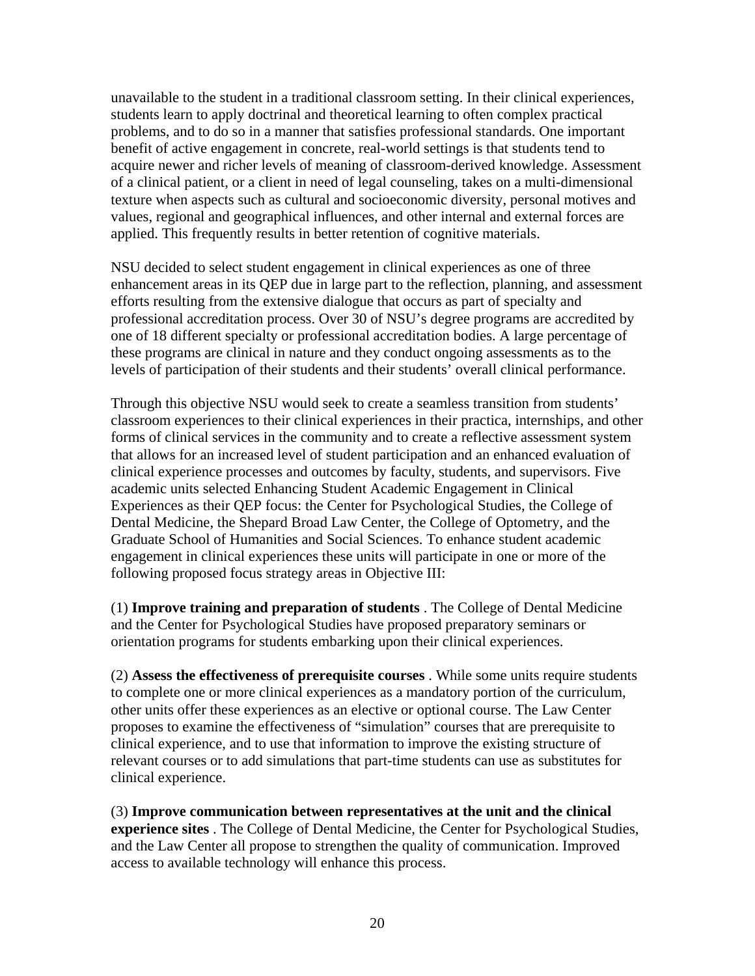unavailable to the student in a traditional classroom setting. In their clinical experiences, students learn to apply doctrinal and theoretical learning to often complex practical problems, and to do so in a manner that satisfies professional standards. One important benefit of active engagement in concrete, real-world settings is that students tend to acquire newer and richer levels of meaning of classroom-derived knowledge. Assessment of a clinical patient, or a client in need of legal counseling, takes on a multi-dimensional texture when aspects such as cultural and socioeconomic diversity, personal motives and values, regional and geographical influences, and other internal and external forces are applied. This frequently results in better retention of cognitive materials.

NSU decided to select student engagement in clinical experiences as one of three enhancement areas in its QEP due in large part to the reflection, planning, and assessment efforts resulting from the extensive dialogue that occurs as part of specialty and professional accreditation process. Over 30 of NSU's degree programs are accredited by one of 18 different specialty or professional accreditation bodies. A large percentage of these programs are clinical in nature and they conduct ongoing assessments as to the levels of participation of their students and their students' overall clinical performance.

Through this objective NSU would seek to create a seamless transition from students' classroom experiences to their clinical experiences in their practica, internships, and other forms of clinical services in the community and to create a reflective assessment system that allows for an increased level of student participation and an enhanced evaluation of clinical experience processes and outcomes by faculty, students, and supervisors. Five academic units selected Enhancing Student Academic Engagement in Clinical Experiences as their QEP focus: the Center for Psychological Studies, the College of Dental Medicine, the Shepard Broad Law Center, the College of Optometry, and the Graduate School of Humanities and Social Sciences. To enhance student academic engagement in clinical experiences these units will participate in one or more of the following proposed focus strategy areas in Objective III:

(1) **Improve training and preparation of students** . The College of Dental Medicine and the Center for Psychological Studies have proposed preparatory seminars or orientation programs for students embarking upon their clinical experiences.

(2) **Assess the effectiveness of prerequisite courses** . While some units require students to complete one or more clinical experiences as a mandatory portion of the curriculum, other units offer these experiences as an elective or optional course. The Law Center proposes to examine the effectiveness of "simulation" courses that are prerequisite to clinical experience, and to use that information to improve the existing structure of relevant courses or to add simulations that part-time students can use as substitutes for clinical experience.

(3) **Improve communication between representatives at the unit and the clinical experience sites** . The College of Dental Medicine, the Center for Psychological Studies, and the Law Center all propose to strengthen the quality of communication. Improved access to available technology will enhance this process.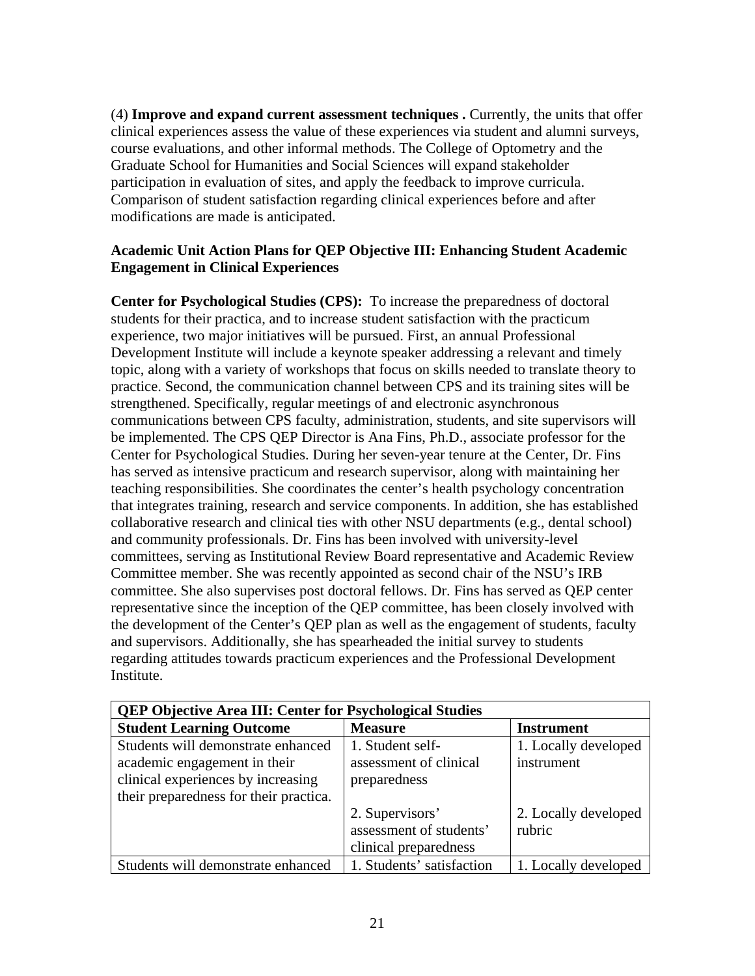(4) **Improve and expand current assessment techniques .** Currently, the units that offer clinical experiences assess the value of these experiences via student and alumni surveys, course evaluations, and other informal methods. The College of Optometry and the Graduate School for Humanities and Social Sciences will expand stakeholder participation in evaluation of sites, and apply the feedback to improve curricula. Comparison of student satisfaction regarding clinical experiences before and after modifications are made is anticipated.

# **Academic Unit Action Plans for QEP Objective III: Enhancing Student Academic Engagement in Clinical Experiences**

**Center for Psychological Studies (CPS):** To increase the preparedness of doctoral students for their practica, and to increase student satisfaction with the practicum experience, two major initiatives will be pursued. First, an annual Professional Development Institute will include a keynote speaker addressing a relevant and timely topic, along with a variety of workshops that focus on skills needed to translate theory to practice. Second, the communication channel between CPS and its training sites will be strengthened. Specifically, regular meetings of and electronic asynchronous communications between CPS faculty, administration, students, and site supervisors will be implemented. The CPS QEP Director is Ana Fins, Ph.D., associate professor for the Center for Psychological Studies. During her seven-year tenure at the Center, Dr. Fins has served as intensive practicum and research supervisor, along with maintaining her teaching responsibilities. She coordinates the center's health psychology concentration that integrates training, research and service components. In addition, she has established collaborative research and clinical ties with other NSU departments (e.g., dental school) and community professionals. Dr. Fins has been involved with university-level committees, serving as Institutional Review Board representative and Academic Review Committee member. She was recently appointed as second chair of the NSU's IRB committee. She also supervises post doctoral fellows. Dr. Fins has served as QEP center representative since the inception of the QEP committee, has been closely involved with the development of the Center's QEP plan as well as the engagement of students, faculty and supervisors. Additionally, she has spearheaded the initial survey to students regarding attitudes towards practicum experiences and the Professional Development Institute.

| <b>QEP Objective Area III: Center for Psychological Studies</b>                                                                                    |                                                                     |                                    |
|----------------------------------------------------------------------------------------------------------------------------------------------------|---------------------------------------------------------------------|------------------------------------|
| <b>Student Learning Outcome</b>                                                                                                                    | <b>Measure</b>                                                      | <b>Instrument</b>                  |
| Students will demonstrate enhanced<br>academic engagement in their<br>clinical experiences by increasing<br>their preparedness for their practica. | 1. Student self-<br>assessment of clinical<br>preparedness          | 1. Locally developed<br>instrument |
|                                                                                                                                                    | 2. Supervisors'<br>assessment of students'<br>clinical preparedness | 2. Locally developed<br>rubric     |
| Students will demonstrate enhanced                                                                                                                 | 1. Students' satisfaction                                           | 1. Locally developed               |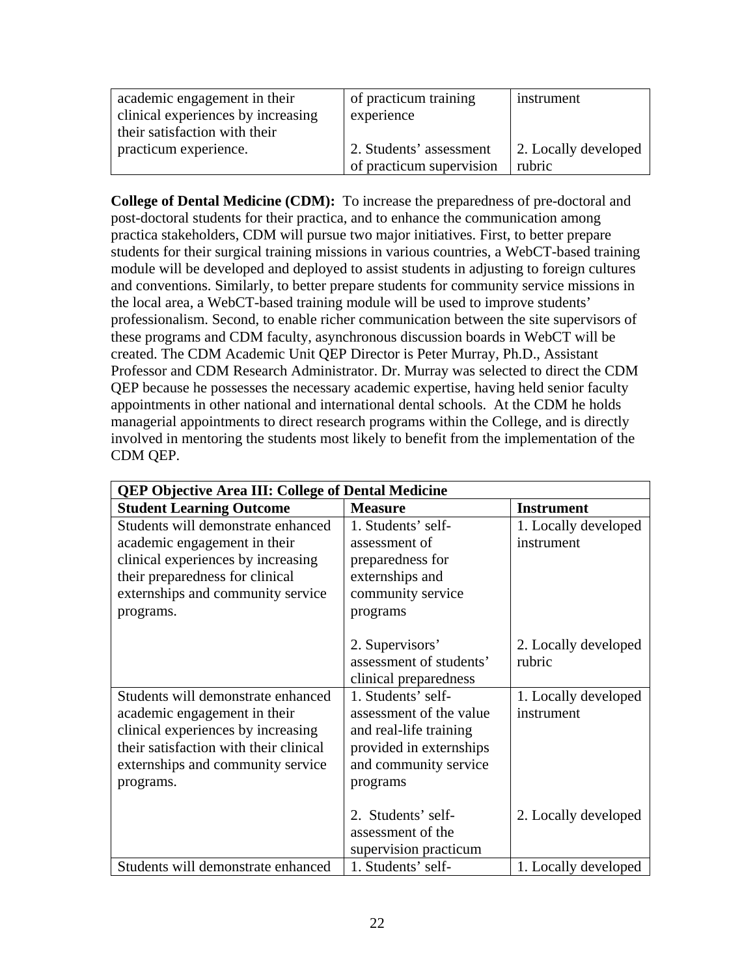| academic engagement in their       | of practicum training    | instrument           |
|------------------------------------|--------------------------|----------------------|
| clinical experiences by increasing | experience               |                      |
| their satisfaction with their      |                          |                      |
| practicum experience.              | 2. Students' assessment  | 2. Locally developed |
|                                    | of practicum supervision | rubric               |

**College of Dental Medicine (CDM):** To increase the preparedness of pre-doctoral and post-doctoral students for their practica, and to enhance the communication among practica stakeholders, CDM will pursue two major initiatives. First, to better prepare students for their surgical training missions in various countries, a WebCT-based training module will be developed and deployed to assist students in adjusting to foreign cultures and conventions. Similarly, to better prepare students for community service missions in the local area, a WebCT-based training module will be used to improve students' professionalism. Second, to enable richer communication between the site supervisors of these programs and CDM faculty, asynchronous discussion boards in WebCT will be created. The CDM Academic Unit QEP Director is Peter Murray, Ph.D., Assistant Professor and CDM Research Administrator. Dr. Murray was selected to direct the CDM QEP because he possesses the necessary academic expertise, having held senior faculty appointments in other national and international dental schools. At the CDM he holds managerial appointments to direct research programs within the College, and is directly involved in mentoring the students most likely to benefit from the implementation of the CDM QEP.

| <b>QEP Objective Area III: College of Dental Medicine</b> |                         |                      |
|-----------------------------------------------------------|-------------------------|----------------------|
| <b>Student Learning Outcome</b>                           | <b>Measure</b>          | <b>Instrument</b>    |
| Students will demonstrate enhanced                        | 1. Students' self-      | 1. Locally developed |
| academic engagement in their                              | assessment of           | instrument           |
| clinical experiences by increasing                        | preparedness for        |                      |
| their preparedness for clinical                           | externships and         |                      |
| externships and community service                         | community service       |                      |
| programs.                                                 | programs                |                      |
|                                                           |                         |                      |
|                                                           | 2. Supervisors'         | 2. Locally developed |
|                                                           | assessment of students' | rubric               |
|                                                           | clinical preparedness   |                      |
| Students will demonstrate enhanced                        | 1. Students' self-      | 1. Locally developed |
| academic engagement in their                              | assessment of the value | instrument           |
| clinical experiences by increasing                        | and real-life training  |                      |
| their satisfaction with their clinical                    | provided in externships |                      |
| externships and community service                         | and community service   |                      |
| programs.                                                 | programs                |                      |
|                                                           |                         |                      |
|                                                           | 2. Students' self-      | 2. Locally developed |
|                                                           | assessment of the       |                      |
|                                                           | supervision practicum   |                      |
| Students will demonstrate enhanced                        | 1. Students' self-      | 1. Locally developed |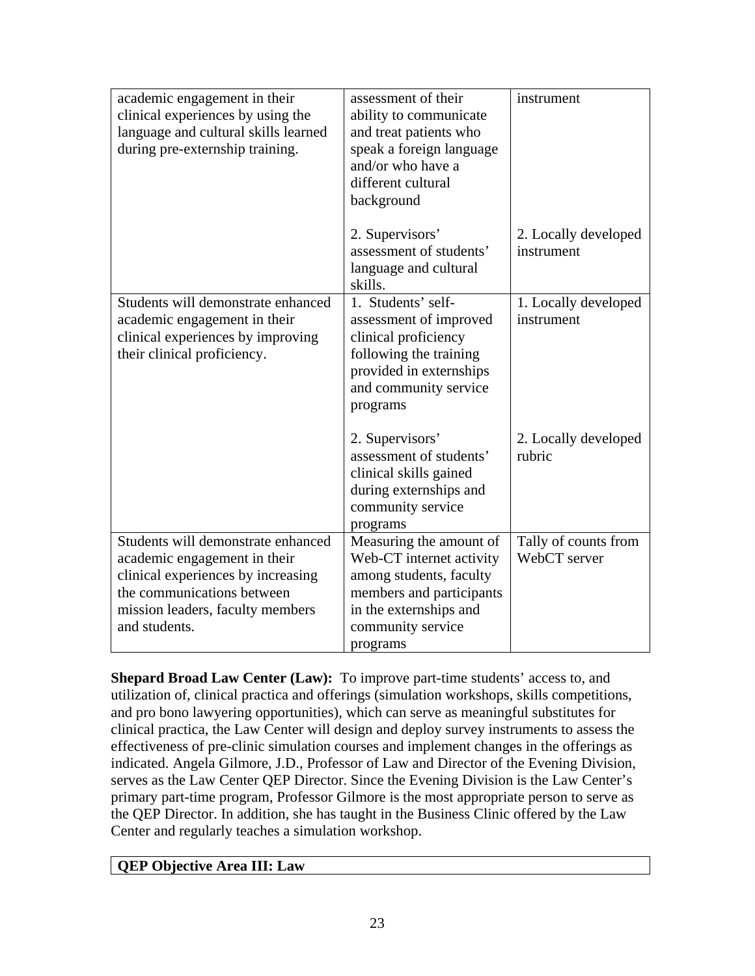| academic engagement in their<br>clinical experiences by using the<br>language and cultural skills learned<br>during pre-externship training.                                                | assessment of their<br>ability to communicate<br>and treat patients who<br>speak a foreign language<br>and/or who have a<br>different cultural<br>background          | instrument                           |
|---------------------------------------------------------------------------------------------------------------------------------------------------------------------------------------------|-----------------------------------------------------------------------------------------------------------------------------------------------------------------------|--------------------------------------|
|                                                                                                                                                                                             | 2. Supervisors'<br>assessment of students'<br>language and cultural<br>skills.                                                                                        | 2. Locally developed<br>instrument   |
| Students will demonstrate enhanced<br>academic engagement in their<br>clinical experiences by improving<br>their clinical proficiency.                                                      | 1. Students' self-<br>assessment of improved<br>clinical proficiency<br>following the training<br>provided in externships<br>and community service<br>programs        | 1. Locally developed<br>instrument   |
|                                                                                                                                                                                             | 2. Supervisors'<br>assessment of students'<br>clinical skills gained<br>during externships and<br>community service<br>programs                                       | 2. Locally developed<br>rubric       |
| Students will demonstrate enhanced<br>academic engagement in their<br>clinical experiences by increasing<br>the communications between<br>mission leaders, faculty members<br>and students. | Measuring the amount of<br>Web-CT internet activity<br>among students, faculty<br>members and participants<br>in the externships and<br>community service<br>programs | Tally of counts from<br>WebCT server |

**Shepard Broad Law Center (Law):** To improve part-time students' access to, and utilization of, clinical practica and offerings (simulation workshops, skills competitions, and pro bono lawyering opportunities), which can serve as meaningful substitutes for clinical practica, the Law Center will design and deploy survey instruments to assess the effectiveness of pre-clinic simulation courses and implement changes in the offerings as indicated. Angela Gilmore, J.D., Professor of Law and Director of the Evening Division, serves as the Law Center QEP Director. Since the Evening Division is the Law Center's primary part-time program, Professor Gilmore is the most appropriate person to serve as the QEP Director. In addition, she has taught in the Business Clinic offered by the Law Center and regularly teaches a simulation workshop.

#### **QEP Objective Area III: Law**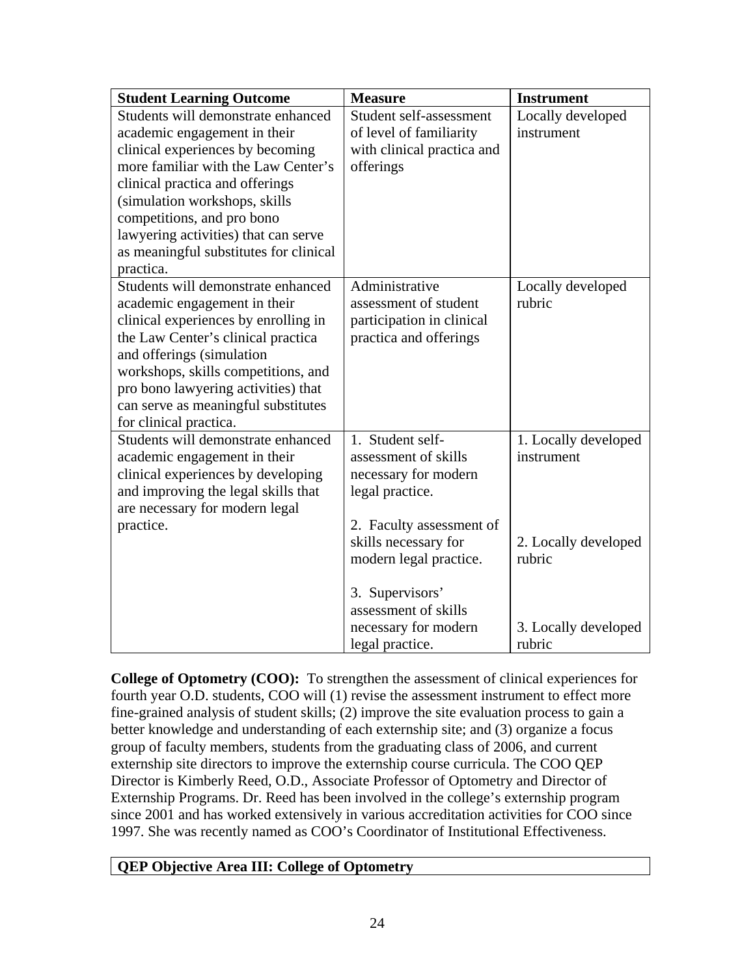| <b>Student Learning Outcome</b>        | <b>Measure</b>             | <b>Instrument</b>    |
|----------------------------------------|----------------------------|----------------------|
| Students will demonstrate enhanced     | Student self-assessment    | Locally developed    |
| academic engagement in their           | of level of familiarity    | instrument           |
| clinical experiences by becoming       | with clinical practica and |                      |
| more familiar with the Law Center's    | offerings                  |                      |
| clinical practica and offerings        |                            |                      |
| (simulation workshops, skills          |                            |                      |
| competitions, and pro bono             |                            |                      |
| lawyering activities) that can serve   |                            |                      |
| as meaningful substitutes for clinical |                            |                      |
| practica.                              |                            |                      |
| Students will demonstrate enhanced     | Administrative             | Locally developed    |
| academic engagement in their           | assessment of student      | rubric               |
| clinical experiences by enrolling in   | participation in clinical  |                      |
| the Law Center's clinical practica     | practica and offerings     |                      |
| and offerings (simulation              |                            |                      |
| workshops, skills competitions, and    |                            |                      |
| pro bono lawyering activities) that    |                            |                      |
| can serve as meaningful substitutes    |                            |                      |
| for clinical practica.                 |                            |                      |
| Students will demonstrate enhanced     | 1. Student self-           | 1. Locally developed |
| academic engagement in their           | assessment of skills       | instrument           |
| clinical experiences by developing     | necessary for modern       |                      |
| and improving the legal skills that    | legal practice.            |                      |
| are necessary for modern legal         |                            |                      |
| practice.                              | 2. Faculty assessment of   |                      |
|                                        | skills necessary for       | 2. Locally developed |
|                                        | modern legal practice.     | rubric               |
|                                        |                            |                      |
|                                        | 3. Supervisors'            |                      |
|                                        | assessment of skills       |                      |
|                                        | necessary for modern       | 3. Locally developed |
|                                        | legal practice.            | rubric               |

**College of Optometry (COO):** To strengthen the assessment of clinical experiences for fourth year O.D. students, COO will (1) revise the assessment instrument to effect more fine-grained analysis of student skills; (2) improve the site evaluation process to gain a better knowledge and understanding of each externship site; and (3) organize a focus group of faculty members, students from the graduating class of 2006, and current externship site directors to improve the externship course curricula. The COO QEP Director is Kimberly Reed, O.D., Associate Professor of Optometry and Director of Externship Programs. Dr. Reed has been involved in the college's externship program since 2001 and has worked extensively in various accreditation activities for COO since 1997. She was recently named as COO's Coordinator of Institutional Effectiveness.

# **QEP Objective Area III: College of Optometry**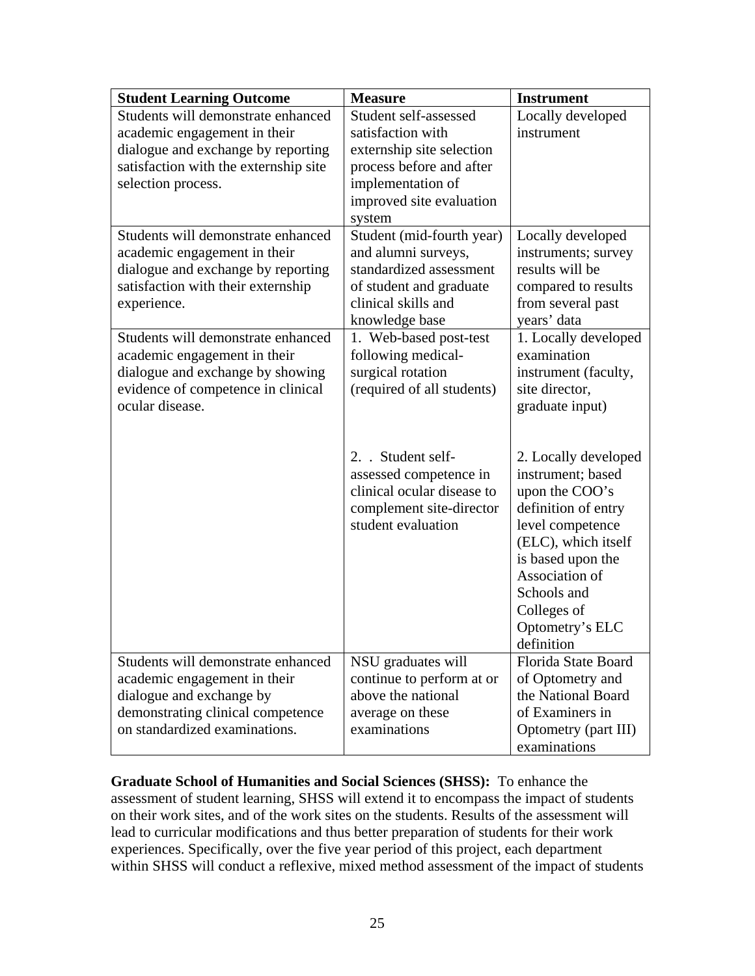| <b>Student Learning Outcome</b>       | <b>Measure</b>             | <b>Instrument</b>    |
|---------------------------------------|----------------------------|----------------------|
| Students will demonstrate enhanced    | Student self-assessed      | Locally developed    |
| academic engagement in their          | satisfaction with          | instrument           |
| dialogue and exchange by reporting    | externship site selection  |                      |
| satisfaction with the externship site | process before and after   |                      |
| selection process.                    | implementation of          |                      |
|                                       | improved site evaluation   |                      |
|                                       | system                     |                      |
| Students will demonstrate enhanced    | Student (mid-fourth year)  | Locally developed    |
| academic engagement in their          | and alumni surveys,        | instruments; survey  |
| dialogue and exchange by reporting    | standardized assessment    | results will be      |
| satisfaction with their externship    | of student and graduate    | compared to results  |
| experience.                           | clinical skills and        | from several past    |
|                                       | knowledge base             | years' data          |
| Students will demonstrate enhanced    | 1. Web-based post-test     | 1. Locally developed |
| academic engagement in their          | following medical-         | examination          |
| dialogue and exchange by showing      | surgical rotation          | instrument (faculty, |
| evidence of competence in clinical    | (required of all students) | site director,       |
| ocular disease.                       |                            | graduate input)      |
|                                       |                            |                      |
|                                       |                            |                      |
|                                       | 2. Student self-           | 2. Locally developed |
|                                       | assessed competence in     | instrument; based    |
|                                       | clinical ocular disease to | upon the COO's       |
|                                       | complement site-director   | definition of entry  |
|                                       | student evaluation         | level competence     |
|                                       |                            | (ELC), which itself  |
|                                       |                            | is based upon the    |
|                                       |                            | Association of       |
|                                       |                            | Schools and          |
|                                       |                            | Colleges of          |
|                                       |                            | Optometry's ELC      |
|                                       |                            | definition           |
| Students will demonstrate enhanced    | NSU graduates will         | Florida State Board  |
| academic engagement in their          | continue to perform at or  | of Optometry and     |
| dialogue and exchange by              | above the national         | the National Board   |
| demonstrating clinical competence     | average on these           | of Examiners in      |
| on standardized examinations.         | examinations               | Optometry (part III) |
|                                       |                            | examinations         |

**Graduate School of Humanities and Social Sciences (SHSS):** To enhance the assessment of student learning, SHSS will extend it to encompass the impact of students on their work sites, and of the work sites on the students. Results of the assessment will lead to curricular modifications and thus better preparation of students for their work experiences. Specifically, over the five year period of this project, each department within SHSS will conduct a reflexive, mixed method assessment of the impact of students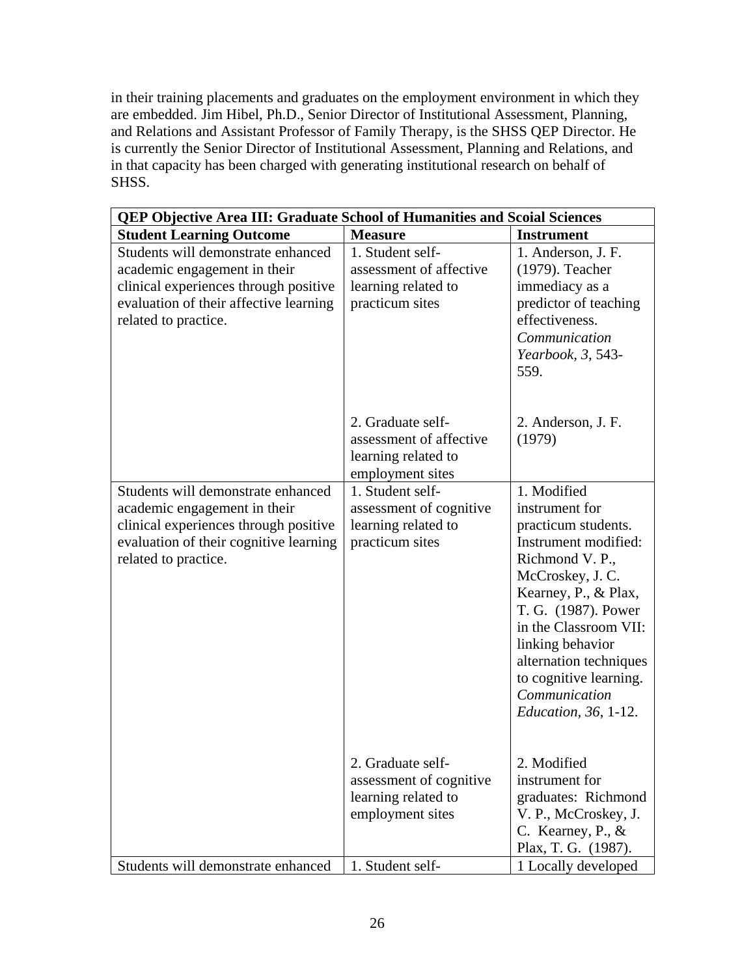in their training placements and graduates on the employment environment in which they are embedded. Jim Hibel, Ph.D., Senior Director of Institutional Assessment, Planning, and Relations and Assistant Professor of Family Therapy, is the SHSS QEP Director. He is currently the Senior Director of Institutional Assessment, Planning and Relations, and in that capacity has been charged with generating institutional research on behalf of SHSS.

| QEP Objective Area III: Graduate School of Humanities and Scoial Sciences                                                                                                     |                                                                                         |                                                                                                                                                                                                                                                                                                                     |
|-------------------------------------------------------------------------------------------------------------------------------------------------------------------------------|-----------------------------------------------------------------------------------------|---------------------------------------------------------------------------------------------------------------------------------------------------------------------------------------------------------------------------------------------------------------------------------------------------------------------|
| <b>Student Learning Outcome</b>                                                                                                                                               | <b>Measure</b>                                                                          | <b>Instrument</b>                                                                                                                                                                                                                                                                                                   |
| Students will demonstrate enhanced<br>academic engagement in their<br>clinical experiences through positive<br>evaluation of their affective learning<br>related to practice. | 1. Student self-<br>assessment of affective<br>learning related to<br>practicum sites   | 1. Anderson, J. F.<br>(1979). Teacher<br>immediacy as a<br>predictor of teaching<br>effectiveness.<br>Communication<br>Yearbook, 3, 543-<br>559.                                                                                                                                                                    |
|                                                                                                                                                                               | 2. Graduate self-<br>assessment of affective<br>learning related to<br>employment sites | 2. Anderson, J. F.<br>(1979)                                                                                                                                                                                                                                                                                        |
| Students will demonstrate enhanced<br>academic engagement in their<br>clinical experiences through positive<br>evaluation of their cognitive learning<br>related to practice. | 1. Student self-<br>assessment of cognitive<br>learning related to<br>practicum sites   | 1. Modified<br>instrument for<br>practicum students.<br>Instrument modified:<br>Richmond V. P.,<br>McCroskey, J. C.<br>Kearney, P., & Plax,<br>T. G. (1987). Power<br>in the Classroom VII:<br>linking behavior<br>alternation techniques<br>to cognitive learning.<br>Communication<br><i>Education, 36, 1-12.</i> |
|                                                                                                                                                                               | 2. Graduate self-<br>assessment of cognitive<br>learning related to<br>employment sites | 2. Modified<br>instrument for<br>graduates: Richmond<br>V. P., McCroskey, J.<br>C. Kearney, P., $&$<br>Plax, T. G. (1987).                                                                                                                                                                                          |
| Students will demonstrate enhanced                                                                                                                                            | 1. Student self-                                                                        | 1 Locally developed                                                                                                                                                                                                                                                                                                 |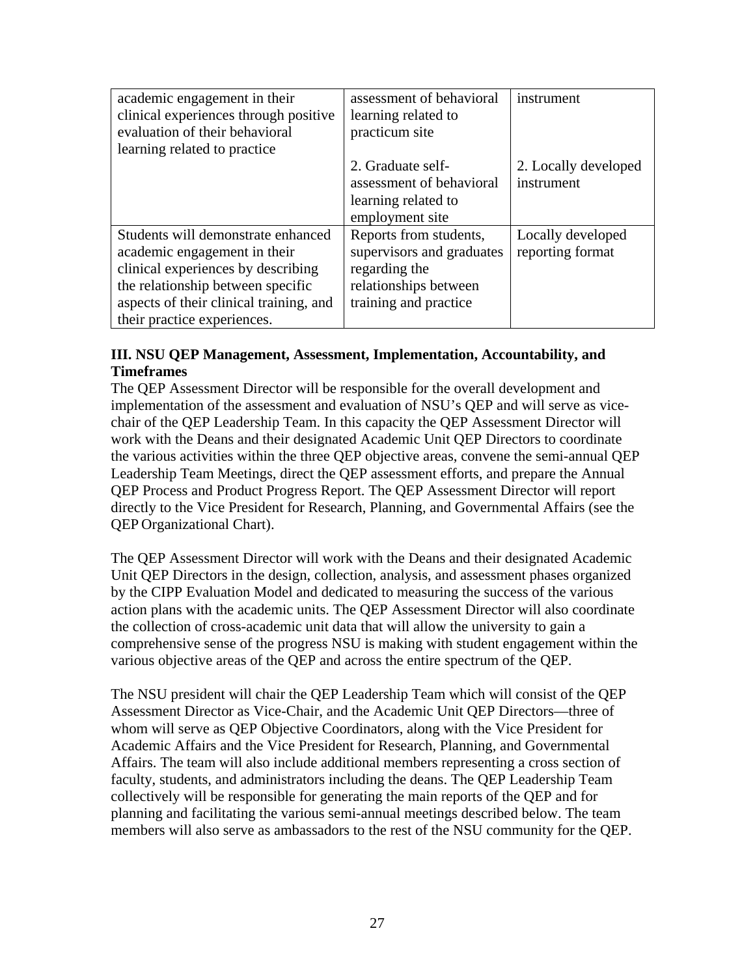| academic engagement in their            | assessment of behavioral  | instrument           |
|-----------------------------------------|---------------------------|----------------------|
| clinical experiences through positive   | learning related to       |                      |
| evaluation of their behavioral          | practicum site            |                      |
| learning related to practice            |                           |                      |
|                                         | 2. Graduate self-         | 2. Locally developed |
|                                         | assessment of behavioral  | instrument           |
|                                         | learning related to       |                      |
|                                         | employment site           |                      |
| Students will demonstrate enhanced      | Reports from students,    | Locally developed    |
| academic engagement in their            | supervisors and graduates | reporting format     |
| clinical experiences by describing      | regarding the             |                      |
| the relationship between specific       | relationships between     |                      |
| aspects of their clinical training, and | training and practice     |                      |
| their practice experiences.             |                           |                      |

## **III. NSU QEP Management, Assessment, Implementation, Accountability, and Timeframes**

The QEP Assessment Director will be responsible for the overall development and implementation of the assessment and evaluation of NSU's QEP and will serve as vicechair of the QEP Leadership Team. In this capacity the QEP Assessment Director will work with the Deans and their designated Academic Unit QEP Directors to coordinate the various activities within the three QEP objective areas, convene the semi-annual QEP Leadership Team Meetings, direct the QEP assessment efforts, and prepare the Annual QEP Process and Product Progress Report. The QEP Assessment Director will report directly to the Vice President for Research, Planning, and Governmental Affairs (see the QEP Organizational Chart).

The QEP Assessment Director will work with the Deans and their designated Academic Unit QEP Directors in the design, collection, analysis, and assessment phases organized by the CIPP Evaluation Model and dedicated to measuring the success of the various action plans with the academic units. The QEP Assessment Director will also coordinate the collection of cross-academic unit data that will allow the university to gain a comprehensive sense of the progress NSU is making with student engagement within the various objective areas of the QEP and across the entire spectrum of the QEP.

The NSU president will chair the QEP Leadership Team which will consist of the QEP Assessment Director as Vice-Chair, and the Academic Unit QEP Directors—three of whom will serve as QEP Objective Coordinators, along with the Vice President for Academic Affairs and the Vice President for Research, Planning, and Governmental Affairs. The team will also include additional members representing a cross section of faculty, students, and administrators including the deans. The QEP Leadership Team collectively will be responsible for generating the main reports of the QEP and for planning and facilitating the various semi-annual meetings described below. The team members will also serve as ambassadors to the rest of the NSU community for the QEP.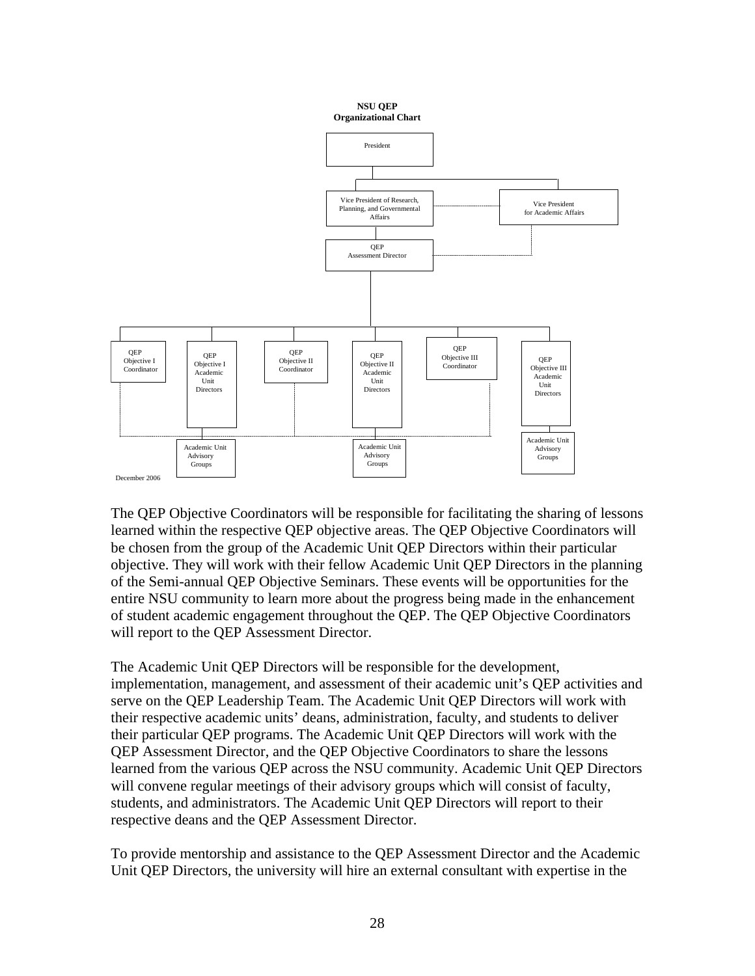

The QEP Objective Coordinators will be responsible for facilitating the sharing of lessons learned within the respective QEP objective areas. The QEP Objective Coordinators will be chosen from the group of the Academic Unit QEP Directors within their particular objective. They will work with their fellow Academic Unit QEP Directors in the planning of the Semi-annual QEP Objective Seminars. These events will be opportunities for the entire NSU community to learn more about the progress being made in the enhancement of student academic engagement throughout the QEP. The QEP Objective Coordinators will report to the QEP Assessment Director.

The Academic Unit QEP Directors will be responsible for the development, implementation, management, and assessment of their academic unit's QEP activities and serve on the QEP Leadership Team. The Academic Unit QEP Directors will work with their respective academic units' deans, administration, faculty, and students to deliver their particular QEP programs. The Academic Unit QEP Directors will work with the QEP Assessment Director, and the QEP Objective Coordinators to share the lessons learned from the various QEP across the NSU community. Academic Unit QEP Directors will convene regular meetings of their advisory groups which will consist of faculty, students, and administrators. The Academic Unit QEP Directors will report to their respective deans and the QEP Assessment Director.

To provide mentorship and assistance to the QEP Assessment Director and the Academic Unit QEP Directors, the university will hire an external consultant with expertise in the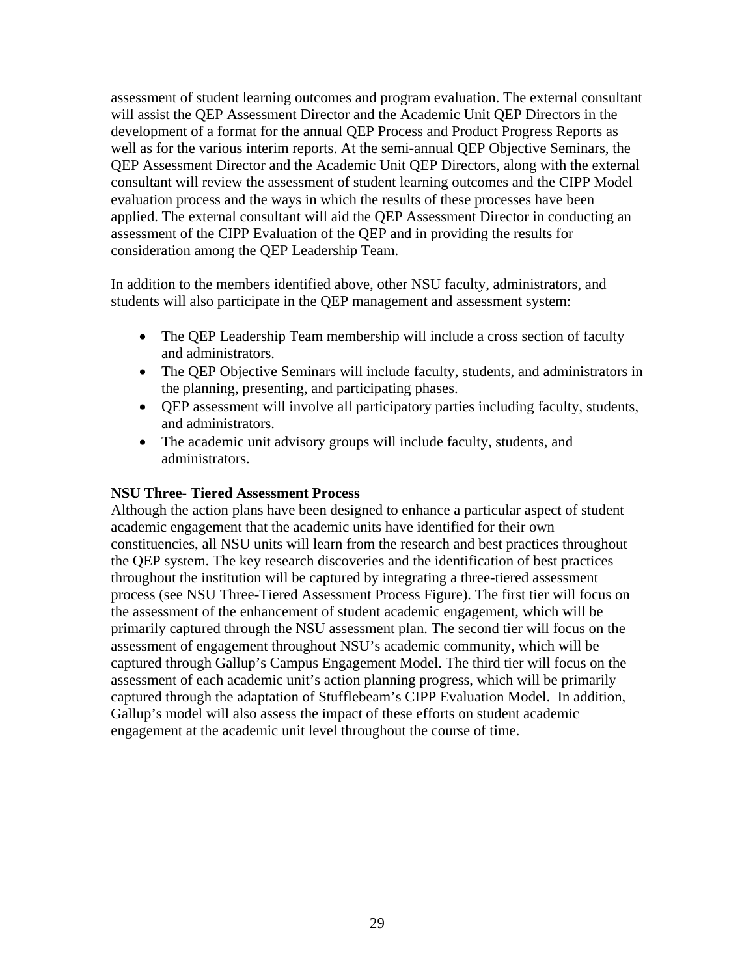assessment of student learning outcomes and program evaluation. The external consultant will assist the QEP Assessment Director and the Academic Unit QEP Directors in the development of a format for the annual QEP Process and Product Progress Reports as well as for the various interim reports. At the semi-annual QEP Objective Seminars, the QEP Assessment Director and the Academic Unit QEP Directors, along with the external consultant will review the assessment of student learning outcomes and the CIPP Model evaluation process and the ways in which the results of these processes have been applied. The external consultant will aid the QEP Assessment Director in conducting an assessment of the CIPP Evaluation of the QEP and in providing the results for consideration among the QEP Leadership Team.

In addition to the members identified above, other NSU faculty, administrators, and students will also participate in the QEP management and assessment system:

- The QEP Leadership Team membership will include a cross section of faculty and administrators.
- The QEP Objective Seminars will include faculty, students, and administrators in the planning, presenting, and participating phases.
- QEP assessment will involve all participatory parties including faculty, students, and administrators.
- The academic unit advisory groups will include faculty, students, and administrators.

#### **NSU Three- Tiered Assessment Process**

Although the action plans have been designed to enhance a particular aspect of student academic engagement that the academic units have identified for their own constituencies, all NSU units will learn from the research and best practices throughout the QEP system. The key research discoveries and the identification of best practices throughout the institution will be captured by integrating a three-tiered assessment process (see NSU Three-Tiered Assessment Process Figure). The first tier will focus on the assessment of the enhancement of student academic engagement, which will be primarily captured through the NSU assessment plan. The second tier will focus on the assessment of engagement throughout NSU's academic community, which will be captured through Gallup's Campus Engagement Model. The third tier will focus on the assessment of each academic unit's action planning progress, which will be primarily captured through the adaptation of Stufflebeam's CIPP Evaluation Model. In addition, Gallup's model will also assess the impact of these efforts on student academic engagement at the academic unit level throughout the course of time.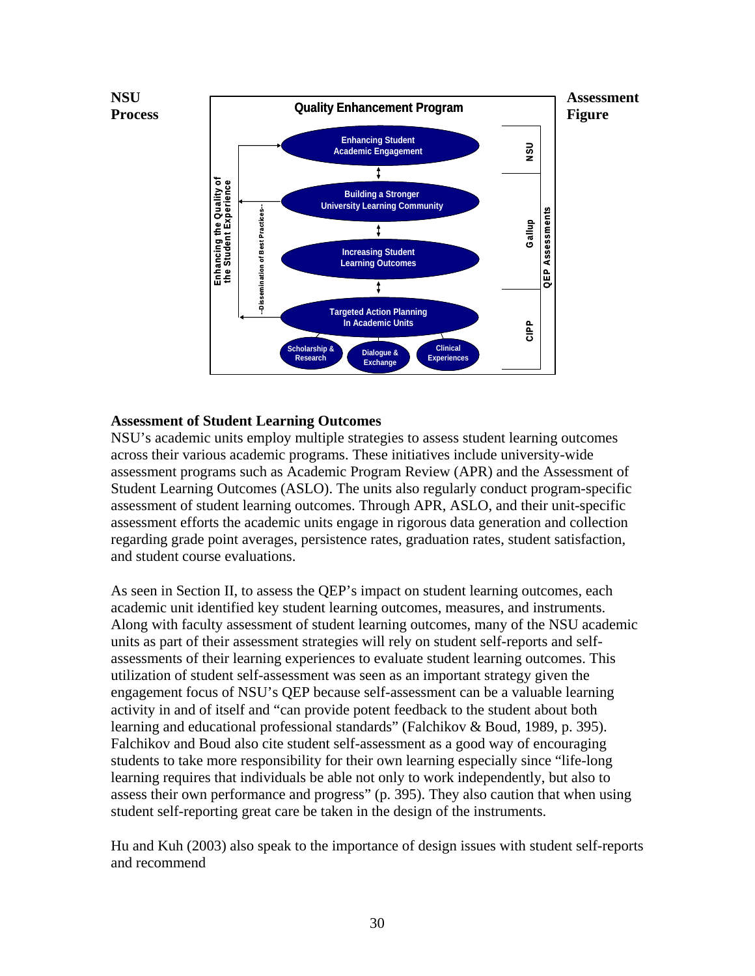

#### **Assessment of Student Learning Outcomes**

NSU's academic units employ multiple strategies to assess student learning outcomes across their various academic programs. These initiatives include university-wide assessment programs such as Academic Program Review (APR) and the Assessment of Student Learning Outcomes (ASLO). The units also regularly conduct program-specific assessment of student learning outcomes. Through APR, ASLO, and their unit-specific assessment efforts the academic units engage in rigorous data generation and collection regarding grade point averages, persistence rates, graduation rates, student satisfaction, and student course evaluations.

As seen in Section II, to assess the QEP's impact on student learning outcomes, each academic unit identified key student learning outcomes, measures, and instruments. Along with faculty assessment of student learning outcomes, many of the NSU academic units as part of their assessment strategies will rely on student self-reports and selfassessments of their learning experiences to evaluate student learning outcomes. This utilization of student self-assessment was seen as an important strategy given the engagement focus of NSU's QEP because self-assessment can be a valuable learning activity in and of itself and "can provide potent feedback to the student about both learning and educational professional standards" (Falchikov & Boud, 1989, p. 395). Falchikov and Boud also cite student self-assessment as a good way of encouraging students to take more responsibility for their own learning especially since "life-long learning requires that individuals be able not only to work independently, but also to assess their own performance and progress" (p. 395). They also caution that when using student self-reporting great care be taken in the design of the instruments.

Hu and Kuh (2003) also speak to the importance of design issues with student self-reports and recommend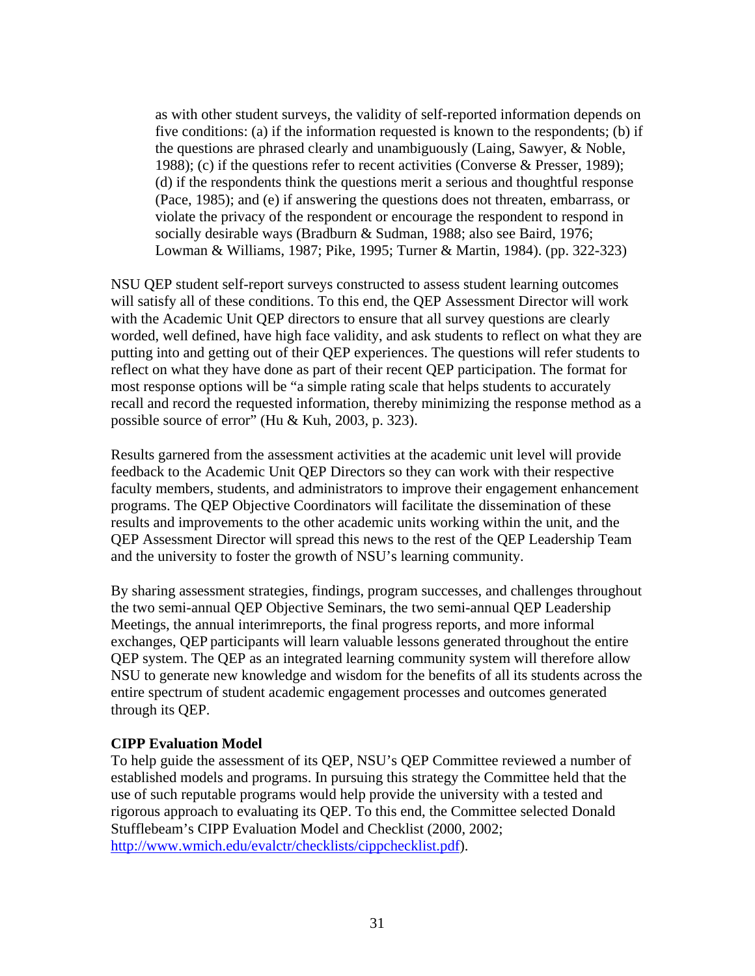as with other student surveys, the validity of self-reported information depends on five conditions: (a) if the information requested is known to the respondents; (b) if the questions are phrased clearly and unambiguously (Laing, Sawyer, & Noble, 1988); (c) if the questions refer to recent activities (Converse & Presser, 1989); (d) if the respondents think the questions merit a serious and thoughtful response (Pace, 1985); and (e) if answering the questions does not threaten, embarrass, or violate the privacy of the respondent or encourage the respondent to respond in socially desirable ways (Bradburn & Sudman, 1988; also see Baird, 1976; Lowman & Williams, 1987; Pike, 1995; Turner & Martin, 1984). (pp. 322-323)

NSU QEP student self-report surveys constructed to assess student learning outcomes will satisfy all of these conditions. To this end, the QEP Assessment Director will work with the Academic Unit QEP directors to ensure that all survey questions are clearly worded, well defined, have high face validity, and ask students to reflect on what they are putting into and getting out of their QEP experiences. The questions will refer students to reflect on what they have done as part of their recent QEP participation. The format for most response options will be "a simple rating scale that helps students to accurately recall and record the requested information, thereby minimizing the response method as a possible source of error" (Hu & Kuh, 2003, p. 323).

Results garnered from the assessment activities at the academic unit level will provide feedback to the Academic Unit QEP Directors so they can work with their respective faculty members, students, and administrators to improve their engagement enhancement programs. The QEP Objective Coordinators will facilitate the dissemination of these results and improvements to the other academic units working within the unit, and the QEP Assessment Director will spread this news to the rest of the QEP Leadership Team and the university to foster the growth of NSU's learning community.

By sharing assessment strategies, findings, program successes, and challenges throughout the two semi-annual QEP Objective Seminars, the two semi-annual QEP Leadership Meetings, the annual interimreports, the final progress reports, and more informal exchanges, QEP participants will learn valuable lessons generated throughout the entire QEP system. The QEP as an integrated learning community system will therefore allow NSU to generate new knowledge and wisdom for the benefits of all its students across the entire spectrum of student academic engagement processes and outcomes generated through its QEP.

#### **CIPP Evaluation Model**

To help guide the assessment of its QEP, NSU's QEP Committee reviewed a number of established models and programs. In pursuing this strategy the Committee held that the use of such reputable programs would help provide the university with a tested and rigorous approach to evaluating its QEP. To this end, the Committee selected Donald Stufflebeam's CIPP Evaluation Model and Checklist (2000, 2002; http://www.wmich.edu/evalctr/checklists/cippchecklist.pdf).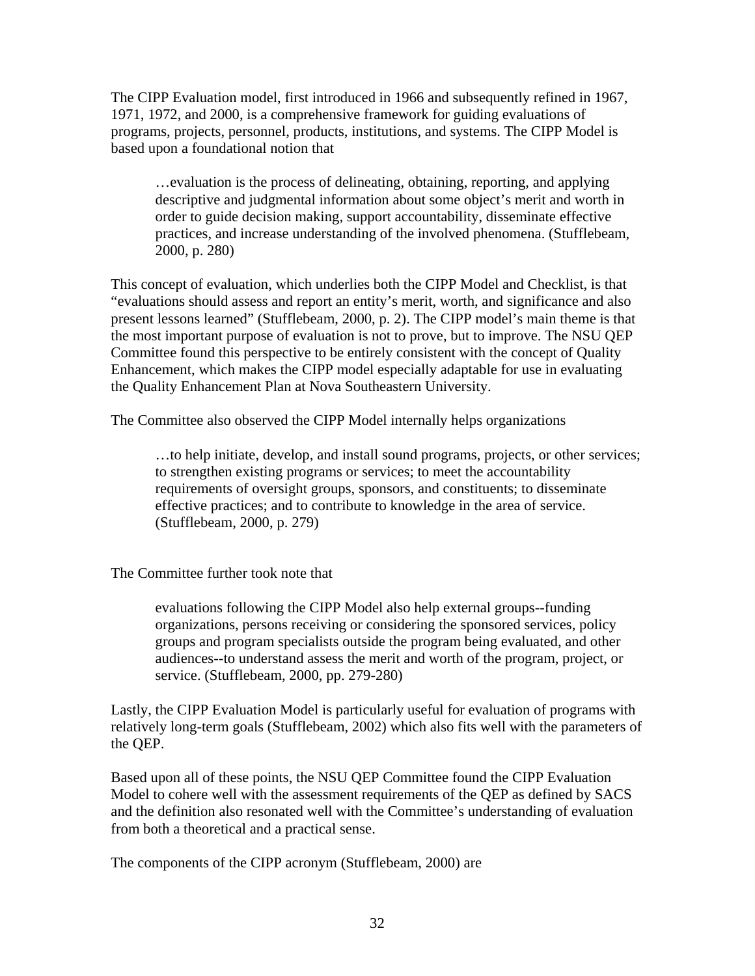The CIPP Evaluation model, first introduced in 1966 and subsequently refined in 1967, 1971, 1972, and 2000, is a comprehensive framework for guiding evaluations of programs, projects, personnel, products, institutions, and systems. The CIPP Model is based upon a foundational notion that

…evaluation is the process of delineating, obtaining, reporting, and applying descriptive and judgmental information about some object's merit and worth in order to guide decision making, support accountability, disseminate effective practices, and increase understanding of the involved phenomena. (Stufflebeam, 2000, p. 280)

This concept of evaluation, which underlies both the CIPP Model and Checklist, is that "evaluations should assess and report an entity's merit, worth, and significance and also present lessons learned" (Stufflebeam, 2000, p. 2). The CIPP model's main theme is that the most important purpose of evaluation is not to prove, but to improve. The NSU QEP Committee found this perspective to be entirely consistent with the concept of Quality Enhancement, which makes the CIPP model especially adaptable for use in evaluating the Quality Enhancement Plan at Nova Southeastern University.

The Committee also observed the CIPP Model internally helps organizations

…to help initiate, develop, and install sound programs, projects, or other services; to strengthen existing programs or services; to meet the accountability requirements of oversight groups, sponsors, and constituents; to disseminate effective practices; and to contribute to knowledge in the area of service. (Stufflebeam, 2000, p. 279)

The Committee further took note that

evaluations following the CIPP Model also help external groups--funding organizations, persons receiving or considering the sponsored services, policy groups and program specialists outside the program being evaluated, and other audiences--to understand assess the merit and worth of the program, project, or service. (Stufflebeam, 2000, pp. 279-280)

Lastly, the CIPP Evaluation Model is particularly useful for evaluation of programs with relatively long-term goals (Stufflebeam, 2002) which also fits well with the parameters of the QEP.

Based upon all of these points, the NSU QEP Committee found the CIPP Evaluation Model to cohere well with the assessment requirements of the QEP as defined by SACS and the definition also resonated well with the Committee's understanding of evaluation from both a theoretical and a practical sense.

The components of the CIPP acronym (Stufflebeam, 2000) are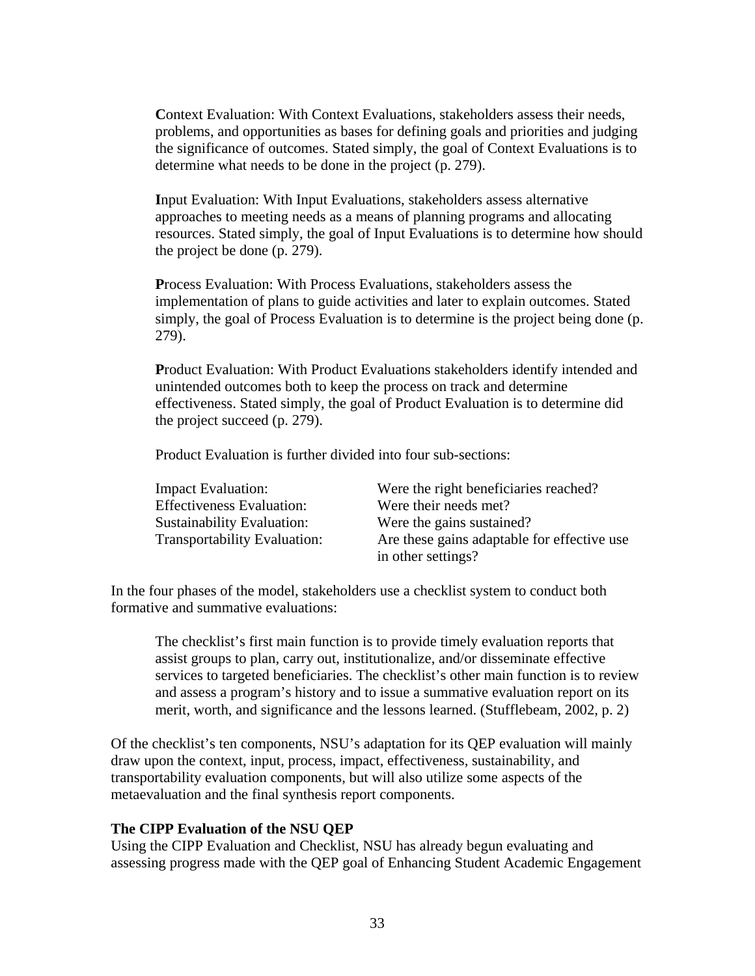**Context Evaluation: With Context Evaluations, stakeholders assess their needs,** problems, and opportunities as bases for defining goals and priorities and judging the significance of outcomes. Stated simply, the goal of Context Evaluations is to determine what needs to be done in the project (p. 279).

**I**nput Evaluation: With Input Evaluations, stakeholders assess alternative approaches to meeting needs as a means of planning programs and allocating resources. Stated simply, the goal of Input Evaluations is to determine how should the project be done (p. 279).

**P**rocess Evaluation: With Process Evaluations, stakeholders assess the implementation of plans to guide activities and later to explain outcomes. Stated simply, the goal of Process Evaluation is to determine is the project being done (p. 279).

**P**roduct Evaluation: With Product Evaluations stakeholders identify intended and unintended outcomes both to keep the process on track and determine effectiveness. Stated simply, the goal of Product Evaluation is to determine did the project succeed (p. 279).

Product Evaluation is further divided into four sub-sections:

| <b>Impact Evaluation:</b>           | Were the right beneficiaries reached?       |
|-------------------------------------|---------------------------------------------|
| <b>Effectiveness Evaluation:</b>    | Were their needs met?                       |
| <b>Sustainability Evaluation:</b>   | Were the gains sustained?                   |
| <b>Transportability Evaluation:</b> | Are these gains adaptable for effective use |
|                                     | in other settings?                          |

In the four phases of the model, stakeholders use a checklist system to conduct both formative and summative evaluations:

The checklist's first main function is to provide timely evaluation reports that assist groups to plan, carry out, institutionalize, and/or disseminate effective services to targeted beneficiaries. The checklist's other main function is to review and assess a program's history and to issue a summative evaluation report on its merit, worth, and significance and the lessons learned. (Stufflebeam, 2002, p. 2)

Of the checklist's ten components, NSU's adaptation for its QEP evaluation will mainly draw upon the context, input, process, impact, effectiveness, sustainability, and transportability evaluation components, but will also utilize some aspects of the metaevaluation and the final synthesis report components.

### **The CIPP Evaluation of the NSU QEP**

Using the CIPP Evaluation and Checklist, NSU has already begun evaluating and assessing progress made with the QEP goal of Enhancing Student Academic Engagement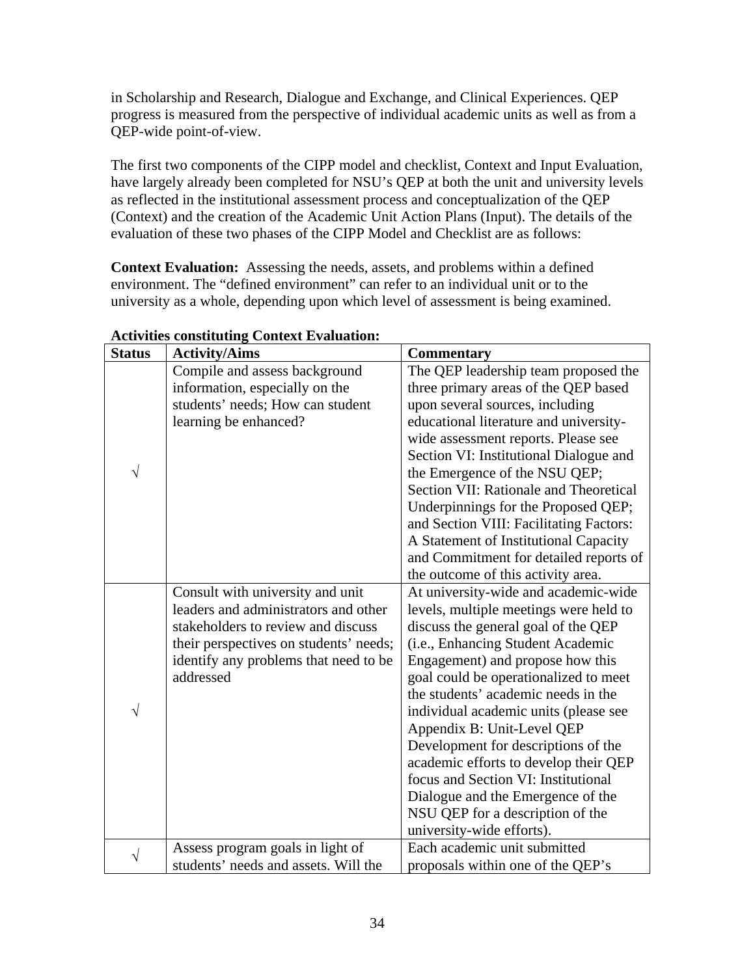in Scholarship and Research, Dialogue and Exchange, and Clinical Experiences. QEP progress is measured from the perspective of individual academic units as well as from a QEP-wide point-of-view.

The first two components of the CIPP model and checklist, Context and Input Evaluation, have largely already been completed for NSU's QEP at both the unit and university levels as reflected in the institutional assessment process and conceptualization of the QEP (Context) and the creation of the Academic Unit Action Plans (Input). The details of the evaluation of these two phases of the CIPP Model and Checklist are as follows:

**Context Evaluation:** Assessing the needs, assets, and problems within a defined environment. The "defined environment" can refer to an individual unit or to the university as a whole, depending upon which level of assessment is being examined.

| <b>Status</b> | <b>Activity/Aims</b>                   | <b>Commentary</b>                       |
|---------------|----------------------------------------|-----------------------------------------|
|               | Compile and assess background          | The QEP leadership team proposed the    |
|               | information, especially on the         | three primary areas of the QEP based    |
|               | students' needs; How can student       | upon several sources, including         |
|               | learning be enhanced?                  | educational literature and university-  |
|               |                                        | wide assessment reports. Please see     |
|               |                                        | Section VI: Institutional Dialogue and  |
| V             |                                        | the Emergence of the NSU QEP;           |
|               |                                        | Section VII: Rationale and Theoretical  |
|               |                                        | Underpinnings for the Proposed QEP;     |
|               |                                        | and Section VIII: Facilitating Factors: |
|               |                                        | A Statement of Institutional Capacity   |
|               |                                        | and Commitment for detailed reports of  |
|               |                                        | the outcome of this activity area.      |
|               | Consult with university and unit       | At university-wide and academic-wide    |
|               | leaders and administrators and other   | levels, multiple meetings were held to  |
|               | stakeholders to review and discuss     | discuss the general goal of the QEP     |
|               | their perspectives on students' needs; | (i.e., Enhancing Student Academic       |
|               | identify any problems that need to be  | Engagement) and propose how this        |
|               | addressed                              | goal could be operationalized to meet   |
|               |                                        | the students' academic needs in the     |
| V             |                                        | individual academic units (please see   |
|               |                                        | Appendix B: Unit-Level QEP              |
|               |                                        | Development for descriptions of the     |
|               |                                        | academic efforts to develop their QEP   |
|               |                                        | focus and Section VI: Institutional     |
|               |                                        | Dialogue and the Emergence of the       |
|               |                                        | NSU QEP for a description of the        |
|               |                                        | university-wide efforts).               |
| $\sqrt{}$     | Assess program goals in light of       | Each academic unit submitted            |
|               | students' needs and assets. Will the   | proposals within one of the QEP's       |

## **Activities constituting Context Evaluation:**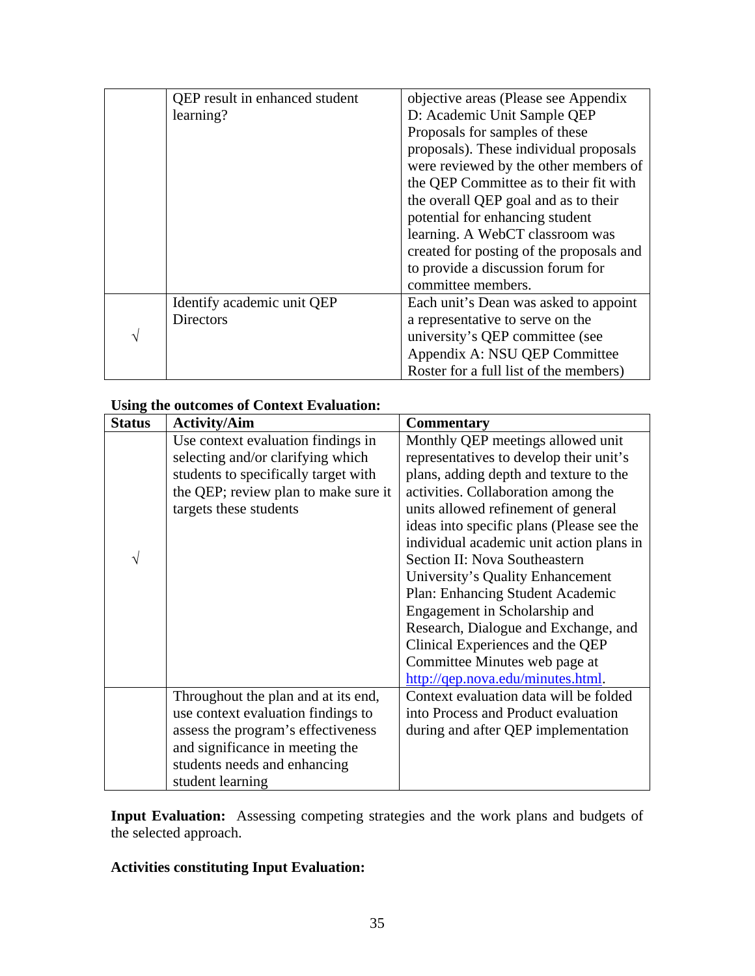|   | QEP result in enhanced student | objective areas (Please see Appendix     |
|---|--------------------------------|------------------------------------------|
|   | learning?                      | D: Academic Unit Sample QEP              |
|   |                                | Proposals for samples of these           |
|   |                                | proposals). These individual proposals   |
|   |                                | were reviewed by the other members of    |
|   |                                | the QEP Committee as to their fit with   |
|   |                                | the overall QEP goal and as to their     |
|   |                                | potential for enhancing student          |
|   |                                | learning. A WebCT classroom was          |
|   |                                | created for posting of the proposals and |
|   |                                | to provide a discussion forum for        |
|   |                                | committee members.                       |
|   | Identify academic unit QEP     | Each unit's Dean was asked to appoint    |
|   | <b>Directors</b>               | a representative to serve on the         |
| V |                                | university's QEP committee (see          |
|   |                                | Appendix A: NSU QEP Committee            |
|   |                                | Roster for a full list of the members)   |

## **Using the outcomes of Context Evaluation:**

| <b>Status</b> | <b>Activity/Aim</b>                  | <b>Commentary</b>                         |
|---------------|--------------------------------------|-------------------------------------------|
|               | Use context evaluation findings in   | Monthly QEP meetings allowed unit         |
|               | selecting and/or clarifying which    | representatives to develop their unit's   |
|               | students to specifically target with | plans, adding depth and texture to the    |
|               | the QEP; review plan to make sure it | activities. Collaboration among the       |
|               | targets these students               | units allowed refinement of general       |
|               |                                      | ideas into specific plans (Please see the |
|               |                                      | individual academic unit action plans in  |
| V             |                                      | Section II: Nova Southeastern             |
|               |                                      | University's Quality Enhancement          |
|               |                                      | Plan: Enhancing Student Academic          |
|               |                                      | Engagement in Scholarship and             |
|               |                                      | Research, Dialogue and Exchange, and      |
|               |                                      | Clinical Experiences and the QEP          |
|               |                                      | Committee Minutes web page at             |
|               |                                      | http://qep.nova.edu/minutes.html.         |
|               | Throughout the plan and at its end,  | Context evaluation data will be folded    |
|               | use context evaluation findings to   | into Process and Product evaluation       |
|               | assess the program's effectiveness   | during and after QEP implementation       |
|               | and significance in meeting the      |                                           |
|               | students needs and enhancing         |                                           |
|               | student learning                     |                                           |

**Input Evaluation:** Assessing competing strategies and the work plans and budgets of the selected approach.

## **Activities constituting Input Evaluation:**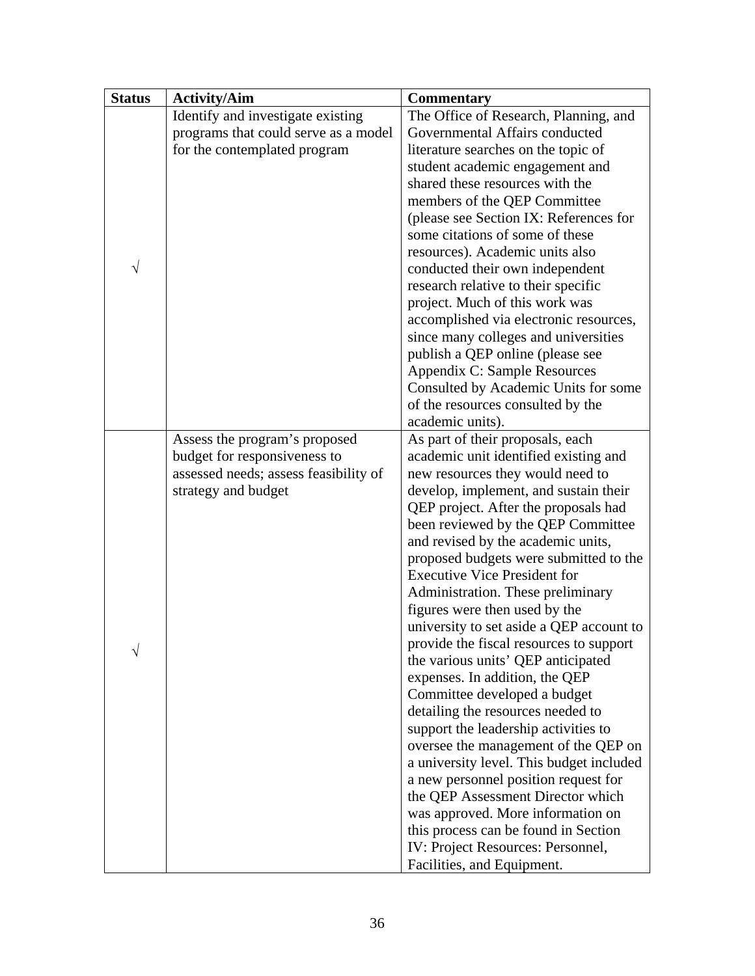| <b>Status</b> | <b>Activity/Aim</b>                   | <b>Commentary</b>                        |
|---------------|---------------------------------------|------------------------------------------|
|               | Identify and investigate existing     | The Office of Research, Planning, and    |
|               | programs that could serve as a model  | Governmental Affairs conducted           |
|               | for the contemplated program          | literature searches on the topic of      |
|               |                                       | student academic engagement and          |
|               |                                       | shared these resources with the          |
|               |                                       | members of the QEP Committee             |
|               |                                       | (please see Section IX: References for   |
|               |                                       | some citations of some of these          |
|               |                                       | resources). Academic units also          |
| V             |                                       | conducted their own independent          |
|               |                                       | research relative to their specific      |
|               |                                       | project. Much of this work was           |
|               |                                       | accomplished via electronic resources,   |
|               |                                       | since many colleges and universities     |
|               |                                       | publish a QEP online (please see         |
|               |                                       | Appendix C: Sample Resources             |
|               |                                       | Consulted by Academic Units for some     |
|               |                                       | of the resources consulted by the        |
|               |                                       | academic units).                         |
|               | Assess the program's proposed         | As part of their proposals, each         |
|               | budget for responsiveness to          | academic unit identified existing and    |
|               | assessed needs; assess feasibility of | new resources they would need to         |
|               | strategy and budget                   | develop, implement, and sustain their    |
|               |                                       | QEP project. After the proposals had     |
|               |                                       | been reviewed by the QEP Committee       |
|               |                                       | and revised by the academic units,       |
|               |                                       | proposed budgets were submitted to the   |
|               |                                       | <b>Executive Vice President for</b>      |
|               |                                       | Administration. These preliminary        |
|               |                                       | figures were then used by the            |
|               |                                       | university to set aside a QEP account to |
|               |                                       | provide the fiscal resources to support  |
|               |                                       | the various units' QEP anticipated       |
|               |                                       | expenses. In addition, the QEP           |
|               |                                       | Committee developed a budget             |
|               |                                       | detailing the resources needed to        |
|               |                                       | support the leadership activities to     |
|               |                                       | oversee the management of the QEP on     |
|               |                                       | a university level. This budget included |
|               |                                       | a new personnel position request for     |
|               |                                       | the QEP Assessment Director which        |
|               |                                       | was approved. More information on        |
|               |                                       | this process can be found in Section     |
|               |                                       | IV: Project Resources: Personnel,        |
|               |                                       | Facilities, and Equipment.               |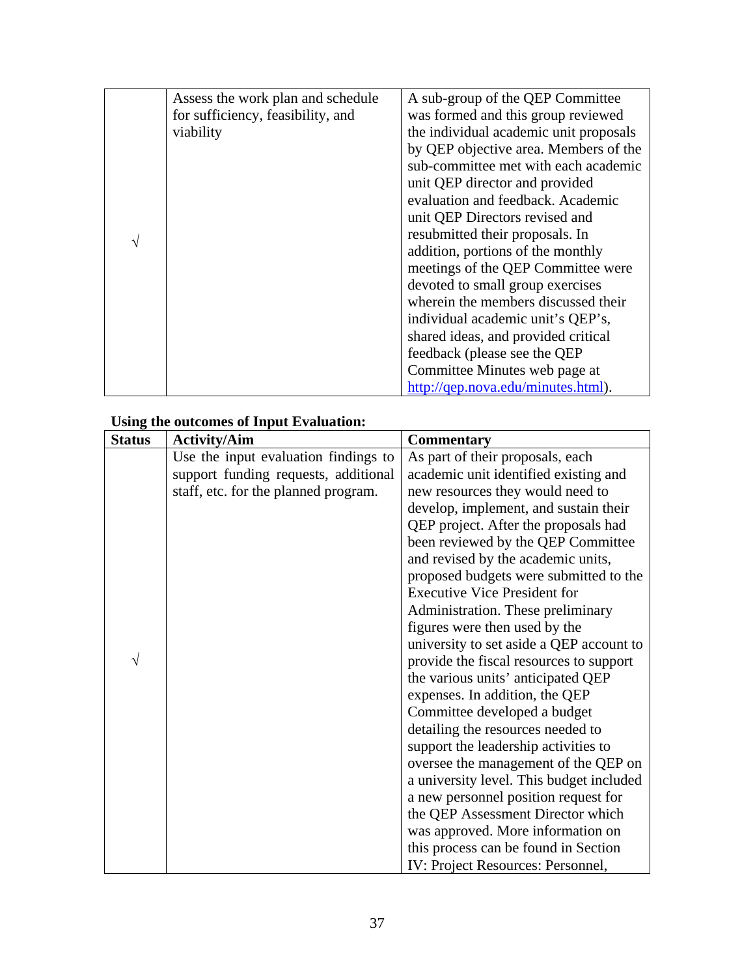| Assess the work plan and schedule | A sub-group of the QEP Committee       |
|-----------------------------------|----------------------------------------|
| for sufficiency, feasibility, and | was formed and this group reviewed     |
| viability                         | the individual academic unit proposals |
|                                   | by QEP objective area. Members of the  |
|                                   | sub-committee met with each academic   |
|                                   | unit QEP director and provided         |
|                                   | evaluation and feedback. Academic      |
|                                   | unit QEP Directors revised and         |
|                                   | resubmitted their proposals. In        |
|                                   | addition, portions of the monthly      |
|                                   | meetings of the QEP Committee were     |
|                                   | devoted to small group exercises       |
|                                   | wherein the members discussed their    |
|                                   | individual academic unit's QEP's,      |
|                                   | shared ideas, and provided critical    |
|                                   | feedback (please see the QEP           |
|                                   | Committee Minutes web page at          |
|                                   | http://qep.nova.edu/minutes.html).     |

## **Using the outcomes of Input Evaluation:**

| <b>Status</b> | <b>Activity/Aim</b>                  | <b>Commentary</b>                        |
|---------------|--------------------------------------|------------------------------------------|
|               | Use the input evaluation findings to | As part of their proposals, each         |
|               | support funding requests, additional | academic unit identified existing and    |
|               | staff, etc. for the planned program. | new resources they would need to         |
|               |                                      | develop, implement, and sustain their    |
|               |                                      | QEP project. After the proposals had     |
|               |                                      | been reviewed by the QEP Committee       |
|               |                                      | and revised by the academic units,       |
|               |                                      | proposed budgets were submitted to the   |
|               |                                      | <b>Executive Vice President for</b>      |
|               |                                      | Administration. These preliminary        |
|               |                                      | figures were then used by the            |
|               |                                      | university to set aside a QEP account to |
|               |                                      | provide the fiscal resources to support  |
|               |                                      | the various units' anticipated QEP       |
|               |                                      | expenses. In addition, the QEP           |
|               |                                      | Committee developed a budget             |
|               |                                      | detailing the resources needed to        |
|               |                                      | support the leadership activities to     |
|               |                                      | oversee the management of the QEP on     |
|               |                                      | a university level. This budget included |
|               |                                      | a new personnel position request for     |
|               |                                      | the QEP Assessment Director which        |
|               |                                      | was approved. More information on        |
|               |                                      | this process can be found in Section     |
|               |                                      | IV: Project Resources: Personnel,        |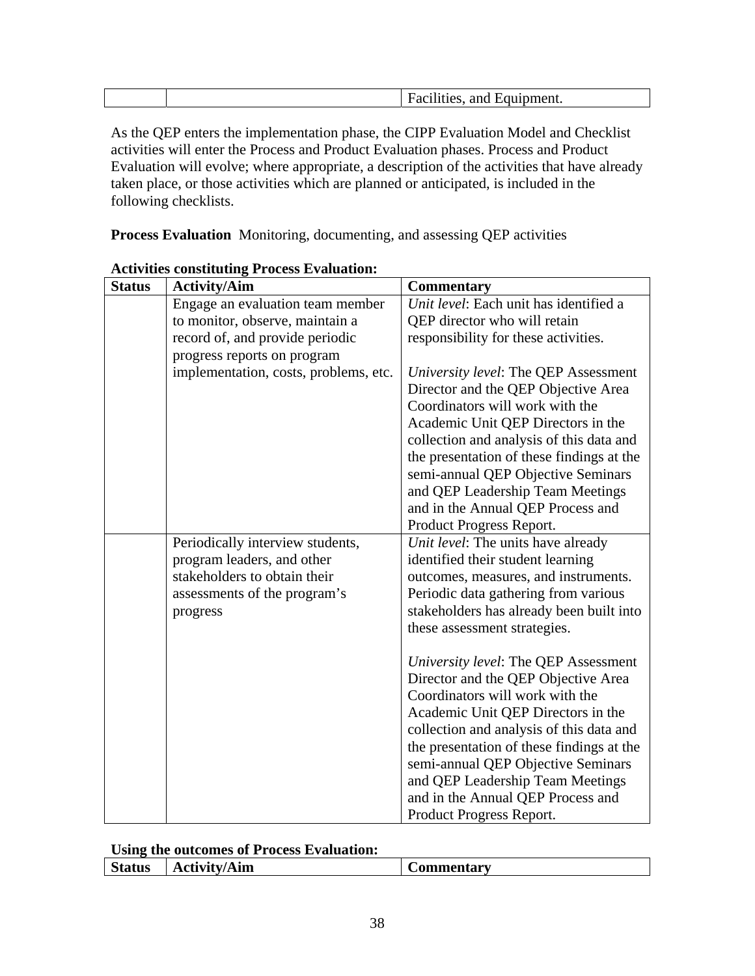| -210 | Equipment.<br>$ -$<br>ян<br>$\overline{ }$ |
|------|--------------------------------------------|

As the QEP enters the implementation phase, the CIPP Evaluation Model and Checklist activities will enter the Process and Product Evaluation phases. Process and Product Evaluation will evolve; where appropriate, a description of the activities that have already taken place, or those activities which are planned or anticipated, is included in the following checklists.

**Process Evaluation** Monitoring, documenting, and assessing QEP activities

| <b>Status</b> | <b>Activity/Aim</b>                                                                                                                        | <b>Commentary</b>                                                                                                                                                                                                                                                                                                                                                                        |
|---------------|--------------------------------------------------------------------------------------------------------------------------------------------|------------------------------------------------------------------------------------------------------------------------------------------------------------------------------------------------------------------------------------------------------------------------------------------------------------------------------------------------------------------------------------------|
|               | Engage an evaluation team member                                                                                                           | Unit level: Each unit has identified a                                                                                                                                                                                                                                                                                                                                                   |
|               | to monitor, observe, maintain a                                                                                                            | QEP director who will retain                                                                                                                                                                                                                                                                                                                                                             |
|               | record of, and provide periodic                                                                                                            | responsibility for these activities.                                                                                                                                                                                                                                                                                                                                                     |
|               | progress reports on program                                                                                                                |                                                                                                                                                                                                                                                                                                                                                                                          |
|               | implementation, costs, problems, etc.                                                                                                      | University level: The QEP Assessment<br>Director and the QEP Objective Area<br>Coordinators will work with the<br>Academic Unit QEP Directors in the<br>collection and analysis of this data and<br>the presentation of these findings at the<br>semi-annual QEP Objective Seminars<br>and QEP Leadership Team Meetings<br>and in the Annual QEP Process and                             |
|               |                                                                                                                                            | Product Progress Report.                                                                                                                                                                                                                                                                                                                                                                 |
|               | Periodically interview students,<br>program leaders, and other<br>stakeholders to obtain their<br>assessments of the program's<br>progress | Unit level: The units have already<br>identified their student learning<br>outcomes, measures, and instruments.<br>Periodic data gathering from various<br>stakeholders has already been built into<br>these assessment strategies.                                                                                                                                                      |
|               |                                                                                                                                            | University level: The QEP Assessment<br>Director and the QEP Objective Area<br>Coordinators will work with the<br>Academic Unit QEP Directors in the<br>collection and analysis of this data and<br>the presentation of these findings at the<br>semi-annual QEP Objective Seminars<br>and QEP Leadership Team Meetings<br>and in the Annual QEP Process and<br>Product Progress Report. |

#### **Activities constituting Process Evaluation:**

#### **Using the outcomes of Process Evaluation:**

| atus<br>Aım<br>Atx/1tx<br>--<br>. .<br>11 | $\overline{\phantom{a}}$<br><b>ommentarv</b><br> |
|-------------------------------------------|--------------------------------------------------|
|-------------------------------------------|--------------------------------------------------|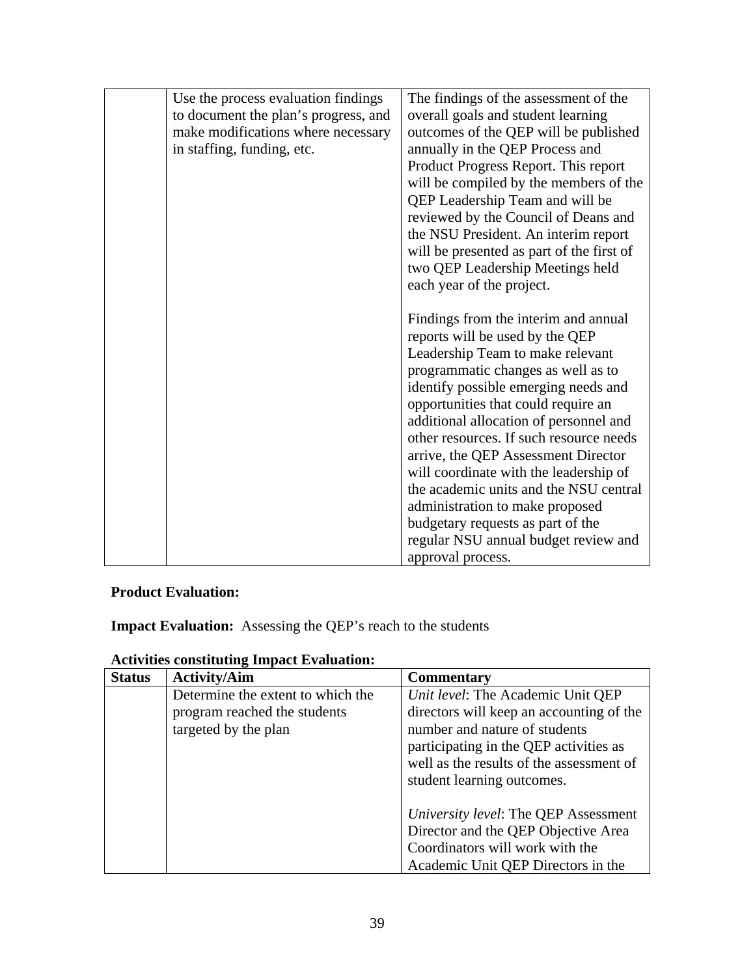| Use the process evaluation findings  | The findings of the assessment of the     |
|--------------------------------------|-------------------------------------------|
| to document the plan's progress, and | overall goals and student learning        |
| make modifications where necessary   | outcomes of the QEP will be published     |
| in staffing, funding, etc.           | annually in the QEP Process and           |
|                                      | Product Progress Report. This report      |
|                                      | will be compiled by the members of the    |
|                                      | QEP Leadership Team and will be           |
|                                      | reviewed by the Council of Deans and      |
|                                      | the NSU President. An interim report      |
|                                      | will be presented as part of the first of |
|                                      | two QEP Leadership Meetings held          |
|                                      | each year of the project.                 |
|                                      |                                           |
|                                      | Findings from the interim and annual      |
|                                      | reports will be used by the QEP           |
|                                      | Leadership Team to make relevant          |
|                                      | programmatic changes as well as to        |
|                                      | identify possible emerging needs and      |
|                                      | opportunities that could require an       |
|                                      | additional allocation of personnel and    |
|                                      | other resources. If such resource needs   |
|                                      | arrive, the QEP Assessment Director       |
|                                      | will coordinate with the leadership of    |
|                                      | the academic units and the NSU central    |
|                                      | administration to make proposed           |
|                                      | budgetary requests as part of the         |
|                                      | regular NSU annual budget review and      |
|                                      | approval process.                         |
|                                      |                                           |

# **Product Evaluation:**

**Impact Evaluation:** Assessing the QEP's reach to the students

| <b>Status</b> | <b>Activity/Aim</b>               | <b>Commentary</b>                        |
|---------------|-----------------------------------|------------------------------------------|
|               | Determine the extent to which the | Unit level: The Academic Unit QEP        |
|               | program reached the students      | directors will keep an accounting of the |
|               | targeted by the plan              | number and nature of students            |
|               |                                   | participating in the QEP activities as   |
|               |                                   | well as the results of the assessment of |
|               |                                   | student learning outcomes.               |
|               |                                   |                                          |
|               |                                   | University level: The QEP Assessment     |
|               |                                   | Director and the QEP Objective Area      |
|               |                                   | Coordinators will work with the          |
|               |                                   | Academic Unit QEP Directors in the       |

## **Activities constituting Impact Evaluation:**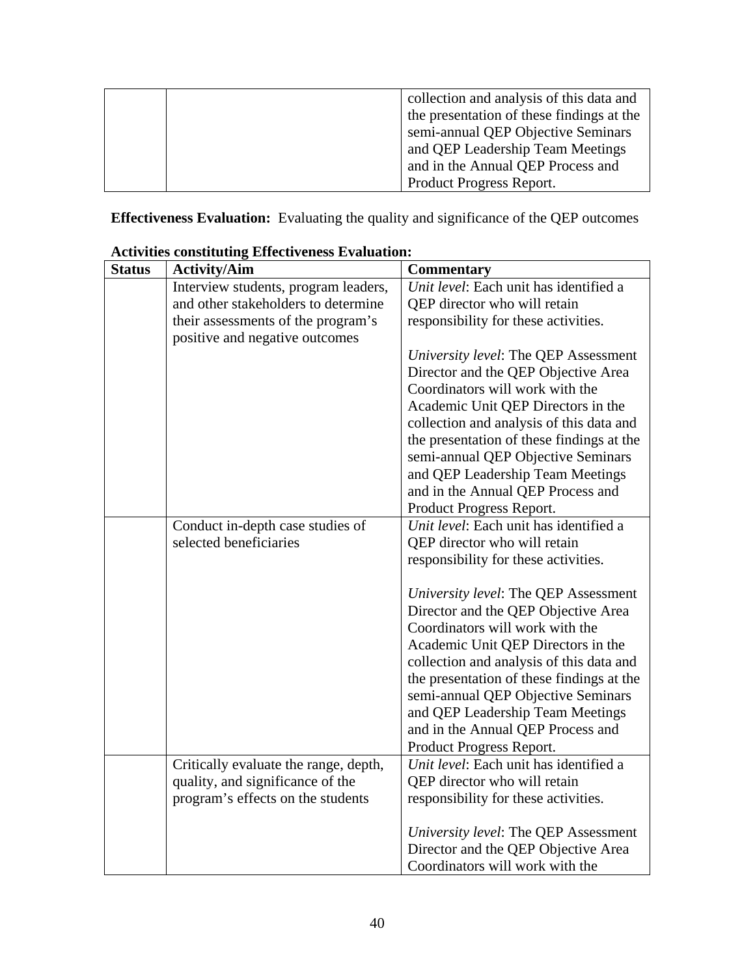|  | collection and analysis of this data and  |
|--|-------------------------------------------|
|  | the presentation of these findings at the |
|  | semi-annual QEP Objective Seminars        |
|  | and QEP Leadership Team Meetings          |
|  | and in the Annual QEP Process and         |
|  | Product Progress Report.                  |

**Effectiveness Evaluation:** Evaluating the quality and significance of the QEP outcomes

| <b>Status</b> | <b>Activity/Aim</b>                   | <b>Commentary</b>                         |
|---------------|---------------------------------------|-------------------------------------------|
|               | Interview students, program leaders,  | Unit level: Each unit has identified a    |
|               | and other stakeholders to determine   | QEP director who will retain              |
|               | their assessments of the program's    | responsibility for these activities.      |
|               | positive and negative outcomes        |                                           |
|               |                                       | University level: The QEP Assessment      |
|               |                                       | Director and the QEP Objective Area       |
|               |                                       | Coordinators will work with the           |
|               |                                       | Academic Unit QEP Directors in the        |
|               |                                       | collection and analysis of this data and  |
|               |                                       | the presentation of these findings at the |
|               |                                       | semi-annual QEP Objective Seminars        |
|               |                                       | and QEP Leadership Team Meetings          |
|               |                                       | and in the Annual QEP Process and         |
|               |                                       | Product Progress Report.                  |
|               | Conduct in-depth case studies of      | Unit level: Each unit has identified a    |
|               | selected beneficiaries                | QEP director who will retain              |
|               |                                       | responsibility for these activities.      |
|               |                                       |                                           |
|               |                                       | University level: The QEP Assessment      |
|               |                                       | Director and the QEP Objective Area       |
|               |                                       | Coordinators will work with the           |
|               |                                       | Academic Unit QEP Directors in the        |
|               |                                       | collection and analysis of this data and  |
|               |                                       | the presentation of these findings at the |
|               |                                       | semi-annual QEP Objective Seminars        |
|               |                                       | and QEP Leadership Team Meetings          |
|               |                                       | and in the Annual QEP Process and         |
|               |                                       | Product Progress Report.                  |
|               | Critically evaluate the range, depth, | Unit level: Each unit has identified a    |
|               | quality, and significance of the      | QEP director who will retain              |
|               | program's effects on the students     | responsibility for these activities.      |
|               |                                       | University level: The QEP Assessment      |
|               |                                       | Director and the QEP Objective Area       |
|               |                                       | Coordinators will work with the           |

## **Activities constituting Effectiveness Evaluation:**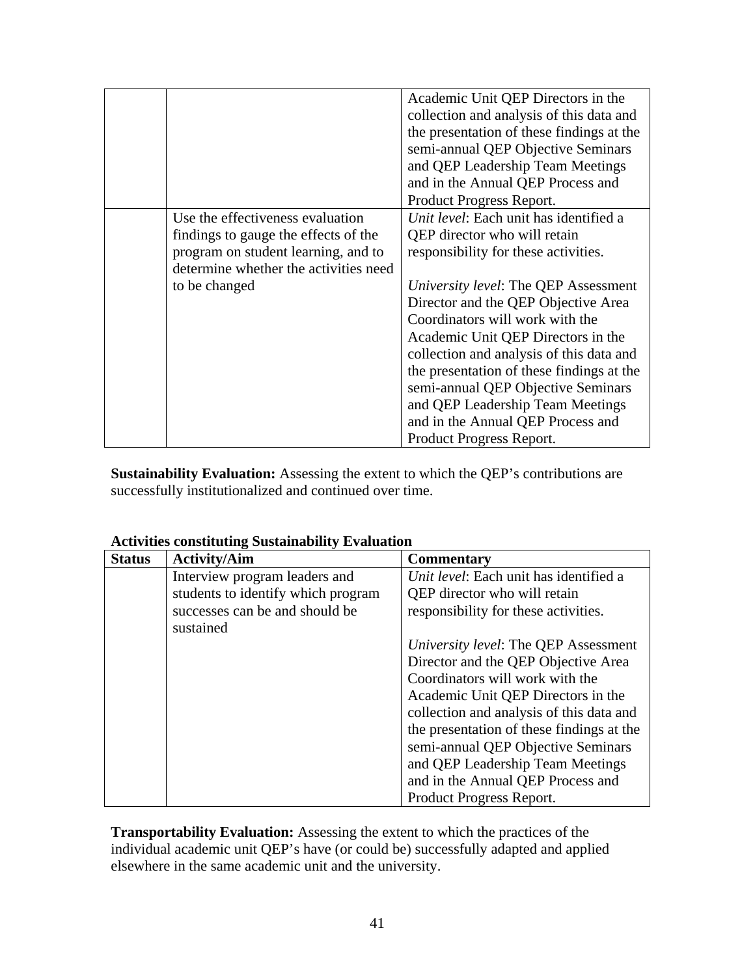|                                                                                                                                                                           | Academic Unit QEP Directors in the<br>collection and analysis of this data and<br>the presentation of these findings at the<br>semi-annual QEP Objective Seminars<br>and QEP Leadership Team Meetings<br>and in the Annual QEP Process and<br>Product Progress Report.                                                                                                                                                                                                                                     |
|---------------------------------------------------------------------------------------------------------------------------------------------------------------------------|------------------------------------------------------------------------------------------------------------------------------------------------------------------------------------------------------------------------------------------------------------------------------------------------------------------------------------------------------------------------------------------------------------------------------------------------------------------------------------------------------------|
| Use the effectiveness evaluation<br>findings to gauge the effects of the<br>program on student learning, and to<br>determine whether the activities need<br>to be changed | Unit level: Each unit has identified a<br>QEP director who will retain<br>responsibility for these activities.<br>University level: The QEP Assessment<br>Director and the QEP Objective Area<br>Coordinators will work with the<br>Academic Unit QEP Directors in the<br>collection and analysis of this data and<br>the presentation of these findings at the<br>semi-annual QEP Objective Seminars<br>and QEP Leadership Team Meetings<br>and in the Annual QEP Process and<br>Product Progress Report. |

**Sustainability Evaluation:** Assessing the extent to which the QEP's contributions are successfully institutionalized and continued over time.

| <b>Status</b> | <b>Activity/Aim</b>                | <b>Commentary</b>                         |
|---------------|------------------------------------|-------------------------------------------|
|               | Interview program leaders and      | Unit level: Each unit has identified a    |
|               | students to identify which program | QEP director who will retain              |
|               | successes can be and should be     | responsibility for these activities.      |
|               | sustained                          |                                           |
|               |                                    | University level: The QEP Assessment      |
|               |                                    | Director and the QEP Objective Area       |
|               |                                    | Coordinators will work with the           |
|               |                                    | Academic Unit QEP Directors in the        |
|               |                                    | collection and analysis of this data and  |
|               |                                    | the presentation of these findings at the |
|               |                                    | semi-annual QEP Objective Seminars        |
|               |                                    | and QEP Leadership Team Meetings          |
|               |                                    | and in the Annual QEP Process and         |
|               |                                    | Product Progress Report.                  |

**Activities constituting Sustainability Evaluation** 

**Transportability Evaluation:** Assessing the extent to which the practices of the individual academic unit QEP's have (or could be) successfully adapted and applied elsewhere in the same academic unit and the university.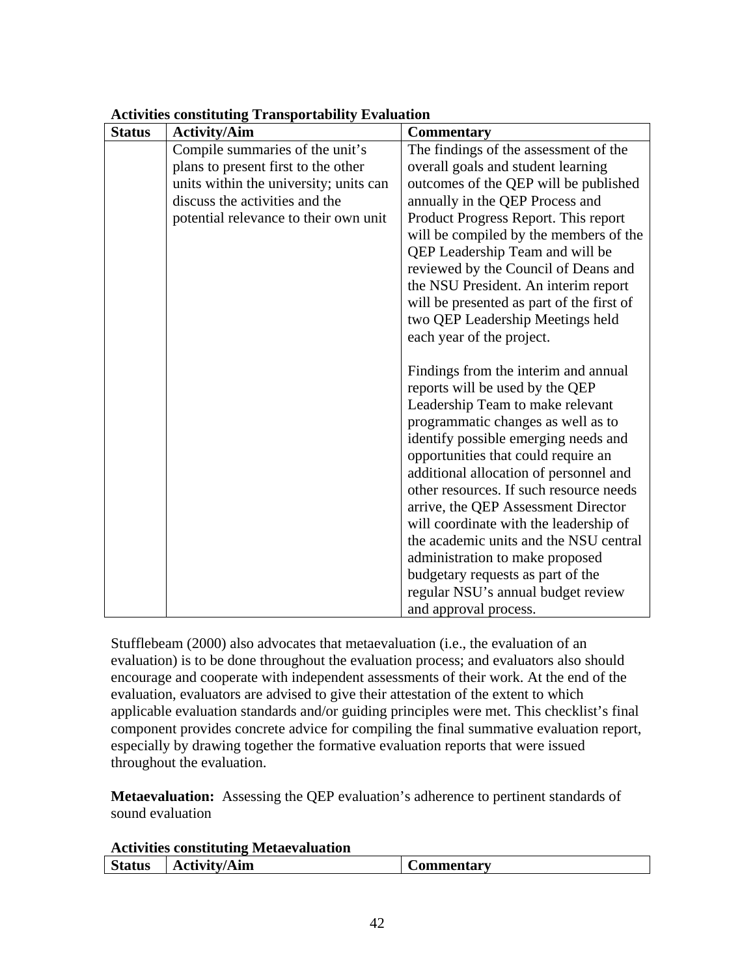| <b>Status</b> | <b>Activity/Aim</b>                    | <b>Commentary</b>                                                          |
|---------------|----------------------------------------|----------------------------------------------------------------------------|
|               | Compile summaries of the unit's        | The findings of the assessment of the                                      |
|               | plans to present first to the other    | overall goals and student learning                                         |
|               | units within the university; units can | outcomes of the QEP will be published                                      |
|               | discuss the activities and the         | annually in the QEP Process and                                            |
|               | potential relevance to their own unit  | Product Progress Report. This report                                       |
|               |                                        | will be compiled by the members of the                                     |
|               |                                        | QEP Leadership Team and will be                                            |
|               |                                        | reviewed by the Council of Deans and                                       |
|               |                                        | the NSU President. An interim report                                       |
|               |                                        | will be presented as part of the first of                                  |
|               |                                        | two QEP Leadership Meetings held                                           |
|               |                                        | each year of the project.                                                  |
|               |                                        |                                                                            |
|               |                                        | Findings from the interim and annual                                       |
|               |                                        | reports will be used by the QEP                                            |
|               |                                        | Leadership Team to make relevant                                           |
|               |                                        | programmatic changes as well as to<br>identify possible emerging needs and |
|               |                                        | opportunities that could require an                                        |
|               |                                        | additional allocation of personnel and                                     |
|               |                                        | other resources. If such resource needs                                    |
|               |                                        | arrive, the QEP Assessment Director                                        |
|               |                                        | will coordinate with the leadership of                                     |
|               |                                        | the academic units and the NSU central                                     |
|               |                                        | administration to make proposed                                            |
|               |                                        | budgetary requests as part of the                                          |
|               |                                        | regular NSU's annual budget review                                         |
|               |                                        | and approval process.                                                      |

#### **Activities constituting Transportability Evaluation**

Stufflebeam (2000) also advocates that metaevaluation (i.e., the evaluation of an evaluation) is to be done throughout the evaluation process; and evaluators also should encourage and cooperate with independent assessments of their work. At the end of the evaluation, evaluators are advised to give their attestation of the extent to which applicable evaluation standards and/or guiding principles were met. This checklist's final component provides concrete advice for compiling the final summative evaluation report, especially by drawing together the formative evaluation reports that were issued throughout the evaluation.

**Metaevaluation:** Assessing the QEP evaluation's adherence to pertinent standards of sound evaluation

| <b>Activities constituting Metaevaluation</b> |                                |                   |  |
|-----------------------------------------------|--------------------------------|-------------------|--|
|                                               | Status   $\text{Activity/Aim}$ | <b>Commentary</b> |  |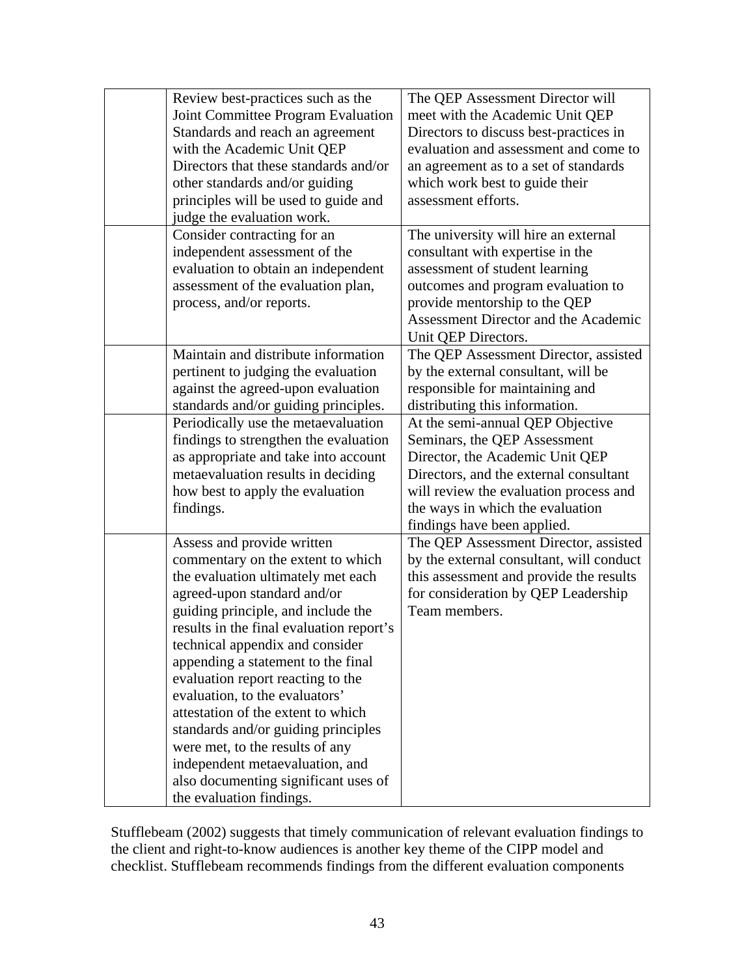| Review best-practices such as the<br>Joint Committee Program Evaluation<br>Standards and reach an agreement<br>with the Academic Unit QEP<br>Directors that these standards and/or<br>other standards and/or guiding<br>principles will be used to guide and<br>judge the evaluation work.<br>Consider contracting for an                                                                                                                                                                                                                                                                     | The QEP Assessment Director will<br>meet with the Academic Unit QEP<br>Directors to discuss best-practices in<br>evaluation and assessment and come to<br>an agreement as to a set of standards<br>which work best to guide their<br>assessment efforts.<br>The university will hire an external |
|-----------------------------------------------------------------------------------------------------------------------------------------------------------------------------------------------------------------------------------------------------------------------------------------------------------------------------------------------------------------------------------------------------------------------------------------------------------------------------------------------------------------------------------------------------------------------------------------------|--------------------------------------------------------------------------------------------------------------------------------------------------------------------------------------------------------------------------------------------------------------------------------------------------|
| independent assessment of the<br>evaluation to obtain an independent<br>assessment of the evaluation plan,<br>process, and/or reports.                                                                                                                                                                                                                                                                                                                                                                                                                                                        | consultant with expertise in the<br>assessment of student learning<br>outcomes and program evaluation to<br>provide mentorship to the QEP<br>Assessment Director and the Academic<br>Unit QEP Directors.                                                                                         |
| Maintain and distribute information<br>pertinent to judging the evaluation<br>against the agreed-upon evaluation<br>standards and/or guiding principles.                                                                                                                                                                                                                                                                                                                                                                                                                                      | The QEP Assessment Director, assisted<br>by the external consultant, will be<br>responsible for maintaining and<br>distributing this information.                                                                                                                                                |
| Periodically use the metaevaluation<br>findings to strengthen the evaluation<br>as appropriate and take into account<br>metaevaluation results in deciding<br>how best to apply the evaluation<br>findings.                                                                                                                                                                                                                                                                                                                                                                                   | At the semi-annual QEP Objective<br>Seminars, the QEP Assessment<br>Director, the Academic Unit QEP<br>Directors, and the external consultant<br>will review the evaluation process and<br>the ways in which the evaluation<br>findings have been applied.                                       |
| Assess and provide written<br>commentary on the extent to which<br>the evaluation ultimately met each<br>agreed-upon standard and/or<br>guiding principle, and include the<br>results in the final evaluation report's<br>technical appendix and consider<br>appending a statement to the final<br>evaluation report reacting to the<br>evaluation, to the evaluators'<br>attestation of the extent to which<br>standards and/or guiding principles<br>were met, to the results of any<br>independent metaevaluation, and<br>also documenting significant uses of<br>the evaluation findings. | The QEP Assessment Director, assisted<br>by the external consultant, will conduct<br>this assessment and provide the results<br>for consideration by QEP Leadership<br>Team members.                                                                                                             |

Stufflebeam (2002) suggests that timely communication of relevant evaluation findings to the client and right-to-know audiences is another key theme of the CIPP model and checklist. Stufflebeam recommends findings from the different evaluation components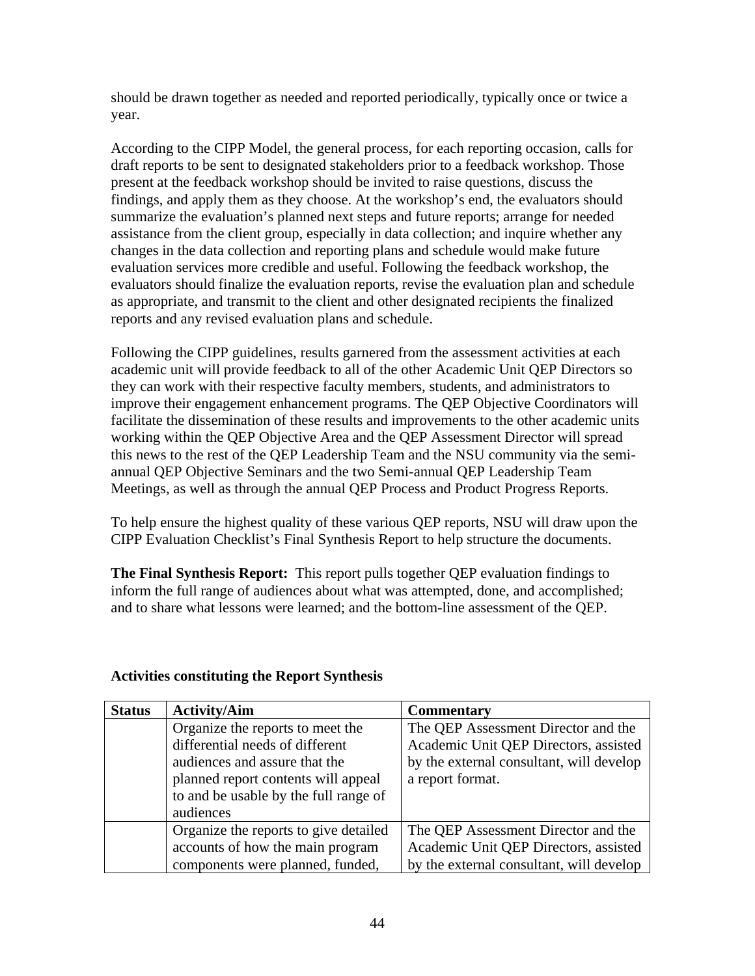should be drawn together as needed and reported periodically, typically once or twice a year.

According to the CIPP Model, the general process, for each reporting occasion, calls for draft reports to be sent to designated stakeholders prior to a feedback workshop. Those present at the feedback workshop should be invited to raise questions, discuss the findings, and apply them as they choose. At the workshop's end, the evaluators should summarize the evaluation's planned next steps and future reports; arrange for needed assistance from the client group, especially in data collection; and inquire whether any changes in the data collection and reporting plans and schedule would make future evaluation services more credible and useful. Following the feedback workshop, the evaluators should finalize the evaluation reports, revise the evaluation plan and schedule as appropriate, and transmit to the client and other designated recipients the finalized reports and any revised evaluation plans and schedule.

Following the CIPP guidelines, results garnered from the assessment activities at each academic unit will provide feedback to all of the other Academic Unit QEP Directors so they can work with their respective faculty members, students, and administrators to improve their engagement enhancement programs. The QEP Objective Coordinators will facilitate the dissemination of these results and improvements to the other academic units working within the QEP Objective Area and the QEP Assessment Director will spread this news to the rest of the QEP Leadership Team and the NSU community via the semiannual QEP Objective Seminars and the two Semi-annual QEP Leadership Team Meetings, as well as through the annual QEP Process and Product Progress Reports.

To help ensure the highest quality of these various QEP reports, NSU will draw upon the CIPP Evaluation Checklist's Final Synthesis Report to help structure the documents.

**The Final Synthesis Report:** This report pulls together QEP evaluation findings to inform the full range of audiences about what was attempted, done, and accomplished; and to share what lessons were learned; and the bottom-line assessment of the QEP.

| <b>Status</b> | <b>Activity/Aim</b>                   | <b>Commentary</b>                        |
|---------------|---------------------------------------|------------------------------------------|
|               | Organize the reports to meet the      | The QEP Assessment Director and the      |
|               | differential needs of different       | Academic Unit QEP Directors, assisted    |
|               | audiences and assure that the         | by the external consultant, will develop |
|               | planned report contents will appeal   | a report format.                         |
|               | to and be usable by the full range of |                                          |
|               | audiences                             |                                          |
|               | Organize the reports to give detailed | The QEP Assessment Director and the      |
|               | accounts of how the main program      | Academic Unit QEP Directors, assisted    |
|               | components were planned, funded,      | by the external consultant, will develop |

## **Activities constituting the Report Synthesis**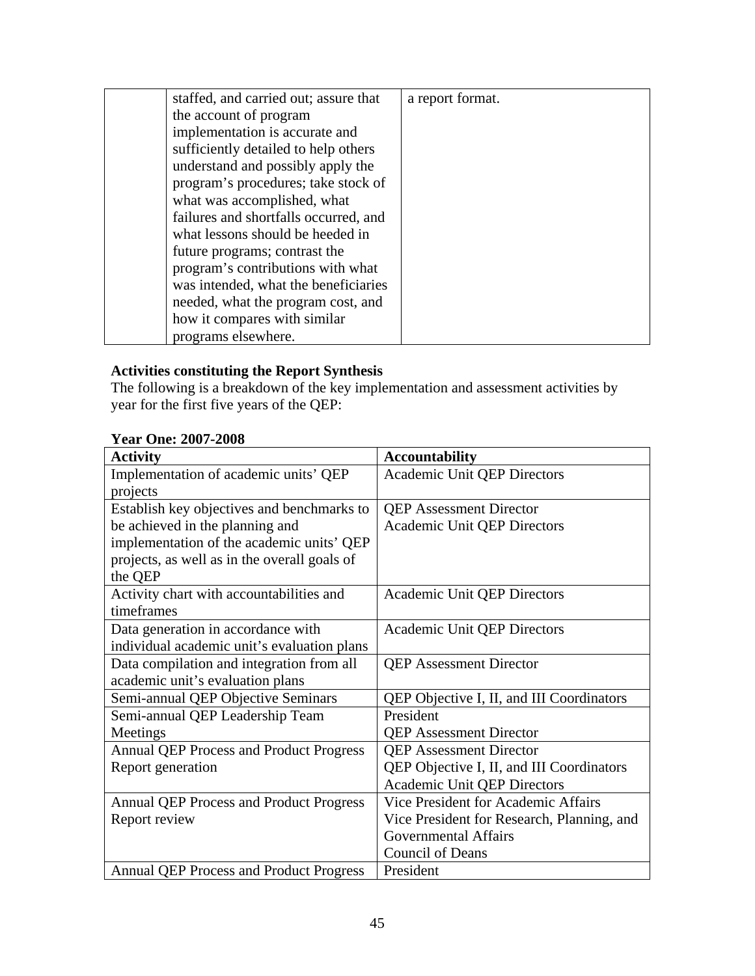| staffed, and carried out; assure that | a report format. |
|---------------------------------------|------------------|
| the account of program                |                  |
| implementation is accurate and        |                  |
| sufficiently detailed to help others  |                  |
| understand and possibly apply the     |                  |
| program's procedures; take stock of   |                  |
| what was accomplished, what           |                  |
| failures and shortfalls occurred, and |                  |
| what lessons should be heeded in      |                  |
| future programs; contrast the         |                  |
| program's contributions with what     |                  |
| was intended, what the beneficiaries  |                  |
| needed, what the program cost, and    |                  |
| how it compares with similar          |                  |
| programs elsewhere.                   |                  |

## **Activities constituting the Report Synthesis**

The following is a breakdown of the key implementation and assessment activities by year for the first five years of the QEP:

### **Year One: 2007-2008**

| <b>Activity</b>                                | <b>Accountability</b>                      |
|------------------------------------------------|--------------------------------------------|
| Implementation of academic units' QEP          | Academic Unit QEP Directors                |
| projects                                       |                                            |
| Establish key objectives and benchmarks to     | <b>QEP</b> Assessment Director             |
| be achieved in the planning and                | <b>Academic Unit QEP Directors</b>         |
| implementation of the academic units' QEP      |                                            |
| projects, as well as in the overall goals of   |                                            |
| the QEP                                        |                                            |
| Activity chart with accountabilities and       | <b>Academic Unit QEP Directors</b>         |
| timeframes                                     |                                            |
| Data generation in accordance with             | Academic Unit QEP Directors                |
| individual academic unit's evaluation plans    |                                            |
| Data compilation and integration from all      | <b>QEP</b> Assessment Director             |
| academic unit's evaluation plans               |                                            |
| Semi-annual QEP Objective Seminars             | QEP Objective I, II, and III Coordinators  |
| Semi-annual QEP Leadership Team                | President                                  |
| Meetings                                       | <b>QEP</b> Assessment Director             |
| <b>Annual QEP Process and Product Progress</b> | <b>QEP</b> Assessment Director             |
| Report generation                              | QEP Objective I, II, and III Coordinators  |
|                                                | <b>Academic Unit QEP Directors</b>         |
| <b>Annual QEP Process and Product Progress</b> | Vice President for Academic Affairs        |
| Report review                                  | Vice President for Research, Planning, and |
|                                                | <b>Governmental Affairs</b>                |
|                                                | <b>Council of Deans</b>                    |
| <b>Annual QEP Process and Product Progress</b> | President                                  |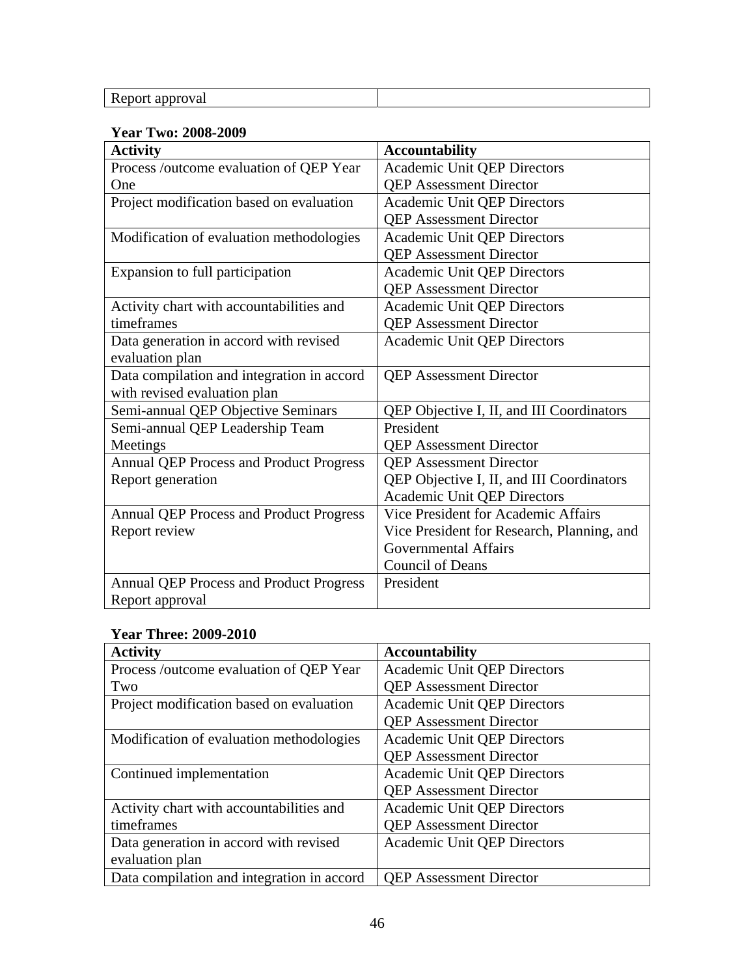| Report approval |
|-----------------|
|-----------------|

### **Year Two: 2008-2009**

| <b>Activity</b>                                | <b>Accountability</b>                      |
|------------------------------------------------|--------------------------------------------|
| Process /outcome evaluation of QEP Year        | Academic Unit QEP Directors                |
| One                                            | <b>QEP</b> Assessment Director             |
| Project modification based on evaluation       | <b>Academic Unit QEP Directors</b>         |
|                                                | <b>QEP</b> Assessment Director             |
| Modification of evaluation methodologies       | Academic Unit QEP Directors                |
|                                                | <b>QEP</b> Assessment Director             |
| Expansion to full participation                | <b>Academic Unit QEP Directors</b>         |
|                                                | <b>QEP</b> Assessment Director             |
| Activity chart with accountabilities and       | Academic Unit QEP Directors                |
| timeframes                                     | <b>QEP</b> Assessment Director             |
| Data generation in accord with revised         | <b>Academic Unit QEP Directors</b>         |
| evaluation plan                                |                                            |
| Data compilation and integration in accord     | <b>QEP</b> Assessment Director             |
| with revised evaluation plan                   |                                            |
| Semi-annual QEP Objective Seminars             | QEP Objective I, II, and III Coordinators  |
| Semi-annual QEP Leadership Team                | President                                  |
| Meetings                                       | <b>QEP</b> Assessment Director             |
| <b>Annual QEP Process and Product Progress</b> | <b>QEP</b> Assessment Director             |
| Report generation                              | QEP Objective I, II, and III Coordinators  |
|                                                | <b>Academic Unit QEP Directors</b>         |
| <b>Annual QEP Process and Product Progress</b> | Vice President for Academic Affairs        |
| Report review                                  | Vice President for Research, Planning, and |
|                                                | <b>Governmental Affairs</b>                |
|                                                | <b>Council of Deans</b>                    |
| <b>Annual QEP Process and Product Progress</b> | President                                  |
| Report approval                                |                                            |

## **Year Three: 2009-2010**

| <b>Activity</b>                            | <b>Accountability</b>              |
|--------------------------------------------|------------------------------------|
| Process /outcome evaluation of QEP Year    | <b>Academic Unit QEP Directors</b> |
| Two                                        | <b>QEP</b> Assessment Director     |
| Project modification based on evaluation   | <b>Academic Unit QEP Directors</b> |
|                                            | <b>QEP</b> Assessment Director     |
| Modification of evaluation methodologies   | <b>Academic Unit QEP Directors</b> |
|                                            | <b>QEP</b> Assessment Director     |
| Continued implementation                   | <b>Academic Unit QEP Directors</b> |
|                                            | <b>QEP</b> Assessment Director     |
| Activity chart with accountabilities and   | <b>Academic Unit QEP Directors</b> |
| timeframes                                 | <b>QEP</b> Assessment Director     |
| Data generation in accord with revised     | <b>Academic Unit QEP Directors</b> |
| evaluation plan                            |                                    |
| Data compilation and integration in accord | <b>QEP</b> Assessment Director     |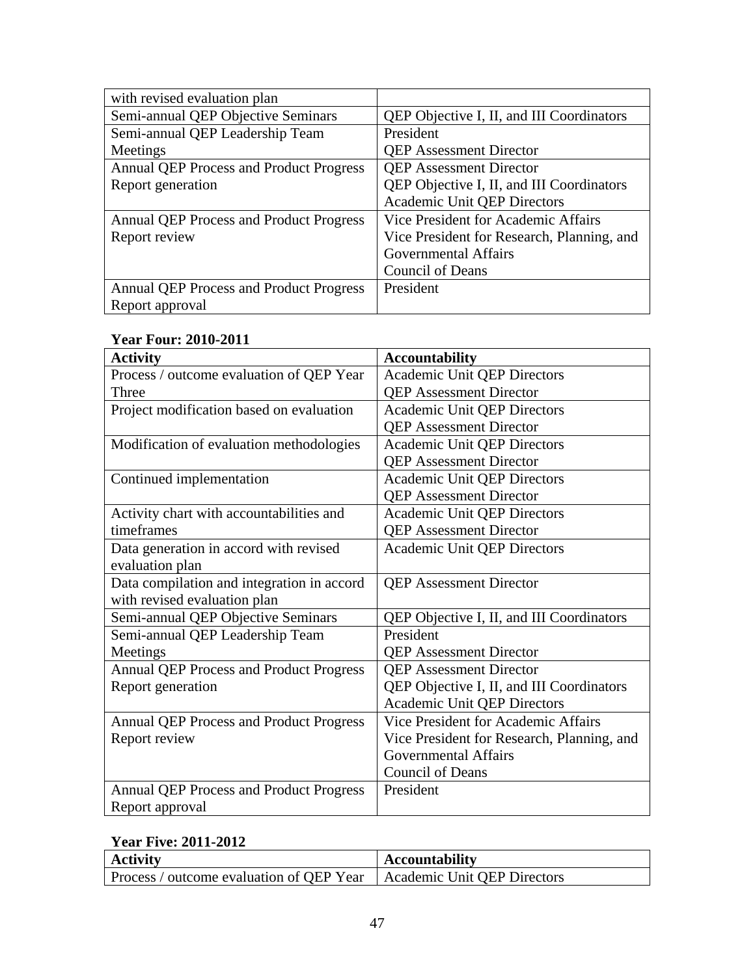| with revised evaluation plan                   |                                            |
|------------------------------------------------|--------------------------------------------|
| Semi-annual QEP Objective Seminars             | QEP Objective I, II, and III Coordinators  |
| Semi-annual QEP Leadership Team                | President                                  |
| Meetings                                       | <b>QEP</b> Assessment Director             |
| <b>Annual QEP Process and Product Progress</b> | <b>QEP</b> Assessment Director             |
| Report generation                              | QEP Objective I, II, and III Coordinators  |
|                                                | <b>Academic Unit QEP Directors</b>         |
| <b>Annual QEP Process and Product Progress</b> | Vice President for Academic Affairs        |
| Report review                                  | Vice President for Research, Planning, and |
|                                                | Governmental Affairs                       |
|                                                | <b>Council of Deans</b>                    |
| <b>Annual QEP Process and Product Progress</b> | President                                  |
| Report approval                                |                                            |

|  | <b>Year Four: 2010-2011</b> |
|--|-----------------------------|
|  |                             |

| <b>Activity</b>                                | <b>Accountability</b>                      |
|------------------------------------------------|--------------------------------------------|
| Process / outcome evaluation of QEP Year       | <b>Academic Unit QEP Directors</b>         |
| Three                                          | <b>QEP</b> Assessment Director             |
| Project modification based on evaluation       | <b>Academic Unit QEP Directors</b>         |
|                                                | <b>QEP Assessment Director</b>             |
| Modification of evaluation methodologies       | <b>Academic Unit QEP Directors</b>         |
|                                                | <b>QEP Assessment Director</b>             |
| Continued implementation                       | <b>Academic Unit QEP Directors</b>         |
|                                                | <b>QEP Assessment Director</b>             |
| Activity chart with accountabilities and       | Academic Unit QEP Directors                |
| timeframes                                     | <b>QEP</b> Assessment Director             |
| Data generation in accord with revised         | <b>Academic Unit QEP Directors</b>         |
| evaluation plan                                |                                            |
| Data compilation and integration in accord     | <b>QEP</b> Assessment Director             |
| with revised evaluation plan                   |                                            |
| Semi-annual QEP Objective Seminars             | QEP Objective I, II, and III Coordinators  |
| Semi-annual QEP Leadership Team                | President                                  |
| Meetings                                       | <b>QEP</b> Assessment Director             |
| <b>Annual QEP Process and Product Progress</b> | <b>QEP</b> Assessment Director             |
| Report generation                              | QEP Objective I, II, and III Coordinators  |
|                                                | <b>Academic Unit QEP Directors</b>         |
| <b>Annual QEP Process and Product Progress</b> | Vice President for Academic Affairs        |
| Report review                                  | Vice President for Research, Planning, and |
|                                                | <b>Governmental Affairs</b>                |
|                                                | <b>Council of Deans</b>                    |
| <b>Annual QEP Process and Product Progress</b> | President                                  |
| Report approval                                |                                            |

## **Year Five: 2011-2012**

| <b>Activity</b>                                                        | Accountability |
|------------------------------------------------------------------------|----------------|
| Process / outcome evaluation of QEP Year   Academic Unit QEP Directors |                |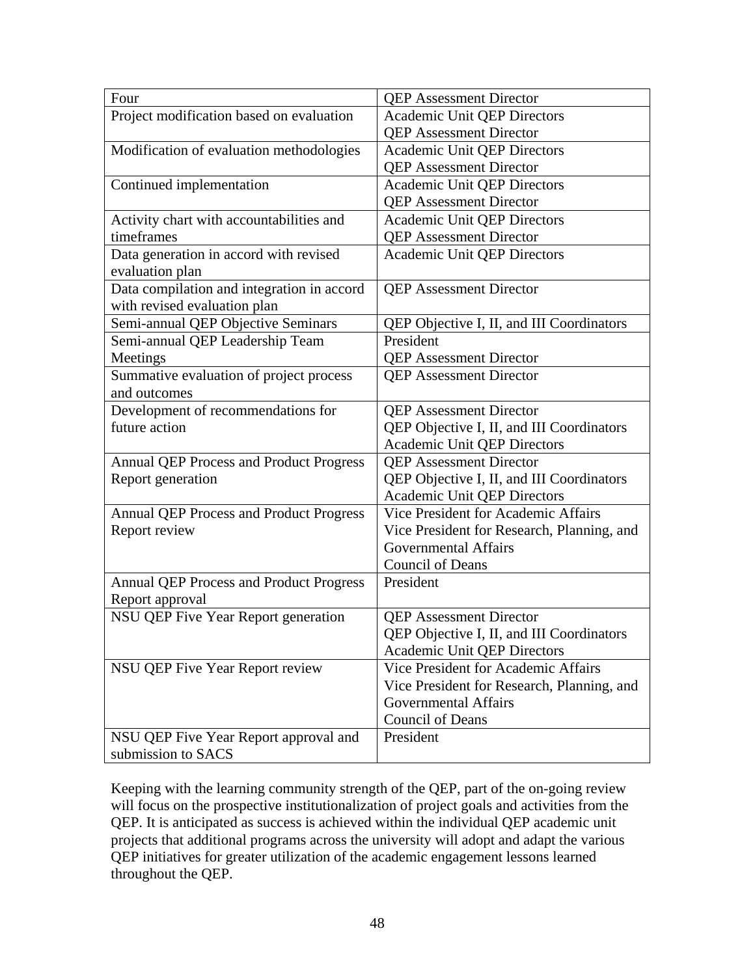| Four                                           | <b>QEP</b> Assessment Director             |
|------------------------------------------------|--------------------------------------------|
| Project modification based on evaluation       | <b>Academic Unit QEP Directors</b>         |
|                                                | <b>QEP</b> Assessment Director             |
| Modification of evaluation methodologies       | <b>Academic Unit QEP Directors</b>         |
|                                                | <b>QEP Assessment Director</b>             |
| Continued implementation                       | <b>Academic Unit QEP Directors</b>         |
|                                                | <b>QEP</b> Assessment Director             |
| Activity chart with accountabilities and       | <b>Academic Unit QEP Directors</b>         |
| timeframes                                     | <b>QEP</b> Assessment Director             |
| Data generation in accord with revised         | <b>Academic Unit QEP Directors</b>         |
| evaluation plan                                |                                            |
| Data compilation and integration in accord     | <b>QEP</b> Assessment Director             |
| with revised evaluation plan                   |                                            |
| Semi-annual QEP Objective Seminars             | QEP Objective I, II, and III Coordinators  |
| Semi-annual QEP Leadership Team                | President                                  |
| Meetings                                       | <b>QEP</b> Assessment Director             |
| Summative evaluation of project process        | <b>QEP</b> Assessment Director             |
| and outcomes                                   |                                            |
| Development of recommendations for             | <b>QEP</b> Assessment Director             |
| future action                                  | QEP Objective I, II, and III Coordinators  |
|                                                | <b>Academic Unit QEP Directors</b>         |
| <b>Annual QEP Process and Product Progress</b> | <b>QEP</b> Assessment Director             |
| Report generation                              | QEP Objective I, II, and III Coordinators  |
|                                                | <b>Academic Unit QEP Directors</b>         |
| <b>Annual QEP Process and Product Progress</b> | <b>Vice President for Academic Affairs</b> |
| Report review                                  | Vice President for Research, Planning, and |
|                                                | <b>Governmental Affairs</b>                |
|                                                | <b>Council of Deans</b>                    |
| Annual QEP Process and Product Progress        | President                                  |
| Report approval                                |                                            |
| NSU QEP Five Year Report generation            | <b>QEP</b> Assessment Director             |
|                                                | QEP Objective I, II, and III Coordinators  |
|                                                | <b>Academic Unit QEP Directors</b>         |
| NSU QEP Five Year Report review                | Vice President for Academic Affairs        |
|                                                | Vice President for Research, Planning, and |
|                                                | <b>Governmental Affairs</b>                |
|                                                | <b>Council of Deans</b>                    |
| NSU QEP Five Year Report approval and          | President                                  |
| submission to SACS                             |                                            |

Keeping with the learning community strength of the QEP, part of the on-going review will focus on the prospective institutionalization of project goals and activities from the QEP. It is anticipated as success is achieved within the individual QEP academic unit projects that additional programs across the university will adopt and adapt the various QEP initiatives for greater utilization of the academic engagement lessons learned throughout the QEP.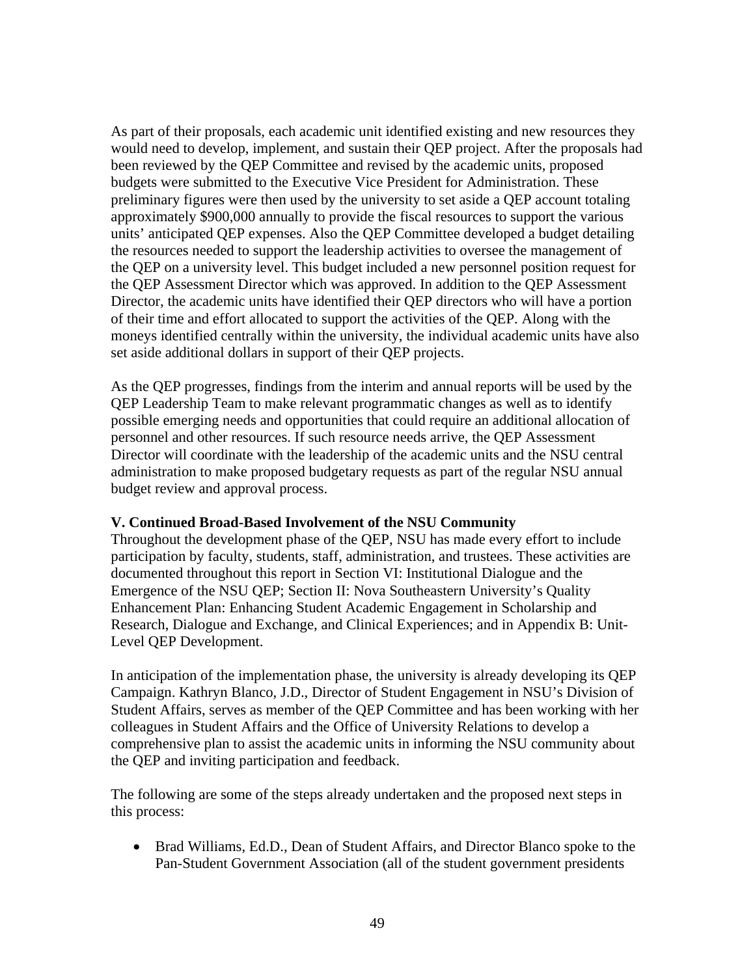As part of their proposals, each academic unit identified existing and new resources they would need to develop, implement, and sustain their QEP project. After the proposals had been reviewed by the QEP Committee and revised by the academic units, proposed budgets were submitted to the Executive Vice President for Administration. These preliminary figures were then used by the university to set aside a QEP account totaling approximately \$900,000 annually to provide the fiscal resources to support the various units' anticipated QEP expenses. Also the QEP Committee developed a budget detailing the resources needed to support the leadership activities to oversee the management of the QEP on a university level. This budget included a new personnel position request for the QEP Assessment Director which was approved. In addition to the QEP Assessment Director, the academic units have identified their QEP directors who will have a portion of their time and effort allocated to support the activities of the QEP. Along with the moneys identified centrally within the university, the individual academic units have also set aside additional dollars in support of their QEP projects.

As the QEP progresses, findings from the interim and annual reports will be used by the QEP Leadership Team to make relevant programmatic changes as well as to identify possible emerging needs and opportunities that could require an additional allocation of personnel and other resources. If such resource needs arrive, the QEP Assessment Director will coordinate with the leadership of the academic units and the NSU central administration to make proposed budgetary requests as part of the regular NSU annual budget review and approval process.

#### **V. Continued Broad-Based Involvement of the NSU Community**

Throughout the development phase of the QEP, NSU has made every effort to include participation by faculty, students, staff, administration, and trustees. These activities are documented throughout this report in Section VI: Institutional Dialogue and the Emergence of the NSU QEP; Section II: Nova Southeastern University's Quality Enhancement Plan: Enhancing Student Academic Engagement in Scholarship and Research, Dialogue and Exchange, and Clinical Experiences; and in Appendix B: Unit-Level QEP Development.

In anticipation of the implementation phase, the university is already developing its QEP Campaign. Kathryn Blanco, J.D., Director of Student Engagement in NSU's Division of Student Affairs, serves as member of the QEP Committee and has been working with her colleagues in Student Affairs and the Office of University Relations to develop a comprehensive plan to assist the academic units in informing the NSU community about the QEP and inviting participation and feedback.

The following are some of the steps already undertaken and the proposed next steps in this process:

• Brad Williams, Ed.D., Dean of Student Affairs, and Director Blanco spoke to the Pan-Student Government Association (all of the student government presidents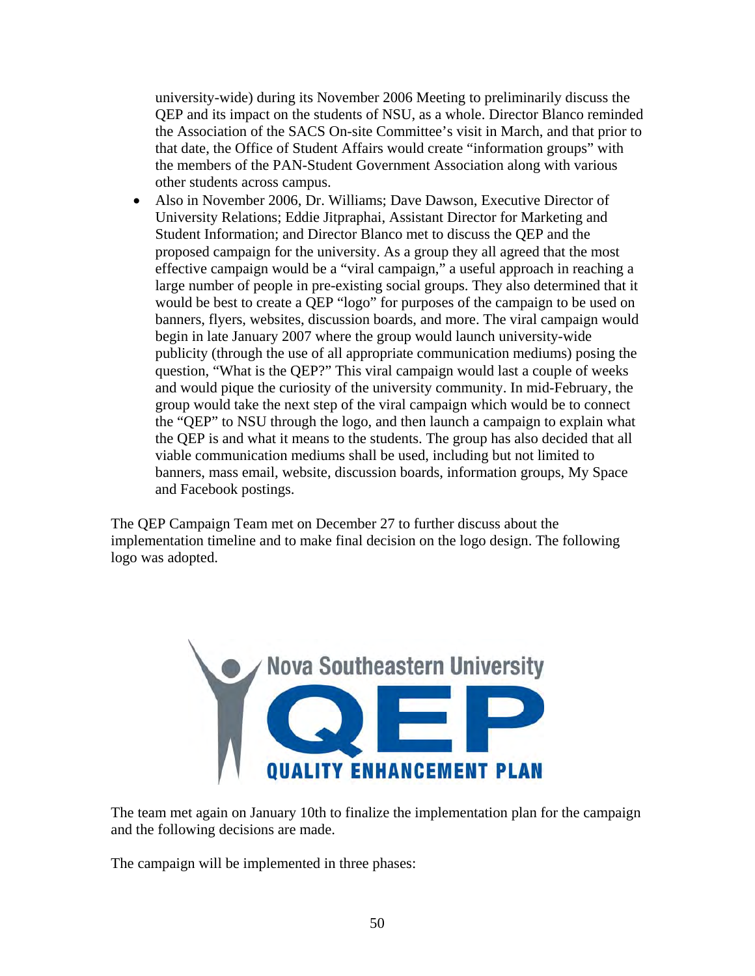university-wide) during its November 2006 Meeting to preliminarily discuss the QEP and its impact on the students of NSU, as a whole. Director Blanco reminded the Association of the SACS On-site Committee's visit in March, and that prior to that date, the Office of Student Affairs would create "information groups" with the members of the PAN-Student Government Association along with various other students across campus.

• Also in November 2006, Dr. Williams: Dave Dawson, Executive Director of University Relations; Eddie Jitpraphai, Assistant Director for Marketing and Student Information; and Director Blanco met to discuss the QEP and the proposed campaign for the university. As a group they all agreed that the most effective campaign would be a "viral campaign," a useful approach in reaching a large number of people in pre-existing social groups. They also determined that it would be best to create a QEP "logo" for purposes of the campaign to be used on banners, flyers, websites, discussion boards, and more. The viral campaign would begin in late January 2007 where the group would launch university-wide publicity (through the use of all appropriate communication mediums) posing the question, "What is the QEP?" This viral campaign would last a couple of weeks and would pique the curiosity of the university community. In mid-February, the group would take the next step of the viral campaign which would be to connect the "QEP" to NSU through the logo, and then launch a campaign to explain what the QEP is and what it means to the students. The group has also decided that all viable communication mediums shall be used, including but not limited to banners, mass email, website, discussion boards, information groups, My Space and Facebook postings.

The QEP Campaign Team met on December 27 to further discuss about the implementation timeline and to make final decision on the logo design. The following logo was adopted.



The team met again on January 10th to finalize the implementation plan for the campaign and the following decisions are made.

The campaign will be implemented in three phases: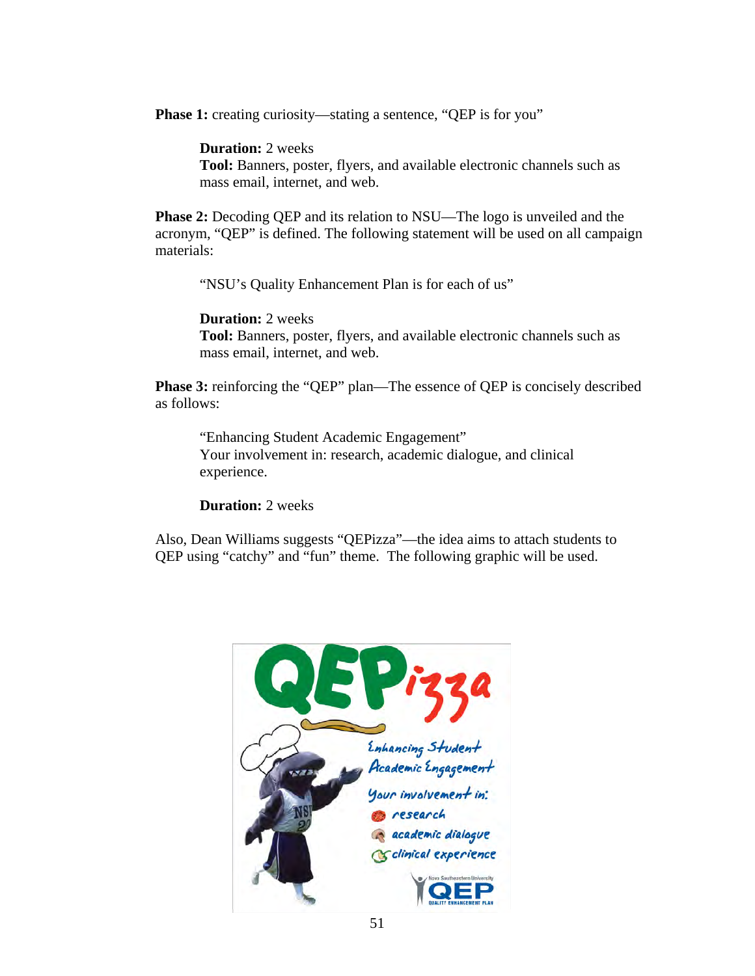**Phase 1:** creating curiosity—stating a sentence, "QEP is for you"

**Duration:** 2 weeks

**Tool:** Banners, poster, flyers, and available electronic channels such as mass email, internet, and web.

**Phase 2:** Decoding QEP and its relation to NSU—The logo is unveiled and the acronym, "QEP" is defined. The following statement will be used on all campaign materials:

"NSU's Quality Enhancement Plan is for each of us"

**Duration:** 2 weeks

**Tool:** Banners, poster, flyers, and available electronic channels such as mass email, internet, and web.

**Phase 3:** reinforcing the "QEP" plan—The essence of QEP is concisely described as follows:

"Enhancing Student Academic Engagement" Your involvement in: research, academic dialogue, and clinical experience.

**Duration:** 2 weeks

Also, Dean Williams suggests "QEPizza"—the idea aims to attach students to QEP using "catchy" and "fun" theme. The following graphic will be used.

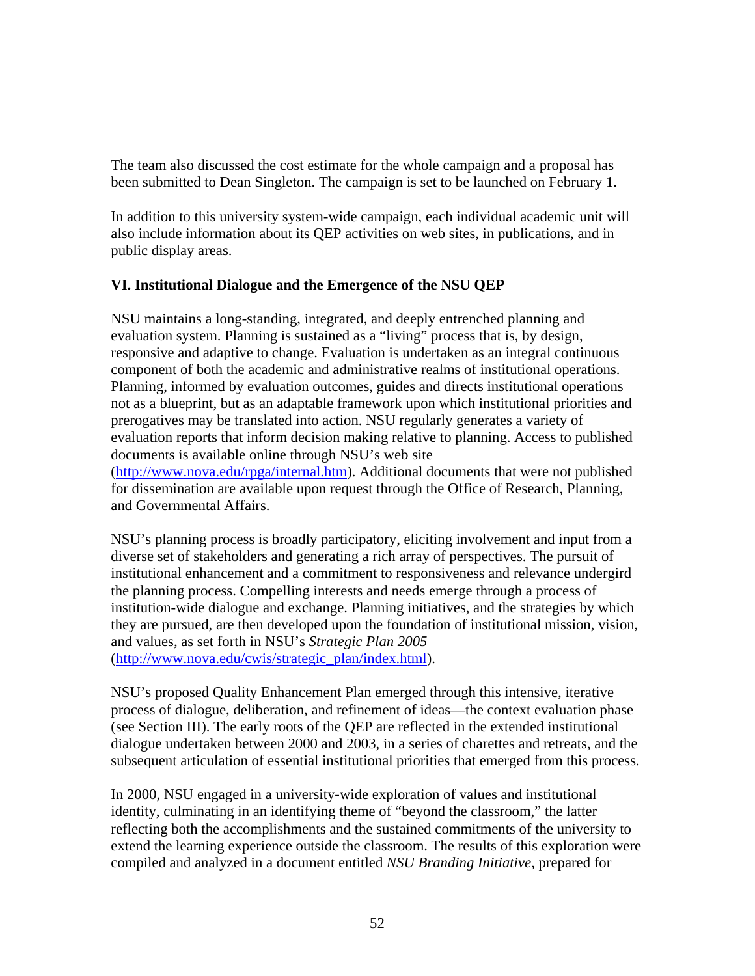The team also discussed the cost estimate for the whole campaign and a proposal has been submitted to Dean Singleton. The campaign is set to be launched on February 1.

In addition to this university system-wide campaign, each individual academic unit will also include information about its QEP activities on web sites, in publications, and in public display areas.

## **VI. Institutional Dialogue and the Emergence of the NSU QEP**

NSU maintains a long-standing, integrated, and deeply entrenched planning and evaluation system. Planning is sustained as a "living" process that is, by design, responsive and adaptive to change. Evaluation is undertaken as an integral continuous component of both the academic and administrative realms of institutional operations. Planning, informed by evaluation outcomes, guides and directs institutional operations not as a blueprint, but as an adaptable framework upon which institutional priorities and prerogatives may be translated into action. NSU regularly generates a variety of evaluation reports that inform decision making relative to planning. Access to published documents is available online through NSU's web site (http://www.nova.edu/rpga/internal.htm). Additional documents that were not published for dissemination are available upon request through the Office of Research, Planning, and Governmental Affairs.

NSU's planning process is broadly participatory, eliciting involvement and input from a diverse set of stakeholders and generating a rich array of perspectives. The pursuit of institutional enhancement and a commitment to responsiveness and relevance undergird the planning process. Compelling interests and needs emerge through a process of institution-wide dialogue and exchange. Planning initiatives, and the strategies by which they are pursued, are then developed upon the foundation of institutional mission, vision, and values, as set forth in NSU's *Strategic Plan 2005* (http://www.nova.edu/cwis/strategic\_plan/index.html).

NSU's proposed Quality Enhancement Plan emerged through this intensive, iterative process of dialogue, deliberation, and refinement of ideas—the context evaluation phase (see Section III). The early roots of the QEP are reflected in the extended institutional dialogue undertaken between 2000 and 2003, in a series of charettes and retreats, and the subsequent articulation of essential institutional priorities that emerged from this process.

In 2000, NSU engaged in a university-wide exploration of values and institutional identity, culminating in an identifying theme of "beyond the classroom," the latter reflecting both the accomplishments and the sustained commitments of the university to extend the learning experience outside the classroom. The results of this exploration were compiled and analyzed in a document entitled *NSU Branding Initiative*, prepared for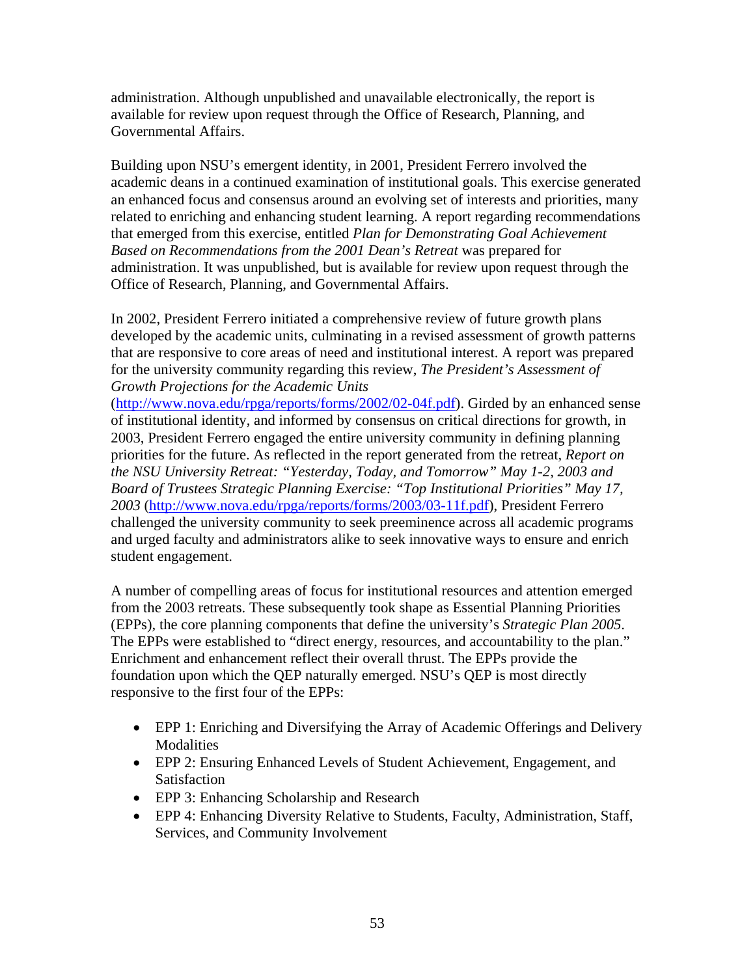administration. Although unpublished and unavailable electronically, the report is available for review upon request through the Office of Research, Planning, and Governmental Affairs.

Building upon NSU's emergent identity, in 2001, President Ferrero involved the academic deans in a continued examination of institutional goals. This exercise generated an enhanced focus and consensus around an evolving set of interests and priorities, many related to enriching and enhancing student learning. A report regarding recommendations that emerged from this exercise, entitled *Plan for Demonstrating Goal Achievement Based on Recommendations from the 2001 Dean's Retreat* was prepared for administration. It was unpublished, but is available for review upon request through the Office of Research, Planning, and Governmental Affairs.

In 2002, President Ferrero initiated a comprehensive review of future growth plans developed by the academic units, culminating in a revised assessment of growth patterns that are responsive to core areas of need and institutional interest. A report was prepared for the university community regarding this review, *The President's Assessment of Growth Projections for the Academic Units* 

(http://www.nova.edu/rpga/reports/forms/2002/02-04f.pdf). Girded by an enhanced sense of institutional identity, and informed by consensus on critical directions for growth, in 2003, President Ferrero engaged the entire university community in defining planning priorities for the future. As reflected in the report generated from the retreat, *Report on the NSU University Retreat: "Yesterday, Today, and Tomorrow" May 1-2, 2003 and Board of Trustees Strategic Planning Exercise: "Top Institutional Priorities" May 17, 2003* (http://www.nova.edu/rpga/reports/forms/2003/03-11f.pdf), President Ferrero challenged the university community to seek preeminence across all academic programs and urged faculty and administrators alike to seek innovative ways to ensure and enrich student engagement.

A number of compelling areas of focus for institutional resources and attention emerged from the 2003 retreats. These subsequently took shape as Essential Planning Priorities (EPPs), the core planning components that define the university's *Strategic Plan 2005*. The EPPs were established to "direct energy, resources, and accountability to the plan." Enrichment and enhancement reflect their overall thrust. The EPPs provide the foundation upon which the QEP naturally emerged. NSU's QEP is most directly responsive to the first four of the EPPs:

- EPP 1: Enriching and Diversifying the Array of Academic Offerings and Delivery Modalities
- EPP 2: Ensuring Enhanced Levels of Student Achievement, Engagement, and Satisfaction
- EPP 3: Enhancing Scholarship and Research
- EPP 4: Enhancing Diversity Relative to Students, Faculty, Administration, Staff, Services, and Community Involvement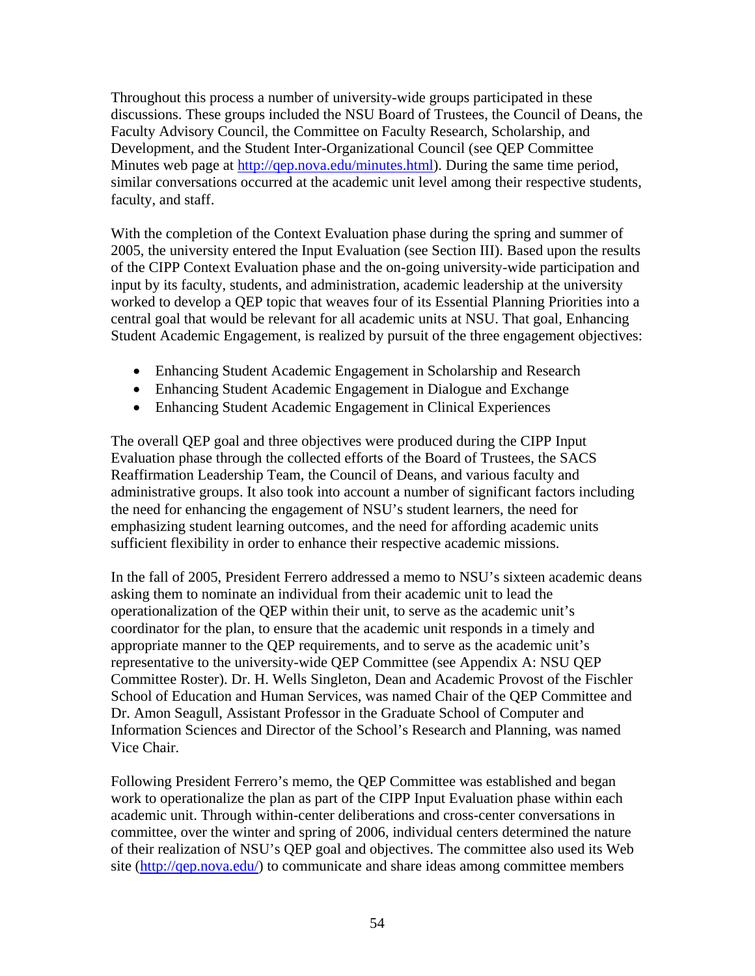Throughout this process a number of university-wide groups participated in these discussions. These groups included the NSU Board of Trustees, the Council of Deans, the Faculty Advisory Council, the Committee on Faculty Research, Scholarship, and Development, and the Student Inter-Organizational Council (see QEP Committee Minutes web page at http://gep.nova.edu/minutes.html). During the same time period, similar conversations occurred at the academic unit level among their respective students, faculty, and staff.

With the completion of the Context Evaluation phase during the spring and summer of 2005, the university entered the Input Evaluation (see Section III). Based upon the results of the CIPP Context Evaluation phase and the on-going university-wide participation and input by its faculty, students, and administration, academic leadership at the university worked to develop a QEP topic that weaves four of its Essential Planning Priorities into a central goal that would be relevant for all academic units at NSU. That goal, Enhancing Student Academic Engagement, is realized by pursuit of the three engagement objectives:

- Enhancing Student Academic Engagement in Scholarship and Research
- Enhancing Student Academic Engagement in Dialogue and Exchange
- Enhancing Student Academic Engagement in Clinical Experiences

The overall QEP goal and three objectives were produced during the CIPP Input Evaluation phase through the collected efforts of the Board of Trustees, the SACS Reaffirmation Leadership Team, the Council of Deans, and various faculty and administrative groups. It also took into account a number of significant factors including the need for enhancing the engagement of NSU's student learners, the need for emphasizing student learning outcomes, and the need for affording academic units sufficient flexibility in order to enhance their respective academic missions.

In the fall of 2005, President Ferrero addressed a memo to NSU's sixteen academic deans asking them to nominate an individual from their academic unit to lead the operationalization of the QEP within their unit, to serve as the academic unit's coordinator for the plan, to ensure that the academic unit responds in a timely and appropriate manner to the QEP requirements, and to serve as the academic unit's representative to the university-wide QEP Committee (see Appendix A: NSU QEP Committee Roster). Dr. H. Wells Singleton, Dean and Academic Provost of the Fischler School of Education and Human Services, was named Chair of the QEP Committee and Dr. Amon Seagull, Assistant Professor in the Graduate School of Computer and Information Sciences and Director of the School's Research and Planning, was named Vice Chair.

Following President Ferrero's memo, the QEP Committee was established and began work to operationalize the plan as part of the CIPP Input Evaluation phase within each academic unit. Through within-center deliberations and cross-center conversations in committee, over the winter and spring of 2006, individual centers determined the nature of their realization of NSU's QEP goal and objectives. The committee also used its Web site (http://qep.nova.edu/) to communicate and share ideas among committee members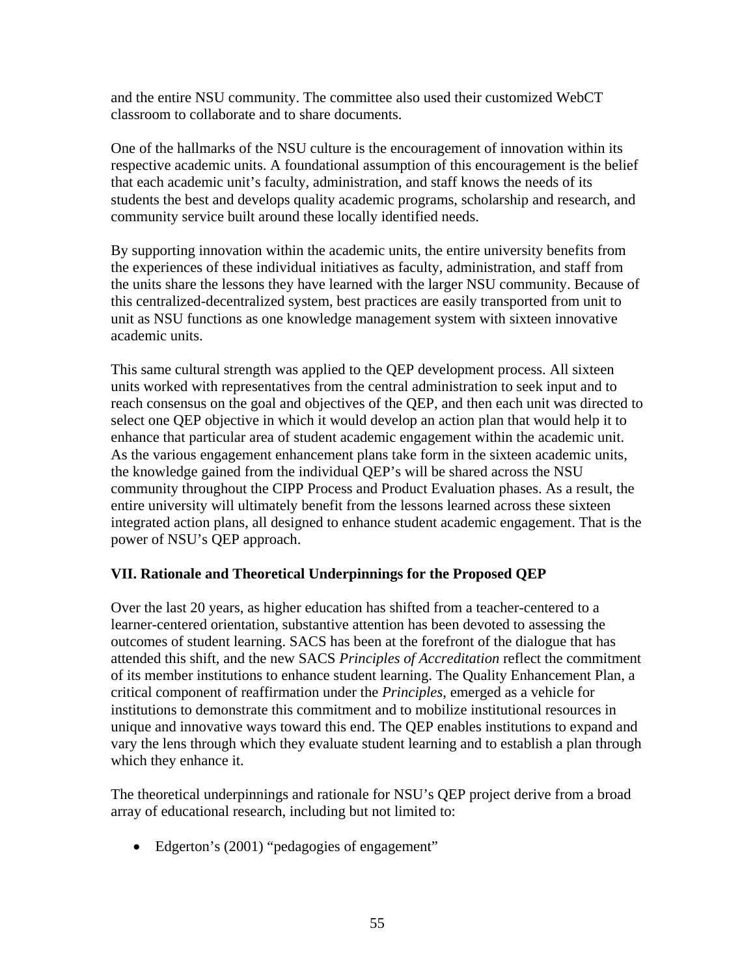and the entire NSU community. The committee also used their customized WebCT classroom to collaborate and to share documents.

One of the hallmarks of the NSU culture is the encouragement of innovation within its respective academic units. A foundational assumption of this encouragement is the belief that each academic unit's faculty, administration, and staff knows the needs of its students the best and develops quality academic programs, scholarship and research, and community service built around these locally identified needs.

By supporting innovation within the academic units, the entire university benefits from the experiences of these individual initiatives as faculty, administration, and staff from the units share the lessons they have learned with the larger NSU community. Because of this centralized-decentralized system, best practices are easily transported from unit to unit as NSU functions as one knowledge management system with sixteen innovative academic units.

This same cultural strength was applied to the QEP development process. All sixteen units worked with representatives from the central administration to seek input and to reach consensus on the goal and objectives of the QEP, and then each unit was directed to select one QEP objective in which it would develop an action plan that would help it to enhance that particular area of student academic engagement within the academic unit. As the various engagement enhancement plans take form in the sixteen academic units, the knowledge gained from the individual QEP's will be shared across the NSU community throughout the CIPP Process and Product Evaluation phases. As a result, the entire university will ultimately benefit from the lessons learned across these sixteen integrated action plans, all designed to enhance student academic engagement. That is the power of NSU's QEP approach.

## **VII. Rationale and Theoretical Underpinnings for the Proposed QEP**

Over the last 20 years, as higher education has shifted from a teacher-centered to a learner-centered orientation, substantive attention has been devoted to assessing the outcomes of student learning. SACS has been at the forefront of the dialogue that has attended this shift, and the new SACS *Principles of Accreditation* reflect the commitment of its member institutions to enhance student learning. The Quality Enhancement Plan, a critical component of reaffirmation under the *Principles*, emerged as a vehicle for institutions to demonstrate this commitment and to mobilize institutional resources in unique and innovative ways toward this end. The QEP enables institutions to expand and vary the lens through which they evaluate student learning and to establish a plan through which they enhance it.

The theoretical underpinnings and rationale for NSU's QEP project derive from a broad array of educational research, including but not limited to:

• Edgerton's (2001) "pedagogies of engagement"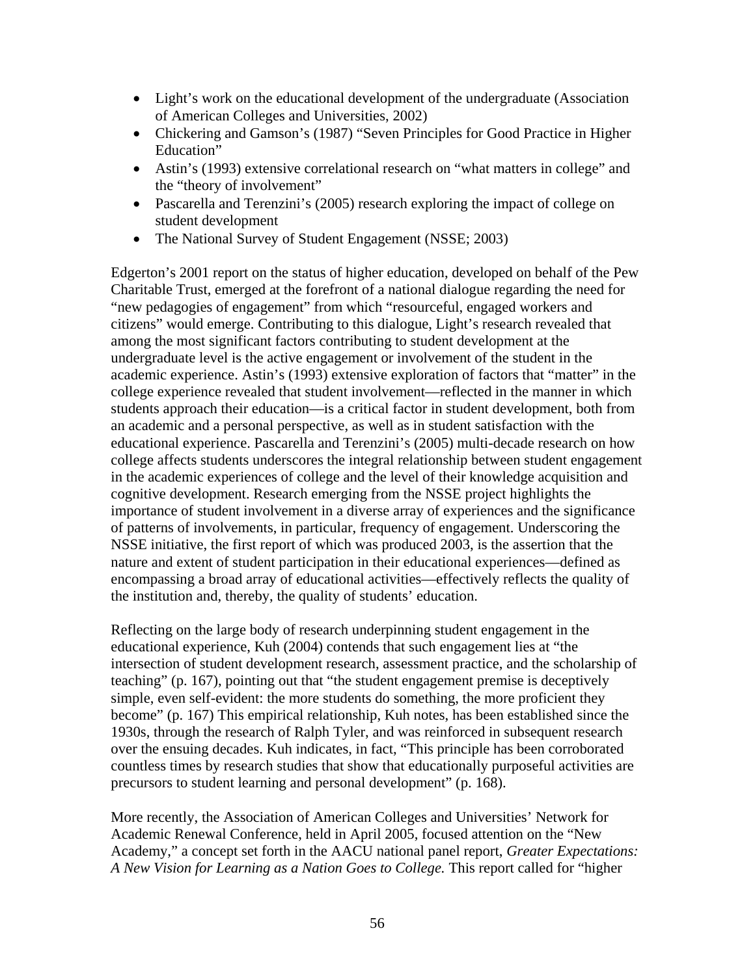- Light's work on the educational development of the undergraduate (Association of American Colleges and Universities, 2002)
- Chickering and Gamson's (1987) "Seven Principles for Good Practice in Higher Education"
- Astin's (1993) extensive correlational research on "what matters in college" and the "theory of involvement"
- Pascarella and Terenzini's (2005) research exploring the impact of college on student development
- The National Survey of Student Engagement (NSSE; 2003)

Edgerton's 2001 report on the status of higher education, developed on behalf of the Pew Charitable Trust, emerged at the forefront of a national dialogue regarding the need for "new pedagogies of engagement" from which "resourceful, engaged workers and citizens" would emerge. Contributing to this dialogue, Light's research revealed that among the most significant factors contributing to student development at the undergraduate level is the active engagement or involvement of the student in the academic experience. Astin's (1993) extensive exploration of factors that "matter" in the college experience revealed that student involvement—reflected in the manner in which students approach their education—is a critical factor in student development, both from an academic and a personal perspective, as well as in student satisfaction with the educational experience. Pascarella and Terenzini's (2005) multi-decade research on how college affects students underscores the integral relationship between student engagement in the academic experiences of college and the level of their knowledge acquisition and cognitive development. Research emerging from the NSSE project highlights the importance of student involvement in a diverse array of experiences and the significance of patterns of involvements, in particular, frequency of engagement. Underscoring the NSSE initiative, the first report of which was produced 2003, is the assertion that the nature and extent of student participation in their educational experiences—defined as encompassing a broad array of educational activities—effectively reflects the quality of the institution and, thereby, the quality of students' education.

Reflecting on the large body of research underpinning student engagement in the educational experience, Kuh (2004) contends that such engagement lies at "the intersection of student development research, assessment practice, and the scholarship of teaching" (p. 167), pointing out that "the student engagement premise is deceptively simple, even self-evident: the more students do something, the more proficient they become" (p. 167) This empirical relationship, Kuh notes, has been established since the 1930s, through the research of Ralph Tyler, and was reinforced in subsequent research over the ensuing decades. Kuh indicates, in fact, "This principle has been corroborated countless times by research studies that show that educationally purposeful activities are precursors to student learning and personal development" (p. 168).

More recently, the Association of American Colleges and Universities' Network for Academic Renewal Conference, held in April 2005, focused attention on the "New Academy," a concept set forth in the AACU national panel report, *Greater Expectations: A New Vision for Learning as a Nation Goes to College.* This report called for "higher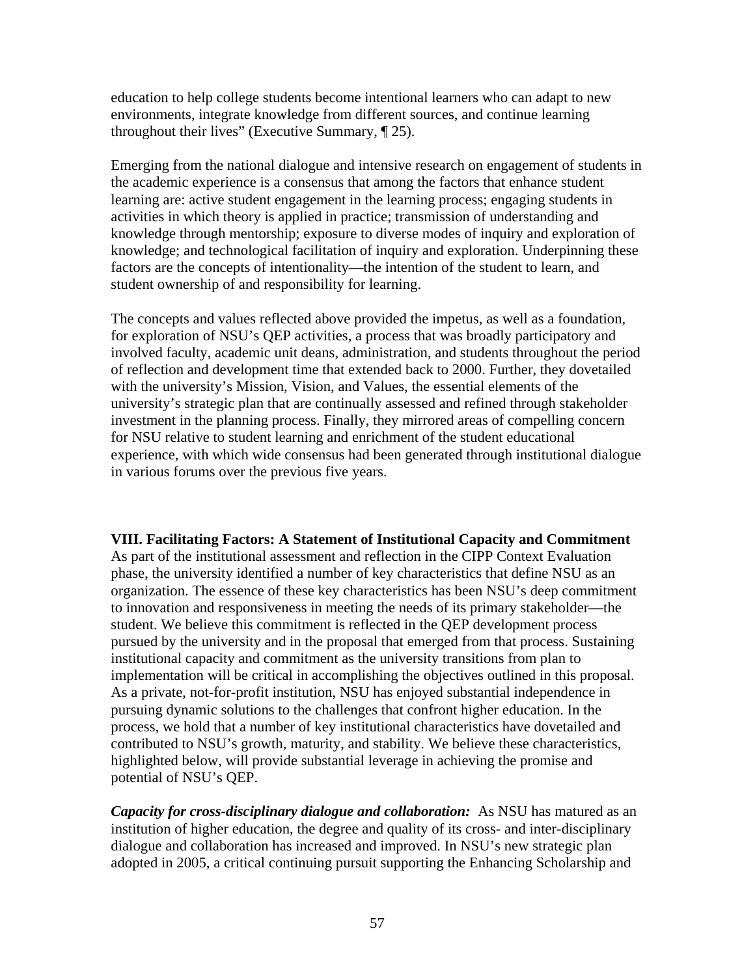education to help college students become intentional learners who can adapt to new environments, integrate knowledge from different sources, and continue learning throughout their lives" (Executive Summary, ¶ 25).

Emerging from the national dialogue and intensive research on engagement of students in the academic experience is a consensus that among the factors that enhance student learning are: active student engagement in the learning process; engaging students in activities in which theory is applied in practice; transmission of understanding and knowledge through mentorship; exposure to diverse modes of inquiry and exploration of knowledge; and technological facilitation of inquiry and exploration. Underpinning these factors are the concepts of intentionality—the intention of the student to learn, and student ownership of and responsibility for learning.

The concepts and values reflected above provided the impetus, as well as a foundation, for exploration of NSU's QEP activities, a process that was broadly participatory and involved faculty, academic unit deans, administration, and students throughout the period of reflection and development time that extended back to 2000. Further, they dovetailed with the university's Mission, Vision, and Values, the essential elements of the university's strategic plan that are continually assessed and refined through stakeholder investment in the planning process. Finally, they mirrored areas of compelling concern for NSU relative to student learning and enrichment of the student educational experience, with which wide consensus had been generated through institutional dialogue in various forums over the previous five years.

**VIII. Facilitating Factors: A Statement of Institutional Capacity and Commitment**  As part of the institutional assessment and reflection in the CIPP Context Evaluation phase, the university identified a number of key characteristics that define NSU as an organization. The essence of these key characteristics has been NSU's deep commitment to innovation and responsiveness in meeting the needs of its primary stakeholder—the student. We believe this commitment is reflected in the QEP development process pursued by the university and in the proposal that emerged from that process. Sustaining institutional capacity and commitment as the university transitions from plan to implementation will be critical in accomplishing the objectives outlined in this proposal. As a private, not-for-profit institution, NSU has enjoyed substantial independence in pursuing dynamic solutions to the challenges that confront higher education. In the process, we hold that a number of key institutional characteristics have dovetailed and contributed to NSU's growth, maturity, and stability. We believe these characteristics, highlighted below, will provide substantial leverage in achieving the promise and potential of NSU's QEP.

*Capacity for cross-disciplinary dialogue and collaboration:* As NSU has matured as an institution of higher education, the degree and quality of its cross- and inter-disciplinary dialogue and collaboration has increased and improved. In NSU's new strategic plan adopted in 2005, a critical continuing pursuit supporting the Enhancing Scholarship and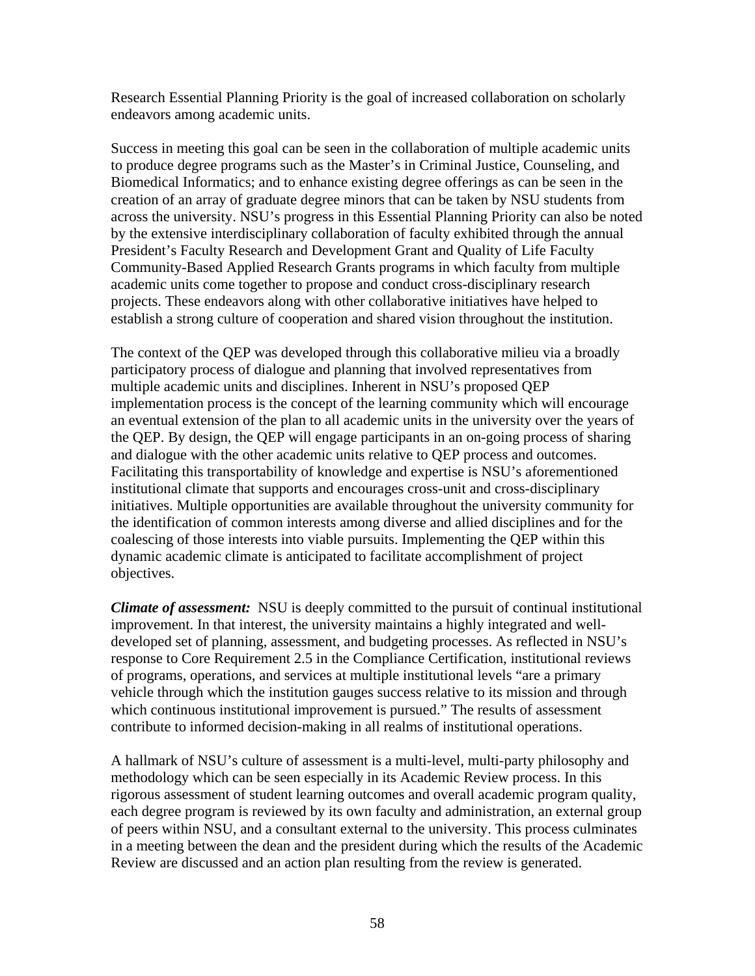Research Essential Planning Priority is the goal of increased collaboration on scholarly endeavors among academic units.

Success in meeting this goal can be seen in the collaboration of multiple academic units to produce degree programs such as the Master's in Criminal Justice, Counseling, and Biomedical Informatics; and to enhance existing degree offerings as can be seen in the creation of an array of graduate degree minors that can be taken by NSU students from across the university. NSU's progress in this Essential Planning Priority can also be noted by the extensive interdisciplinary collaboration of faculty exhibited through the annual President's Faculty Research and Development Grant and Quality of Life Faculty Community-Based Applied Research Grants programs in which faculty from multiple academic units come together to propose and conduct cross-disciplinary research projects. These endeavors along with other collaborative initiatives have helped to establish a strong culture of cooperation and shared vision throughout the institution.

The context of the QEP was developed through this collaborative milieu via a broadly participatory process of dialogue and planning that involved representatives from multiple academic units and disciplines. Inherent in NSU's proposed QEP implementation process is the concept of the learning community which will encourage an eventual extension of the plan to all academic units in the university over the years of the QEP. By design, the QEP will engage participants in an on-going process of sharing and dialogue with the other academic units relative to QEP process and outcomes. Facilitating this transportability of knowledge and expertise is NSU's aforementioned institutional climate that supports and encourages cross-unit and cross-disciplinary initiatives. Multiple opportunities are available throughout the university community for the identification of common interests among diverse and allied disciplines and for the coalescing of those interests into viable pursuits. Implementing the QEP within this dynamic academic climate is anticipated to facilitate accomplishment of project objectives.

*Climate of assessment:* NSU is deeply committed to the pursuit of continual institutional improvement. In that interest, the university maintains a highly integrated and welldeveloped set of planning, assessment, and budgeting processes. As reflected in NSU's response to Core Requirement 2.5 in the Compliance Certification, institutional reviews of programs, operations, and services at multiple institutional levels "are a primary vehicle through which the institution gauges success relative to its mission and through which continuous institutional improvement is pursued." The results of assessment contribute to informed decision-making in all realms of institutional operations.

A hallmark of NSU's culture of assessment is a multi-level, multi-party philosophy and methodology which can be seen especially in its Academic Review process. In this rigorous assessment of student learning outcomes and overall academic program quality, each degree program is reviewed by its own faculty and administration, an external group of peers within NSU, and a consultant external to the university. This process culminates in a meeting between the dean and the president during which the results of the Academic Review are discussed and an action plan resulting from the review is generated.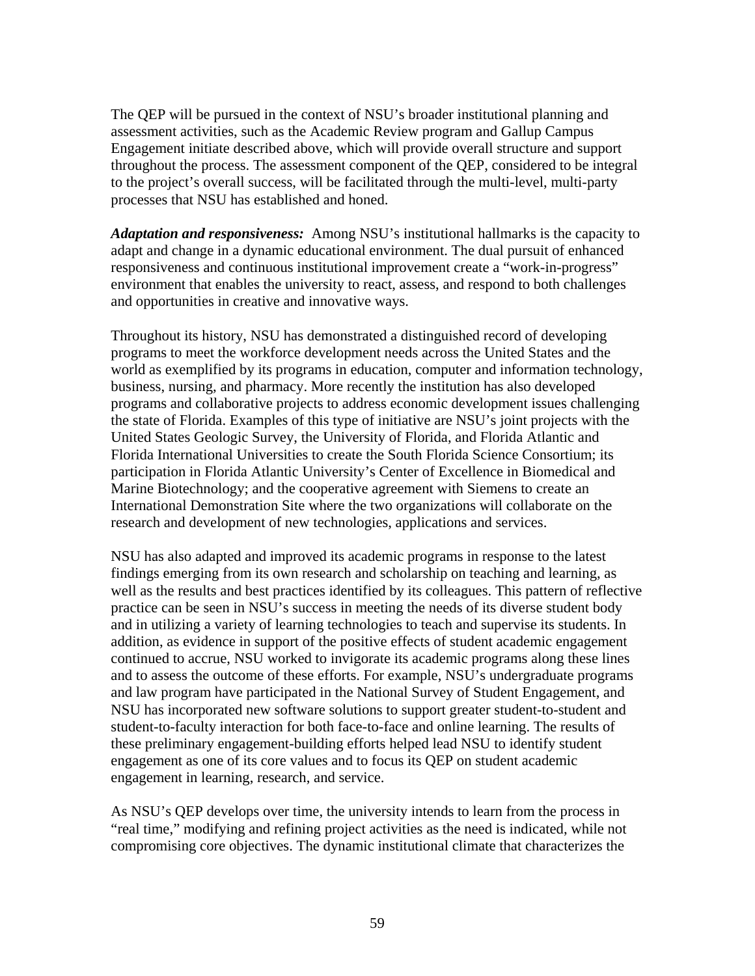The QEP will be pursued in the context of NSU's broader institutional planning and assessment activities, such as the Academic Review program and Gallup Campus Engagement initiate described above, which will provide overall structure and support throughout the process. The assessment component of the QEP, considered to be integral to the project's overall success, will be facilitated through the multi-level, multi-party processes that NSU has established and honed.

*Adaptation and responsiveness:* Among NSU's institutional hallmarks is the capacity to adapt and change in a dynamic educational environment. The dual pursuit of enhanced responsiveness and continuous institutional improvement create a "work-in-progress" environment that enables the university to react, assess, and respond to both challenges and opportunities in creative and innovative ways.

Throughout its history, NSU has demonstrated a distinguished record of developing programs to meet the workforce development needs across the United States and the world as exemplified by its programs in education, computer and information technology, business, nursing, and pharmacy. More recently the institution has also developed programs and collaborative projects to address economic development issues challenging the state of Florida. Examples of this type of initiative are NSU's joint projects with the United States Geologic Survey, the University of Florida, and Florida Atlantic and Florida International Universities to create the South Florida Science Consortium; its participation in Florida Atlantic University's Center of Excellence in Biomedical and Marine Biotechnology; and the cooperative agreement with Siemens to create an International Demonstration Site where the two organizations will collaborate on the research and development of new technologies, applications and services.

NSU has also adapted and improved its academic programs in response to the latest findings emerging from its own research and scholarship on teaching and learning, as well as the results and best practices identified by its colleagues. This pattern of reflective practice can be seen in NSU's success in meeting the needs of its diverse student body and in utilizing a variety of learning technologies to teach and supervise its students. In addition, as evidence in support of the positive effects of student academic engagement continued to accrue, NSU worked to invigorate its academic programs along these lines and to assess the outcome of these efforts. For example, NSU's undergraduate programs and law program have participated in the National Survey of Student Engagement, and NSU has incorporated new software solutions to support greater student-to-student and student-to-faculty interaction for both face-to-face and online learning. The results of these preliminary engagement-building efforts helped lead NSU to identify student engagement as one of its core values and to focus its QEP on student academic engagement in learning, research, and service.

As NSU's QEP develops over time, the university intends to learn from the process in "real time," modifying and refining project activities as the need is indicated, while not compromising core objectives. The dynamic institutional climate that characterizes the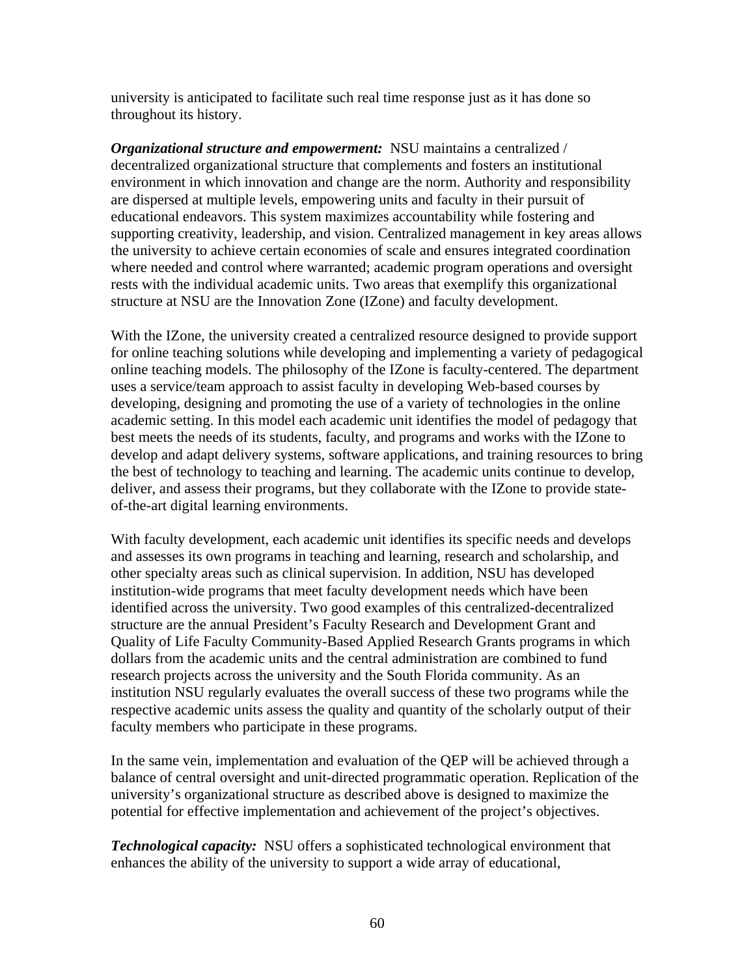university is anticipated to facilitate such real time response just as it has done so throughout its history.

*Organizational structure and empowerment:* NSU maintains a centralized / decentralized organizational structure that complements and fosters an institutional environment in which innovation and change are the norm. Authority and responsibility are dispersed at multiple levels, empowering units and faculty in their pursuit of educational endeavors. This system maximizes accountability while fostering and supporting creativity, leadership, and vision. Centralized management in key areas allows the university to achieve certain economies of scale and ensures integrated coordination where needed and control where warranted; academic program operations and oversight rests with the individual academic units. Two areas that exemplify this organizational structure at NSU are the Innovation Zone (IZone) and faculty development.

With the IZone, the university created a centralized resource designed to provide support for online teaching solutions while developing and implementing a variety of pedagogical online teaching models. The philosophy of the IZone is faculty-centered. The department uses a service/team approach to assist faculty in developing Web-based courses by developing, designing and promoting the use of a variety of technologies in the online academic setting. In this model each academic unit identifies the model of pedagogy that best meets the needs of its students, faculty, and programs and works with the IZone to develop and adapt delivery systems, software applications, and training resources to bring the best of technology to teaching and learning. The academic units continue to develop, deliver, and assess their programs, but they collaborate with the IZone to provide stateof-the-art digital learning environments.

With faculty development, each academic unit identifies its specific needs and develops and assesses its own programs in teaching and learning, research and scholarship, and other specialty areas such as clinical supervision. In addition, NSU has developed institution-wide programs that meet faculty development needs which have been identified across the university. Two good examples of this centralized-decentralized structure are the annual President's Faculty Research and Development Grant and Quality of Life Faculty Community-Based Applied Research Grants programs in which dollars from the academic units and the central administration are combined to fund research projects across the university and the South Florida community. As an institution NSU regularly evaluates the overall success of these two programs while the respective academic units assess the quality and quantity of the scholarly output of their faculty members who participate in these programs.

In the same vein, implementation and evaluation of the QEP will be achieved through a balance of central oversight and unit-directed programmatic operation. Replication of the university's organizational structure as described above is designed to maximize the potential for effective implementation and achievement of the project's objectives.

*Technological capacity:* NSU offers a sophisticated technological environment that enhances the ability of the university to support a wide array of educational,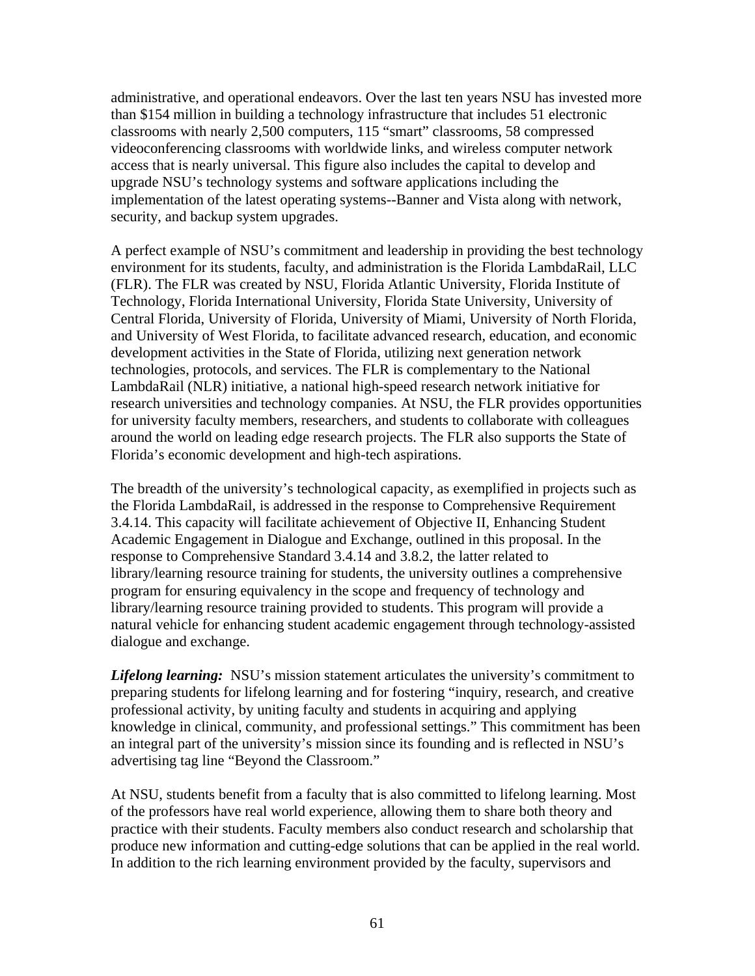administrative, and operational endeavors. Over the last ten years NSU has invested more than \$154 million in building a technology infrastructure that includes 51 electronic classrooms with nearly 2,500 computers, 115 "smart" classrooms, 58 compressed videoconferencing classrooms with worldwide links, and wireless computer network access that is nearly universal. This figure also includes the capital to develop and upgrade NSU's technology systems and software applications including the implementation of the latest operating systems--Banner and Vista along with network, security, and backup system upgrades.

A perfect example of NSU's commitment and leadership in providing the best technology environment for its students, faculty, and administration is the Florida LambdaRail, LLC (FLR). The FLR was created by NSU, Florida Atlantic University, Florida Institute of Technology, Florida International University, Florida State University, University of Central Florida, University of Florida, University of Miami, University of North Florida, and University of West Florida, to facilitate advanced research, education, and economic development activities in the State of Florida, utilizing next generation network technologies, protocols, and services. The FLR is complementary to the National LambdaRail (NLR) initiative, a national high-speed research network initiative for research universities and technology companies. At NSU, the FLR provides opportunities for university faculty members, researchers, and students to collaborate with colleagues around the world on leading edge research projects. The FLR also supports the State of Florida's economic development and high-tech aspirations.

The breadth of the university's technological capacity, as exemplified in projects such as the Florida LambdaRail, is addressed in the response to Comprehensive Requirement 3.4.14. This capacity will facilitate achievement of Objective II, Enhancing Student Academic Engagement in Dialogue and Exchange, outlined in this proposal. In the response to Comprehensive Standard 3.4.14 and 3.8.2, the latter related to library/learning resource training for students, the university outlines a comprehensive program for ensuring equivalency in the scope and frequency of technology and library/learning resource training provided to students. This program will provide a natural vehicle for enhancing student academic engagement through technology-assisted dialogue and exchange.

*Lifelong learning:* NSU's mission statement articulates the university's commitment to preparing students for lifelong learning and for fostering "inquiry, research, and creative professional activity, by uniting faculty and students in acquiring and applying knowledge in clinical, community, and professional settings." This commitment has been an integral part of the university's mission since its founding and is reflected in NSU's advertising tag line "Beyond the Classroom."

At NSU, students benefit from a faculty that is also committed to lifelong learning. Most of the professors have real world experience, allowing them to share both theory and practice with their students. Faculty members also conduct research and scholarship that produce new information and cutting-edge solutions that can be applied in the real world. In addition to the rich learning environment provided by the faculty, supervisors and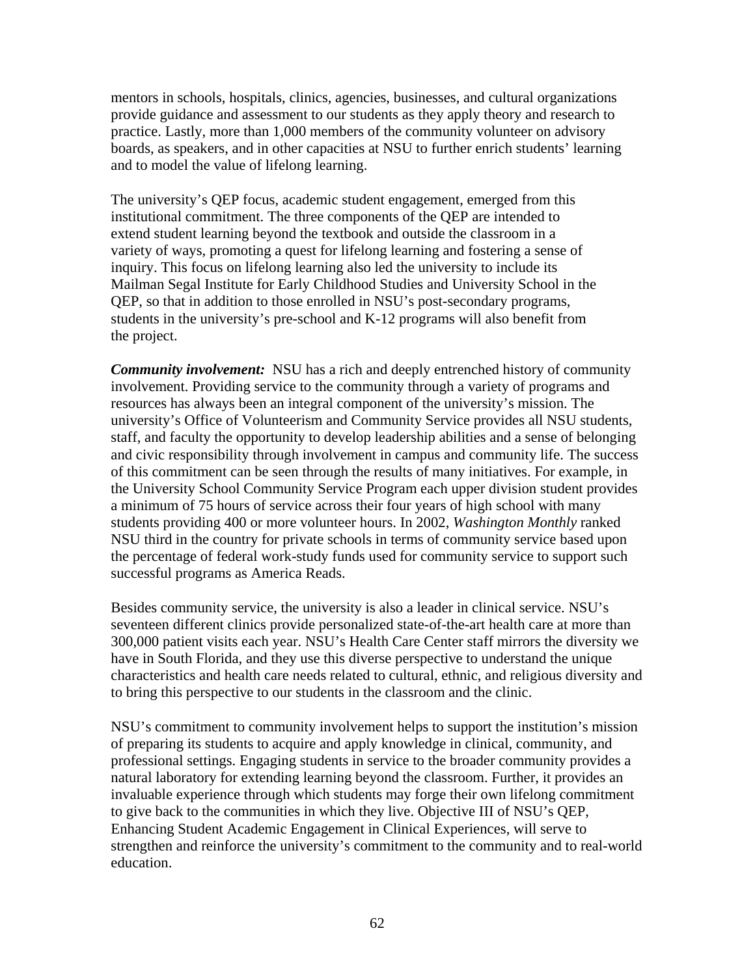mentors in schools, hospitals, clinics, agencies, businesses, and cultural organizations provide guidance and assessment to our students as they apply theory and research to practice. Lastly, more than 1,000 members of the community volunteer on advisory boards, as speakers, and in other capacities at NSU to further enrich students' learning and to model the value of lifelong learning.

The university's QEP focus, academic student engagement, emerged from this institutional commitment. The three components of the QEP are intended to extend student learning beyond the textbook and outside the classroom in a variety of ways, promoting a quest for lifelong learning and fostering a sense of inquiry. This focus on lifelong learning also led the university to include its Mailman Segal Institute for Early Childhood Studies and University School in the QEP, so that in addition to those enrolled in NSU's post-secondary programs, students in the university's pre-school and K-12 programs will also benefit from the project.

*Community involvement:* NSU has a rich and deeply entrenched history of community involvement. Providing service to the community through a variety of programs and resources has always been an integral component of the university's mission. The university's Office of Volunteerism and Community Service provides all NSU students, staff, and faculty the opportunity to develop leadership abilities and a sense of belonging and civic responsibility through involvement in campus and community life. The success of this commitment can be seen through the results of many initiatives. For example, in the University School Community Service Program each upper division student provides a minimum of 75 hours of service across their four years of high school with many students providing 400 or more volunteer hours. In 2002, *Washington Monthly* ranked NSU third in the country for private schools in terms of community service based upon the percentage of federal work-study funds used for community service to support such successful programs as America Reads.

Besides community service, the university is also a leader in clinical service. NSU's seventeen different clinics provide personalized state-of-the-art health care at more than 300,000 patient visits each year. NSU's Health Care Center staff mirrors the diversity we have in South Florida, and they use this diverse perspective to understand the unique characteristics and health care needs related to cultural, ethnic, and religious diversity and to bring this perspective to our students in the classroom and the clinic.

NSU's commitment to community involvement helps to support the institution's mission of preparing its students to acquire and apply knowledge in clinical, community, and professional settings. Engaging students in service to the broader community provides a natural laboratory for extending learning beyond the classroom. Further, it provides an invaluable experience through which students may forge their own lifelong commitment to give back to the communities in which they live. Objective III of NSU's QEP, Enhancing Student Academic Engagement in Clinical Experiences, will serve to strengthen and reinforce the university's commitment to the community and to real-world education.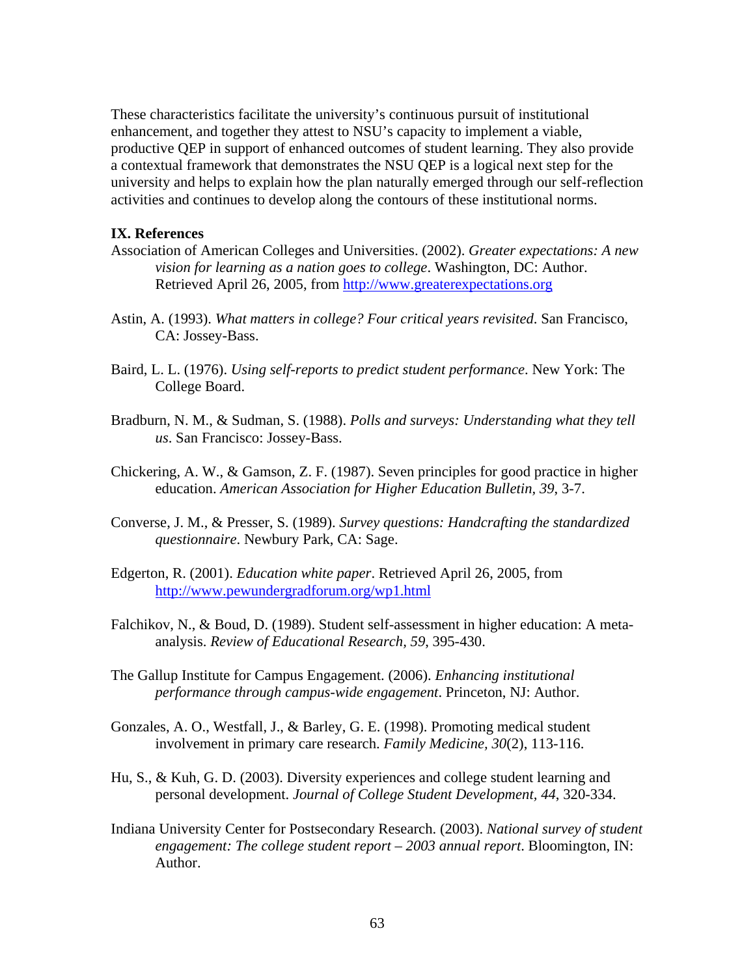These characteristics facilitate the university's continuous pursuit of institutional enhancement, and together they attest to NSU's capacity to implement a viable, productive QEP in support of enhanced outcomes of student learning. They also provide a contextual framework that demonstrates the NSU QEP is a logical next step for the university and helps to explain how the plan naturally emerged through our self-reflection activities and continues to develop along the contours of these institutional norms.

#### **IX. References**

- Association of American Colleges and Universities. (2002). *Greater expectations: A new vision for learning as a nation goes to college*. Washington, DC: Author. Retrieved April 26, 2005, from http://www.greaterexpectations.org
- Astin, A. (1993). *What matters in college? Four critical years revisited*. San Francisco, CA: Jossey-Bass.
- Baird, L. L. (1976). *Using self-reports to predict student performance*. New York: The College Board.
- Bradburn, N. M., & Sudman, S. (1988). *Polls and surveys: Understanding what they tell us*. San Francisco: Jossey-Bass.
- Chickering, A. W., & Gamson, Z. F. (1987). Seven principles for good practice in higher education. *American Association for Higher Education Bulletin, 39*, 3-7.
- Converse, J. M., & Presser, S. (1989). *Survey questions: Handcrafting the standardized questionnaire*. Newbury Park, CA: Sage.
- Edgerton, R. (2001). *Education white paper*. Retrieved April 26, 2005, from http://www.pewundergradforum.org/wp1.html
- Falchikov, N., & Boud, D. (1989). Student self-assessment in higher education: A metaanalysis. *Review of Educational Research, 59*, 395-430.
- The Gallup Institute for Campus Engagement. (2006). *Enhancing institutional performance through campus-wide engagement*. Princeton, NJ: Author.
- Gonzales, A. O., Westfall, J., & Barley, G. E. (1998). Promoting medical student involvement in primary care research. *Family Medicine, 30*(2), 113-116.
- Hu, S., & Kuh, G. D. (2003). Diversity experiences and college student learning and personal development. *Journal of College Student Development, 44*, 320-334.
- Indiana University Center for Postsecondary Research. (2003). *National survey of student engagement: The college student report – 2003 annual report*. Bloomington, IN: Author.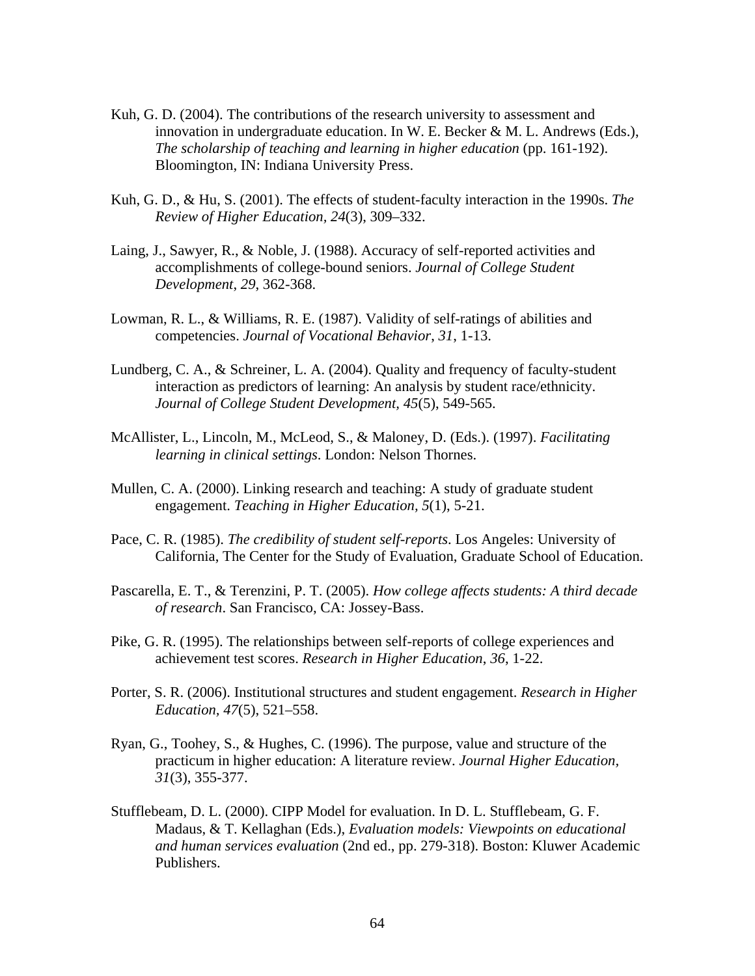- Kuh, G. D. (2004). The contributions of the research university to assessment and innovation in undergraduate education. In W. E. Becker & M. L. Andrews (Eds.), *The scholarship of teaching and learning in higher education* (pp. 161-192). Bloomington, IN: Indiana University Press.
- Kuh, G. D., & Hu, S. (2001). The effects of student-faculty interaction in the 1990s. *The Review of Higher Education, 24*(3), 309–332.
- Laing, J., Sawyer, R., & Noble, J. (1988). Accuracy of self-reported activities and accomplishments of college-bound seniors. *Journal of College Student Development*, *29*, 362-368.
- Lowman, R. L., & Williams, R. E. (1987). Validity of self-ratings of abilities and competencies. *Journal of Vocational Behavior*, *31*, 1-13.
- Lundberg, C. A., & Schreiner, L. A. (2004). Quality and frequency of faculty-student interaction as predictors of learning: An analysis by student race/ethnicity. *Journal of College Student Development, 45*(5), 549-565.
- McAllister, L., Lincoln, M., McLeod, S., & Maloney, D. (Eds.). (1997). *Facilitating learning in clinical settings*. London: Nelson Thornes.
- Mullen, C. A. (2000). Linking research and teaching: A study of graduate student engagement. *Teaching in Higher Education, 5*(1), 5-21.
- Pace, C. R. (1985). *The credibility of student self-reports*. Los Angeles: University of California, The Center for the Study of Evaluation, Graduate School of Education.
- Pascarella, E. T., & Terenzini, P. T. (2005). *How college affects students: A third decade of research*. San Francisco, CA: Jossey-Bass.
- Pike, G. R. (1995). The relationships between self-reports of college experiences and achievement test scores. *Research in Higher Education*, *36*, 1-22.
- Porter, S. R. (2006). Institutional structures and student engagement. *Research in Higher Education, 47*(5), 521–558.
- Ryan, G., Toohey, S., & Hughes, C. (1996). The purpose, value and structure of the practicum in higher education: A literature review. *Journal Higher Education, 31*(3), 355-377.
- Stufflebeam, D. L. (2000). CIPP Model for evaluation. In D. L. Stufflebeam, G. F. Madaus, & T. Kellaghan (Eds.), *Evaluation models: Viewpoints on educational and human services evaluation* (2nd ed., pp. 279-318). Boston: Kluwer Academic Publishers.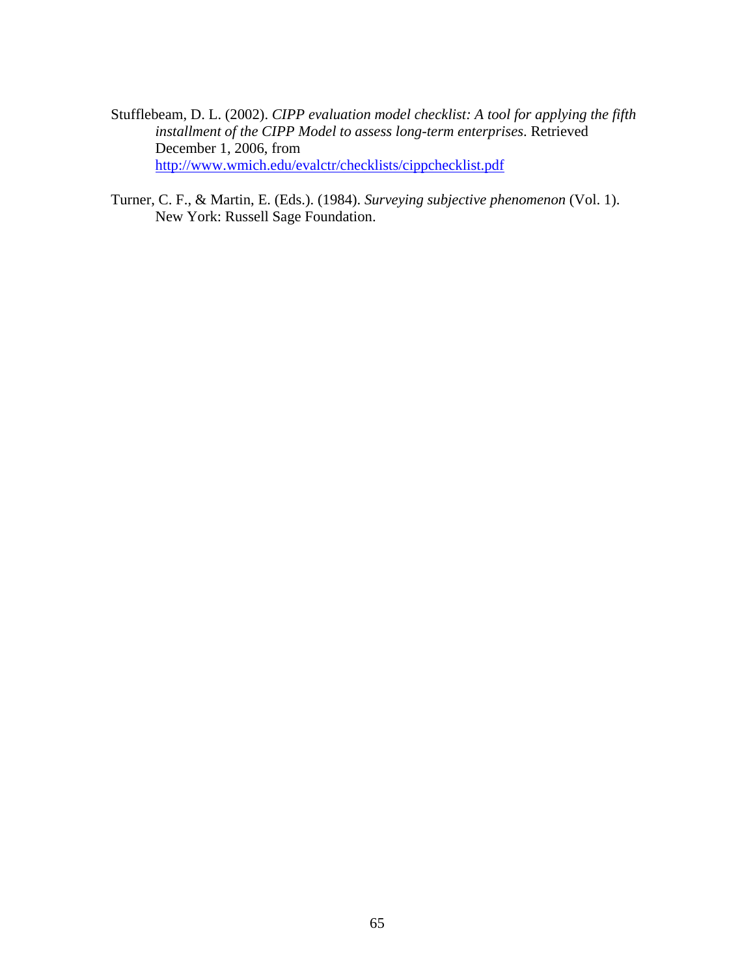- Stufflebeam, D. L. (2002). *CIPP evaluation model checklist: A tool for applying the fifth installment of the CIPP Model to assess long-term enterprises*. Retrieved December 1, 2006, from http://www.wmich.edu/evalctr/checklists/cippchecklist.pdf
- Turner, C. F., & Martin, E. (Eds.). (1984). *Surveying subjective phenomenon* (Vol. 1). New York: Russell Sage Foundation.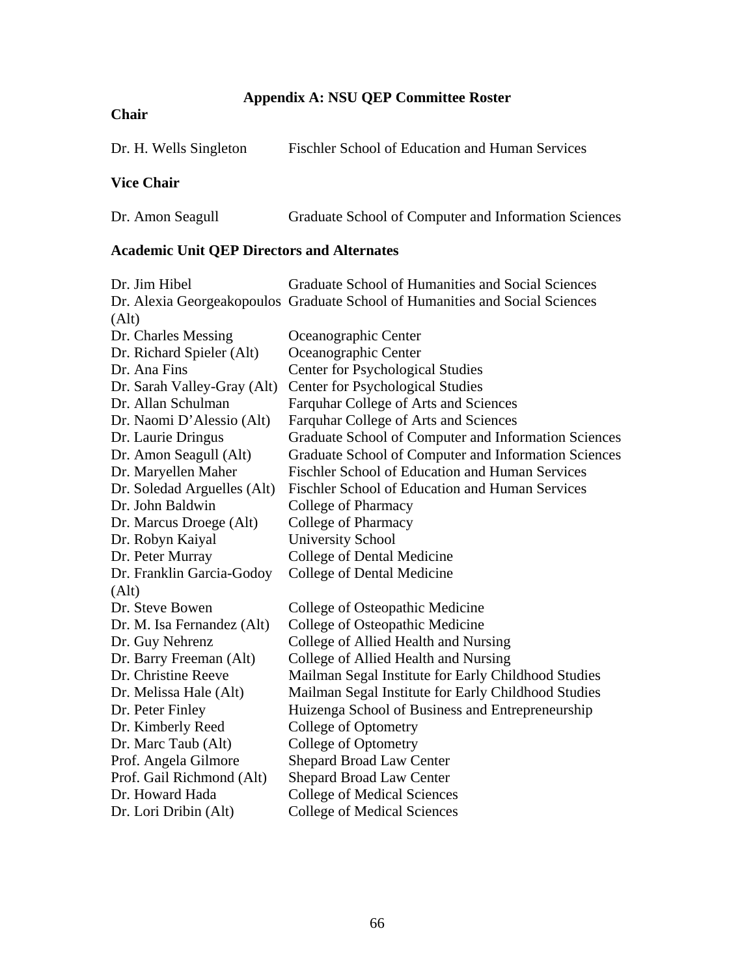# **Appendix A: NSU QEP Committee Roster**

# **Chair**

| Dr. H. Wells Singleton | Fischler School of Education and Human Services |
|------------------------|-------------------------------------------------|
| <b>Vice Chair</b>      |                                                 |

# Dr. Amon Seagull Graduate School of Computer and Information Sciences

# **Academic Unit QEP Directors and Alternates**

| Dr. Jim Hibel               | Graduate School of Humanities and Social Sciences                            |
|-----------------------------|------------------------------------------------------------------------------|
|                             | Dr. Alexia Georgeakopoulos Graduate School of Humanities and Social Sciences |
| (Alt)                       |                                                                              |
| Dr. Charles Messing         | Oceanographic Center                                                         |
| Dr. Richard Spieler (Alt)   | Oceanographic Center                                                         |
| Dr. Ana Fins                | <b>Center for Psychological Studies</b>                                      |
| Dr. Sarah Valley-Gray (Alt) | <b>Center for Psychological Studies</b>                                      |
| Dr. Allan Schulman          | Farquhar College of Arts and Sciences                                        |
| Dr. Naomi D'Alessio (Alt)   | Farquhar College of Arts and Sciences                                        |
| Dr. Laurie Dringus          | Graduate School of Computer and Information Sciences                         |
| Dr. Amon Seagull (Alt)      | Graduate School of Computer and Information Sciences                         |
| Dr. Maryellen Maher         | <b>Fischler School of Education and Human Services</b>                       |
| Dr. Soledad Arguelles (Alt) | <b>Fischler School of Education and Human Services</b>                       |
| Dr. John Baldwin            | College of Pharmacy                                                          |
| Dr. Marcus Droege (Alt)     | College of Pharmacy                                                          |
| Dr. Robyn Kaiyal            | <b>University School</b>                                                     |
| Dr. Peter Murray            | College of Dental Medicine                                                   |
| Dr. Franklin Garcia-Godoy   | College of Dental Medicine                                                   |
| (Alt)                       |                                                                              |
| Dr. Steve Bowen             | College of Osteopathic Medicine                                              |
| Dr. M. Isa Fernandez (Alt)  | College of Osteopathic Medicine                                              |
| Dr. Guy Nehrenz             | College of Allied Health and Nursing                                         |
| Dr. Barry Freeman (Alt)     | College of Allied Health and Nursing                                         |
| Dr. Christine Reeve         | Mailman Segal Institute for Early Childhood Studies                          |
| Dr. Melissa Hale (Alt)      | Mailman Segal Institute for Early Childhood Studies                          |
| Dr. Peter Finley            | Huizenga School of Business and Entrepreneurship                             |
| Dr. Kimberly Reed           | College of Optometry                                                         |
| Dr. Marc Taub (Alt)         | College of Optometry                                                         |
| Prof. Angela Gilmore        | <b>Shepard Broad Law Center</b>                                              |
| Prof. Gail Richmond (Alt)   | <b>Shepard Broad Law Center</b>                                              |
| Dr. Howard Hada             | <b>College of Medical Sciences</b>                                           |
| Dr. Lori Dribin (Alt)       | <b>College of Medical Sciences</b>                                           |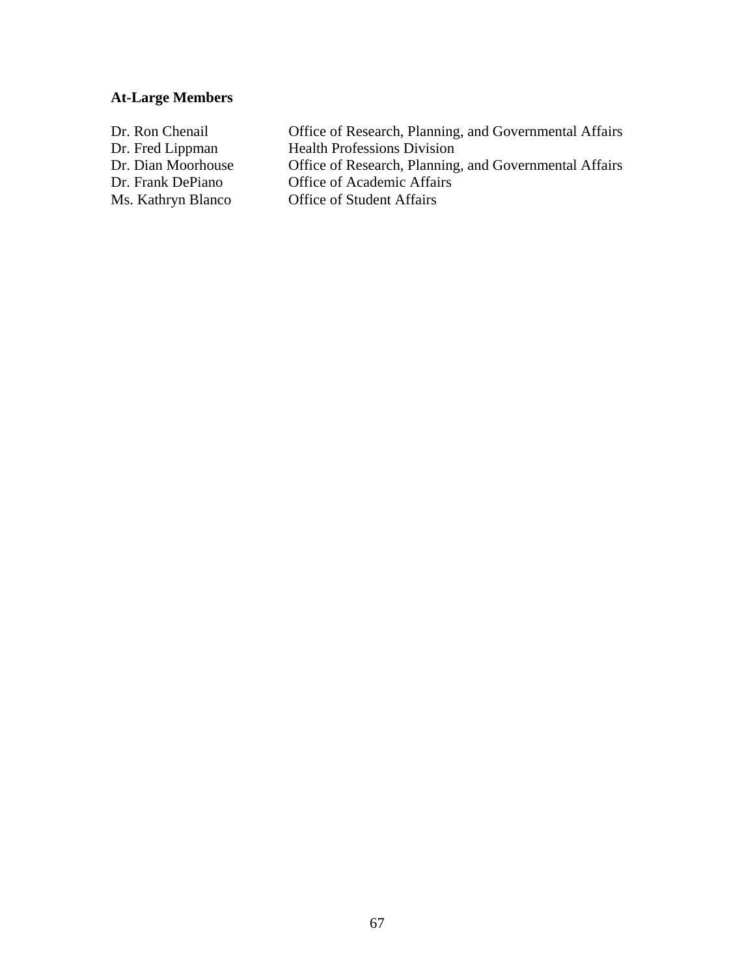# **At-Large Members**

| Dr. Ron Chenail    | Office of Research, Planning, and Governmental Affairs |
|--------------------|--------------------------------------------------------|
| Dr. Fred Lippman   | <b>Health Professions Division</b>                     |
| Dr. Dian Moorhouse | Office of Research, Planning, and Governmental Affairs |
| Dr. Frank DePiano  | <b>Office of Academic Affairs</b>                      |
| Ms. Kathryn Blanco | <b>Office of Student Affairs</b>                       |
|                    |                                                        |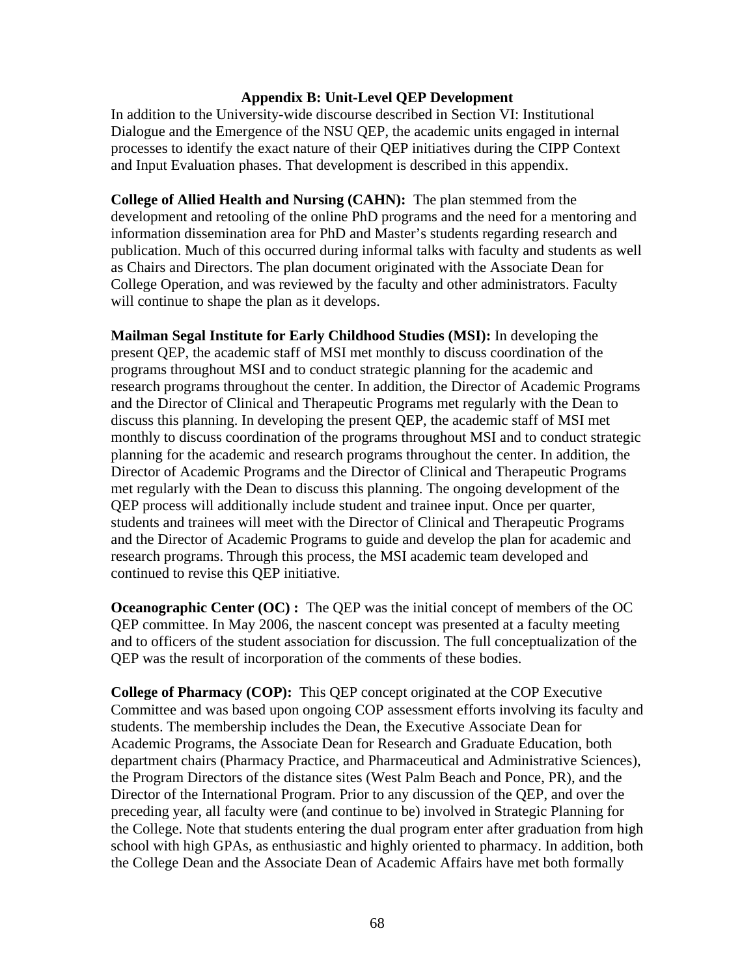## **Appendix B: Unit-Level QEP Development**

In addition to the University-wide discourse described in Section VI: Institutional Dialogue and the Emergence of the NSU QEP, the academic units engaged in internal processes to identify the exact nature of their QEP initiatives during the CIPP Context and Input Evaluation phases. That development is described in this appendix.

**College of Allied Health and Nursing (CAHN):** The plan stemmed from the development and retooling of the online PhD programs and the need for a mentoring and information dissemination area for PhD and Master's students regarding research and publication. Much of this occurred during informal talks with faculty and students as well as Chairs and Directors. The plan document originated with the Associate Dean for College Operation, and was reviewed by the faculty and other administrators. Faculty will continue to shape the plan as it develops.

**Mailman Segal Institute for Early Childhood Studies (MSI):** In developing the present QEP, the academic staff of MSI met monthly to discuss coordination of the programs throughout MSI and to conduct strategic planning for the academic and research programs throughout the center. In addition, the Director of Academic Programs and the Director of Clinical and Therapeutic Programs met regularly with the Dean to discuss this planning. In developing the present QEP, the academic staff of MSI met monthly to discuss coordination of the programs throughout MSI and to conduct strategic planning for the academic and research programs throughout the center. In addition, the Director of Academic Programs and the Director of Clinical and Therapeutic Programs met regularly with the Dean to discuss this planning. The ongoing development of the QEP process will additionally include student and trainee input. Once per quarter, students and trainees will meet with the Director of Clinical and Therapeutic Programs and the Director of Academic Programs to guide and develop the plan for academic and research programs. Through this process, the MSI academic team developed and continued to revise this QEP initiative.

**Oceanographic Center (OC) :** The QEP was the initial concept of members of the OC QEP committee. In May 2006, the nascent concept was presented at a faculty meeting and to officers of the student association for discussion. The full conceptualization of the QEP was the result of incorporation of the comments of these bodies.

**College of Pharmacy (COP):** This QEP concept originated at the COP Executive Committee and was based upon ongoing COP assessment efforts involving its faculty and students. The membership includes the Dean, the Executive Associate Dean for Academic Programs, the Associate Dean for Research and Graduate Education, both department chairs (Pharmacy Practice, and Pharmaceutical and Administrative Sciences), the Program Directors of the distance sites (West Palm Beach and Ponce, PR), and the Director of the International Program. Prior to any discussion of the QEP, and over the preceding year, all faculty were (and continue to be) involved in Strategic Planning for the College. Note that students entering the dual program enter after graduation from high school with high GPAs, as enthusiastic and highly oriented to pharmacy. In addition, both the College Dean and the Associate Dean of Academic Affairs have met both formally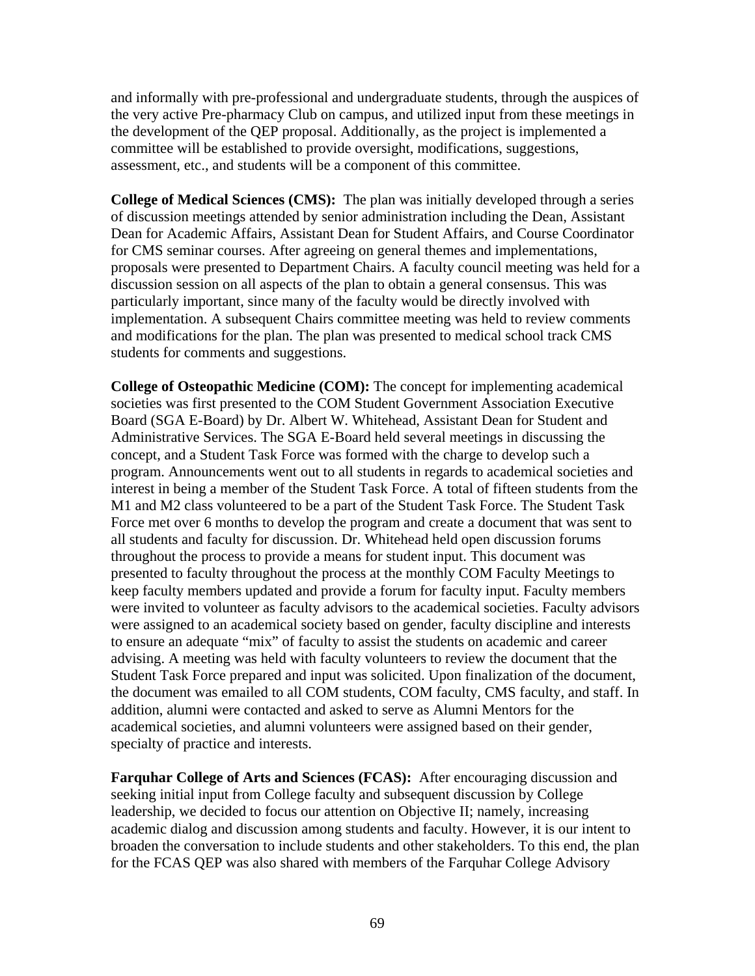and informally with pre-professional and undergraduate students, through the auspices of the very active Pre-pharmacy Club on campus, and utilized input from these meetings in the development of the QEP proposal. Additionally, as the project is implemented a committee will be established to provide oversight, modifications, suggestions, assessment, etc., and students will be a component of this committee.

**College of Medical Sciences (CMS):** The plan was initially developed through a series of discussion meetings attended by senior administration including the Dean, Assistant Dean for Academic Affairs, Assistant Dean for Student Affairs, and Course Coordinator for CMS seminar courses. After agreeing on general themes and implementations, proposals were presented to Department Chairs. A faculty council meeting was held for a discussion session on all aspects of the plan to obtain a general consensus. This was particularly important, since many of the faculty would be directly involved with implementation. A subsequent Chairs committee meeting was held to review comments and modifications for the plan. The plan was presented to medical school track CMS students for comments and suggestions.

**College of Osteopathic Medicine (COM):** The concept for implementing academical societies was first presented to the COM Student Government Association Executive Board (SGA E-Board) by Dr. Albert W. Whitehead, Assistant Dean for Student and Administrative Services. The SGA E-Board held several meetings in discussing the concept, and a Student Task Force was formed with the charge to develop such a program. Announcements went out to all students in regards to academical societies and interest in being a member of the Student Task Force. A total of fifteen students from the M1 and M2 class volunteered to be a part of the Student Task Force. The Student Task Force met over 6 months to develop the program and create a document that was sent to all students and faculty for discussion. Dr. Whitehead held open discussion forums throughout the process to provide a means for student input. This document was presented to faculty throughout the process at the monthly COM Faculty Meetings to keep faculty members updated and provide a forum for faculty input. Faculty members were invited to volunteer as faculty advisors to the academical societies. Faculty advisors were assigned to an academical society based on gender, faculty discipline and interests to ensure an adequate "mix" of faculty to assist the students on academic and career advising. A meeting was held with faculty volunteers to review the document that the Student Task Force prepared and input was solicited. Upon finalization of the document, the document was emailed to all COM students, COM faculty, CMS faculty, and staff. In addition, alumni were contacted and asked to serve as Alumni Mentors for the academical societies, and alumni volunteers were assigned based on their gender, specialty of practice and interests.

**Farquhar College of Arts and Sciences (FCAS):** After encouraging discussion and seeking initial input from College faculty and subsequent discussion by College leadership, we decided to focus our attention on Objective II; namely, increasing academic dialog and discussion among students and faculty. However, it is our intent to broaden the conversation to include students and other stakeholders. To this end, the plan for the FCAS QEP was also shared with members of the Farquhar College Advisory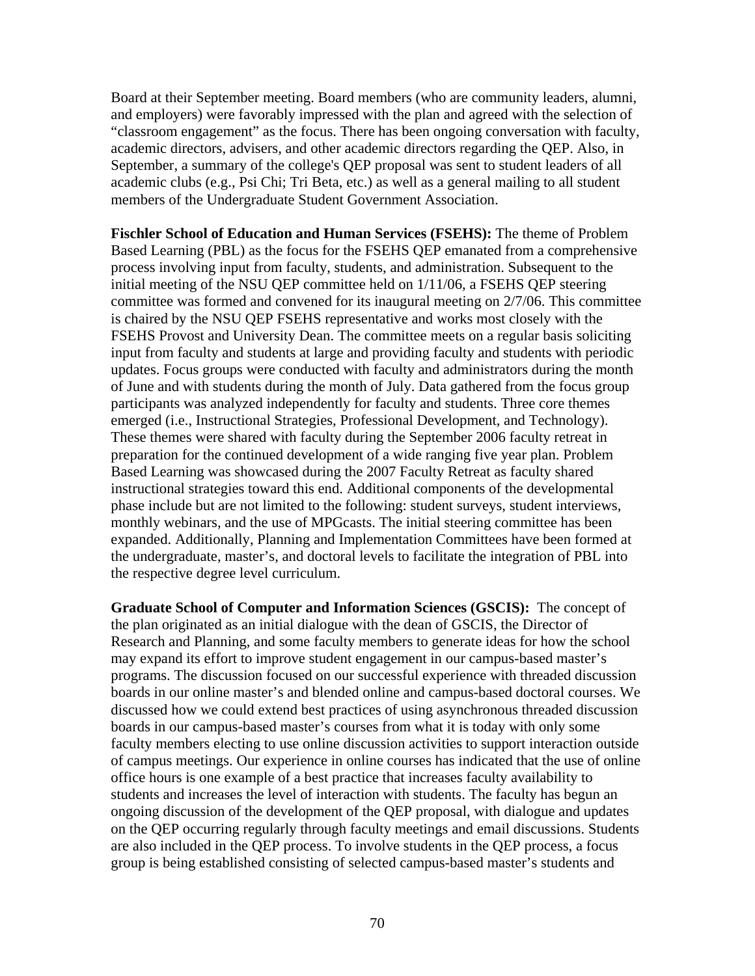Board at their September meeting. Board members (who are community leaders, alumni, and employers) were favorably impressed with the plan and agreed with the selection of "classroom engagement" as the focus. There has been ongoing conversation with faculty, academic directors, advisers, and other academic directors regarding the QEP. Also, in September, a summary of the college's QEP proposal was sent to student leaders of all academic clubs (e.g., Psi Chi; Tri Beta, etc.) as well as a general mailing to all student members of the Undergraduate Student Government Association.

**Fischler School of Education and Human Services (FSEHS):** The theme of Problem Based Learning (PBL) as the focus for the FSEHS QEP emanated from a comprehensive process involving input from faculty, students, and administration. Subsequent to the initial meeting of the NSU QEP committee held on 1/11/06, a FSEHS QEP steering committee was formed and convened for its inaugural meeting on 2/7/06. This committee is chaired by the NSU QEP FSEHS representative and works most closely with the FSEHS Provost and University Dean. The committee meets on a regular basis soliciting input from faculty and students at large and providing faculty and students with periodic updates. Focus groups were conducted with faculty and administrators during the month of June and with students during the month of July. Data gathered from the focus group participants was analyzed independently for faculty and students. Three core themes emerged (i.e., Instructional Strategies, Professional Development, and Technology). These themes were shared with faculty during the September 2006 faculty retreat in preparation for the continued development of a wide ranging five year plan. Problem Based Learning was showcased during the 2007 Faculty Retreat as faculty shared instructional strategies toward this end. Additional components of the developmental phase include but are not limited to the following: student surveys, student interviews, monthly webinars, and the use of MPGcasts. The initial steering committee has been expanded. Additionally, Planning and Implementation Committees have been formed at the undergraduate, master's, and doctoral levels to facilitate the integration of PBL into the respective degree level curriculum.

**Graduate School of Computer and Information Sciences (GSCIS):** The concept of the plan originated as an initial dialogue with the dean of GSCIS, the Director of Research and Planning, and some faculty members to generate ideas for how the school may expand its effort to improve student engagement in our campus-based master's programs. The discussion focused on our successful experience with threaded discussion boards in our online master's and blended online and campus-based doctoral courses. We discussed how we could extend best practices of using asynchronous threaded discussion boards in our campus-based master's courses from what it is today with only some faculty members electing to use online discussion activities to support interaction outside of campus meetings. Our experience in online courses has indicated that the use of online office hours is one example of a best practice that increases faculty availability to students and increases the level of interaction with students. The faculty has begun an ongoing discussion of the development of the QEP proposal, with dialogue and updates on the QEP occurring regularly through faculty meetings and email discussions. Students are also included in the QEP process. To involve students in the QEP process, a focus group is being established consisting of selected campus-based master's students and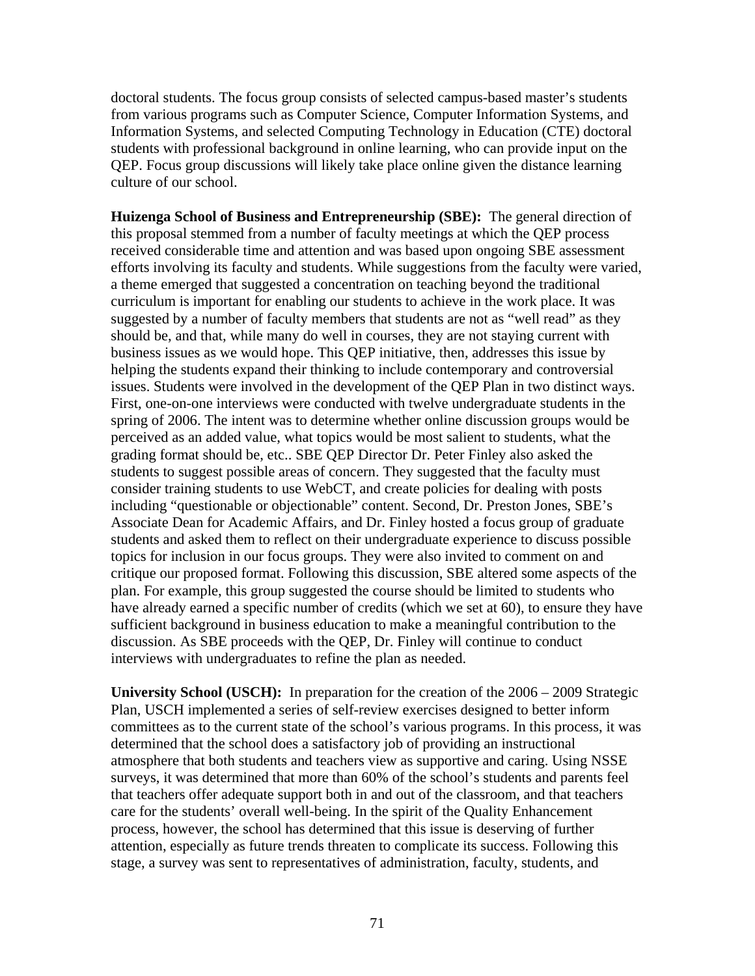doctoral students. The focus group consists of selected campus-based master's students from various programs such as Computer Science, Computer Information Systems, and Information Systems, and selected Computing Technology in Education (CTE) doctoral students with professional background in online learning, who can provide input on the QEP. Focus group discussions will likely take place online given the distance learning culture of our school.

**Huizenga School of Business and Entrepreneurship (SBE):** The general direction of this proposal stemmed from a number of faculty meetings at which the QEP process received considerable time and attention and was based upon ongoing SBE assessment efforts involving its faculty and students. While suggestions from the faculty were varied, a theme emerged that suggested a concentration on teaching beyond the traditional curriculum is important for enabling our students to achieve in the work place. It was suggested by a number of faculty members that students are not as "well read" as they should be, and that, while many do well in courses, they are not staying current with business issues as we would hope. This QEP initiative, then, addresses this issue by helping the students expand their thinking to include contemporary and controversial issues. Students were involved in the development of the QEP Plan in two distinct ways. First, one-on-one interviews were conducted with twelve undergraduate students in the spring of 2006. The intent was to determine whether online discussion groups would be perceived as an added value, what topics would be most salient to students, what the grading format should be, etc.. SBE QEP Director Dr. Peter Finley also asked the students to suggest possible areas of concern. They suggested that the faculty must consider training students to use WebCT, and create policies for dealing with posts including "questionable or objectionable" content. Second, Dr. Preston Jones, SBE's Associate Dean for Academic Affairs, and Dr. Finley hosted a focus group of graduate students and asked them to reflect on their undergraduate experience to discuss possible topics for inclusion in our focus groups. They were also invited to comment on and critique our proposed format. Following this discussion, SBE altered some aspects of the plan. For example, this group suggested the course should be limited to students who have already earned a specific number of credits (which we set at 60), to ensure they have sufficient background in business education to make a meaningful contribution to the discussion. As SBE proceeds with the QEP, Dr. Finley will continue to conduct interviews with undergraduates to refine the plan as needed.

**University School (USCH):** In preparation for the creation of the 2006 – 2009 Strategic Plan, USCH implemented a series of self-review exercises designed to better inform committees as to the current state of the school's various programs. In this process, it was determined that the school does a satisfactory job of providing an instructional atmosphere that both students and teachers view as supportive and caring. Using NSSE surveys, it was determined that more than 60% of the school's students and parents feel that teachers offer adequate support both in and out of the classroom, and that teachers care for the students' overall well-being. In the spirit of the Quality Enhancement process, however, the school has determined that this issue is deserving of further attention, especially as future trends threaten to complicate its success. Following this stage, a survey was sent to representatives of administration, faculty, students, and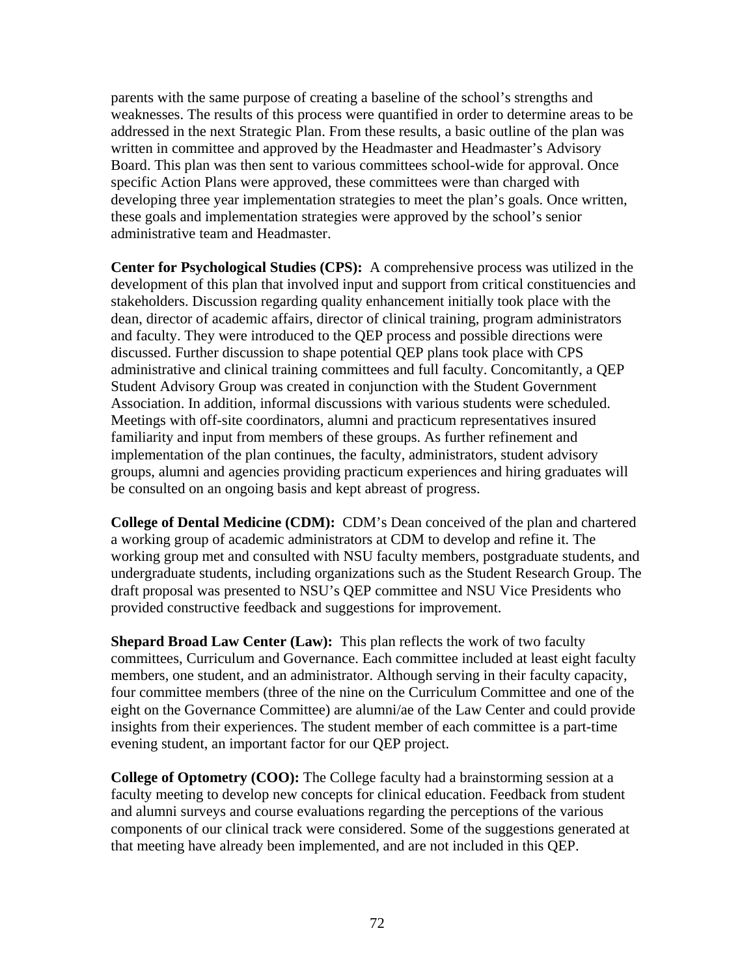parents with the same purpose of creating a baseline of the school's strengths and weaknesses. The results of this process were quantified in order to determine areas to be addressed in the next Strategic Plan. From these results, a basic outline of the plan was written in committee and approved by the Headmaster and Headmaster's Advisory Board. This plan was then sent to various committees school-wide for approval. Once specific Action Plans were approved, these committees were than charged with developing three year implementation strategies to meet the plan's goals. Once written, these goals and implementation strategies were approved by the school's senior administrative team and Headmaster.

**Center for Psychological Studies (CPS):** A comprehensive process was utilized in the development of this plan that involved input and support from critical constituencies and stakeholders. Discussion regarding quality enhancement initially took place with the dean, director of academic affairs, director of clinical training, program administrators and faculty. They were introduced to the QEP process and possible directions were discussed. Further discussion to shape potential QEP plans took place with CPS administrative and clinical training committees and full faculty. Concomitantly, a QEP Student Advisory Group was created in conjunction with the Student Government Association. In addition, informal discussions with various students were scheduled. Meetings with off-site coordinators, alumni and practicum representatives insured familiarity and input from members of these groups. As further refinement and implementation of the plan continues, the faculty, administrators, student advisory groups, alumni and agencies providing practicum experiences and hiring graduates will be consulted on an ongoing basis and kept abreast of progress.

**College of Dental Medicine (CDM):** CDM's Dean conceived of the plan and chartered a working group of academic administrators at CDM to develop and refine it. The working group met and consulted with NSU faculty members, postgraduate students, and undergraduate students, including organizations such as the Student Research Group. The draft proposal was presented to NSU's QEP committee and NSU Vice Presidents who provided constructive feedback and suggestions for improvement.

**Shepard Broad Law Center (Law):** This plan reflects the work of two faculty committees, Curriculum and Governance. Each committee included at least eight faculty members, one student, and an administrator. Although serving in their faculty capacity, four committee members (three of the nine on the Curriculum Committee and one of the eight on the Governance Committee) are alumni/ae of the Law Center and could provide insights from their experiences. The student member of each committee is a part-time evening student, an important factor for our QEP project.

**College of Optometry (COO):** The College faculty had a brainstorming session at a faculty meeting to develop new concepts for clinical education. Feedback from student and alumni surveys and course evaluations regarding the perceptions of the various components of our clinical track were considered. Some of the suggestions generated at that meeting have already been implemented, and are not included in this QEP.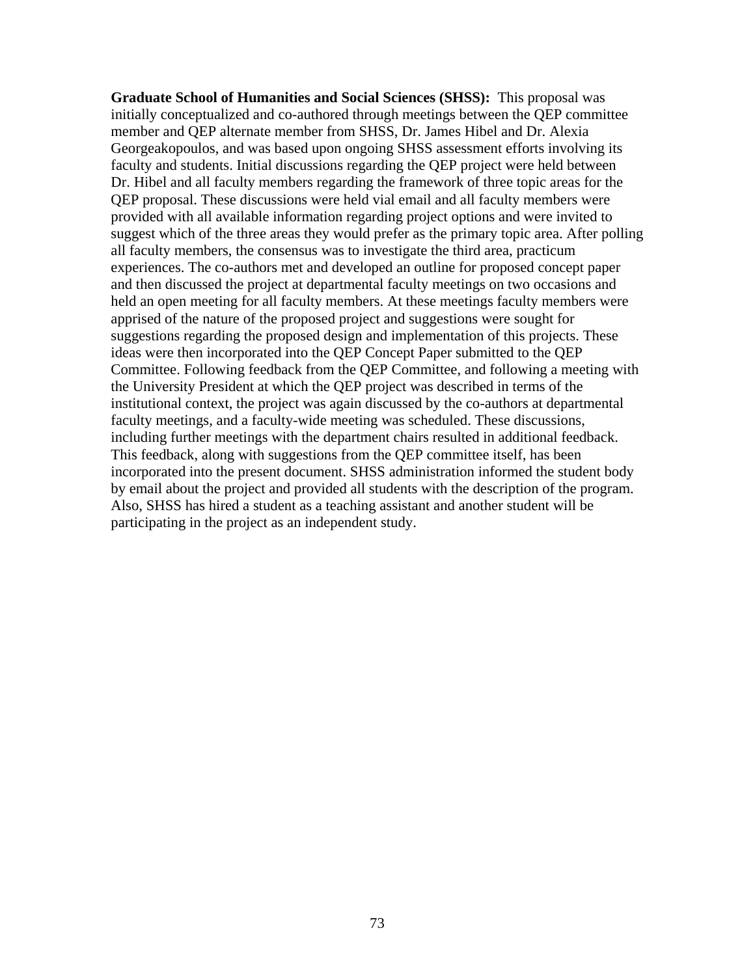**Graduate School of Humanities and Social Sciences (SHSS):** This proposal was initially conceptualized and co-authored through meetings between the QEP committee member and QEP alternate member from SHSS, Dr. James Hibel and Dr. Alexia Georgeakopoulos, and was based upon ongoing SHSS assessment efforts involving its faculty and students. Initial discussions regarding the QEP project were held between Dr. Hibel and all faculty members regarding the framework of three topic areas for the QEP proposal. These discussions were held vial email and all faculty members were provided with all available information regarding project options and were invited to suggest which of the three areas they would prefer as the primary topic area. After polling all faculty members, the consensus was to investigate the third area, practicum experiences. The co-authors met and developed an outline for proposed concept paper and then discussed the project at departmental faculty meetings on two occasions and held an open meeting for all faculty members. At these meetings faculty members were apprised of the nature of the proposed project and suggestions were sought for suggestions regarding the proposed design and implementation of this projects. These ideas were then incorporated into the QEP Concept Paper submitted to the QEP Committee. Following feedback from the QEP Committee, and following a meeting with the University President at which the QEP project was described in terms of the institutional context, the project was again discussed by the co-authors at departmental faculty meetings, and a faculty-wide meeting was scheduled. These discussions, including further meetings with the department chairs resulted in additional feedback. This feedback, along with suggestions from the QEP committee itself, has been incorporated into the present document. SHSS administration informed the student body by email about the project and provided all students with the description of the program. Also, SHSS has hired a student as a teaching assistant and another student will be participating in the project as an independent study.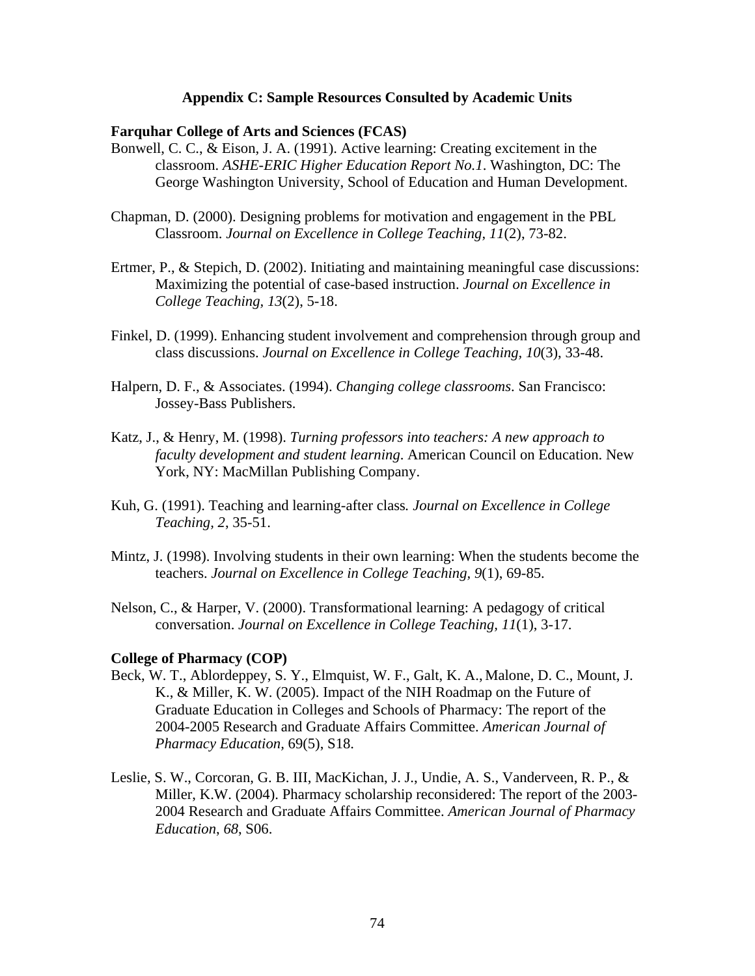#### **Appendix C: Sample Resources Consulted by Academic Units**

#### **Farquhar College of Arts and Sciences (FCAS)**

- Bonwell, C. C., & Eison, J. A. (1991). Active learning: Creating excitement in the classroom. *ASHE-ERIC Higher Education Report No.1*. Washington, DC: The George Washington University, School of Education and Human Development.
- Chapman, D. (2000). Designing problems for motivation and engagement in the PBL Classroom. *Journal on Excellence in College Teaching, 11*(2), 73-82.
- Ertmer, P., & Stepich, D. (2002). Initiating and maintaining meaningful case discussions: Maximizing the potential of case-based instruction. *Journal on Excellence in College Teaching, 13*(2), 5-18.
- Finkel, D. (1999). Enhancing student involvement and comprehension through group and class discussions. *Journal on Excellence in College Teaching, 10*(3), 33-48.
- Halpern, D. F., & Associates. (1994). *Changing college classrooms*. San Francisco: Jossey-Bass Publishers.
- Katz, J., & Henry, M. (1998). *Turning professors into teachers: A new approach to faculty development and student learning*. American Council on Education. New York, NY: MacMillan Publishing Company.
- Kuh, G. (1991). Teaching and learning-after class*. Journal on Excellence in College Teaching, 2*, 35-51.
- Mintz, J. (1998). Involving students in their own learning: When the students become the teachers. *Journal on Excellence in College Teaching, 9*(1), 69-85.
- Nelson, C., & Harper, V. (2000). Transformational learning: A pedagogy of critical conversation. *Journal on Excellence in College Teaching, 11*(1), 3-17.

#### **College of Pharmacy (COP)**

- Beck, W. T., Ablordeppey, S. Y., Elmquist, W. F., Galt, K. A., Malone, D. C., Mount, J. K., & Miller, K. W. (2005). Impact of the NIH Roadmap on the Future of Graduate Education in Colleges and Schools of Pharmacy: The report of the 2004-2005 Research and Graduate Affairs Committee. *American Journal of Pharmacy Education,* 69(5), S18.
- Leslie, S. W., Corcoran, G. B. III, MacKichan, J. J., Undie, A. S., Vanderveen, R. P., & Miller, K.W. (2004). Pharmacy scholarship reconsidered: The report of the 2003- 2004 Research and Graduate Affairs Committee. *American Journal of Pharmacy Education*, *68*, S06.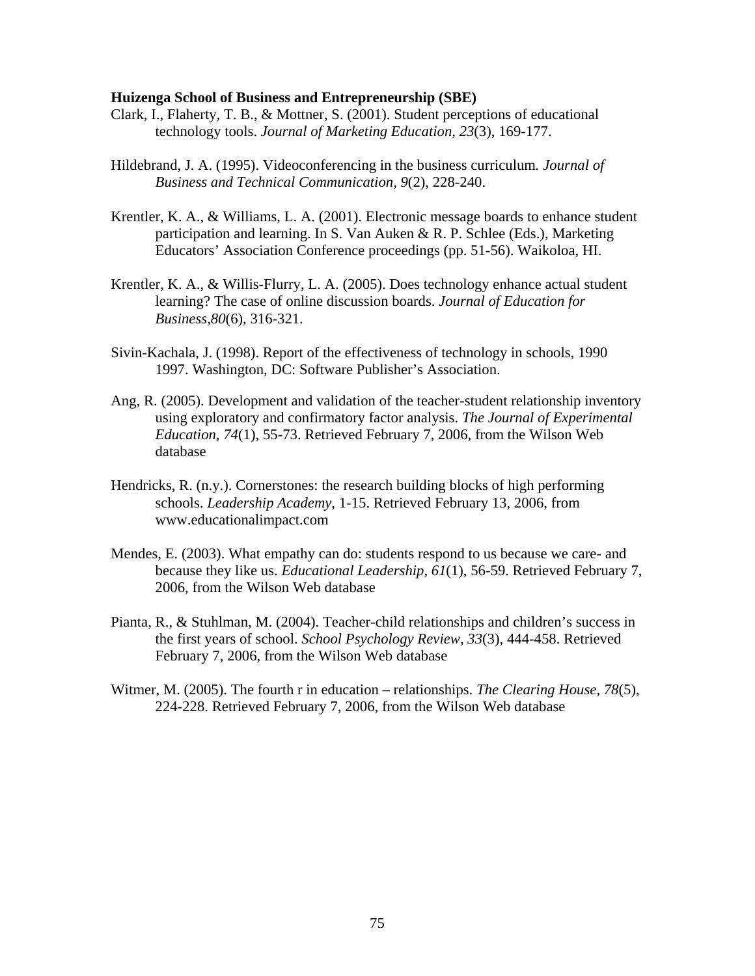#### **Huizenga School of Business and Entrepreneurship (SBE)**

- Clark, I., Flaherty, T. B., & Mottner, S. (2001). Student perceptions of educational technology tools. *Journal of Marketing Education, 23*(3), 169-177.
- Hildebrand, J. A. (1995). Videoconferencing in the business curriculum*. Journal of Business and Technical Communication, 9*(2), 228-240.
- Krentler, K. A., & Williams, L. A. (2001). Electronic message boards to enhance student participation and learning. In S. Van Auken & R. P. Schlee (Eds.), Marketing Educators' Association Conference proceedings (pp. 51-56). Waikoloa, HI.
- Krentler, K. A., & Willis-Flurry, L. A. (2005). Does technology enhance actual student learning? The case of online discussion boards. *Journal of Education for Business,80*(6), 316-321.
- Sivin-Kachala, J. (1998). Report of the effectiveness of technology in schools, 1990 1997. Washington, DC: Software Publisher's Association.
- Ang, R. (2005). Development and validation of the teacher-student relationship inventory using exploratory and confirmatory factor analysis. *The Journal of Experimental Education, 74*(1), 55-73. Retrieved February 7, 2006, from the Wilson Web database
- Hendricks, R. (n.y.). Cornerstones: the research building blocks of high performing schools. *Leadership Academy*, 1-15. Retrieved February 13, 2006, from www.educationalimpact.com
- Mendes, E. (2003). What empathy can do: students respond to us because we care- and because they like us. *Educational Leadership, 61*(1), 56-59. Retrieved February 7, 2006, from the Wilson Web database
- Pianta, R., & Stuhlman, M. (2004). Teacher-child relationships and children's success in the first years of school. *School Psychology Review, 33*(3), 444-458. Retrieved February 7, 2006, from the Wilson Web database
- Witmer, M. (2005). The fourth r in education relationships. *The Clearing House, 78*(5), 224-228. Retrieved February 7, 2006, from the Wilson Web database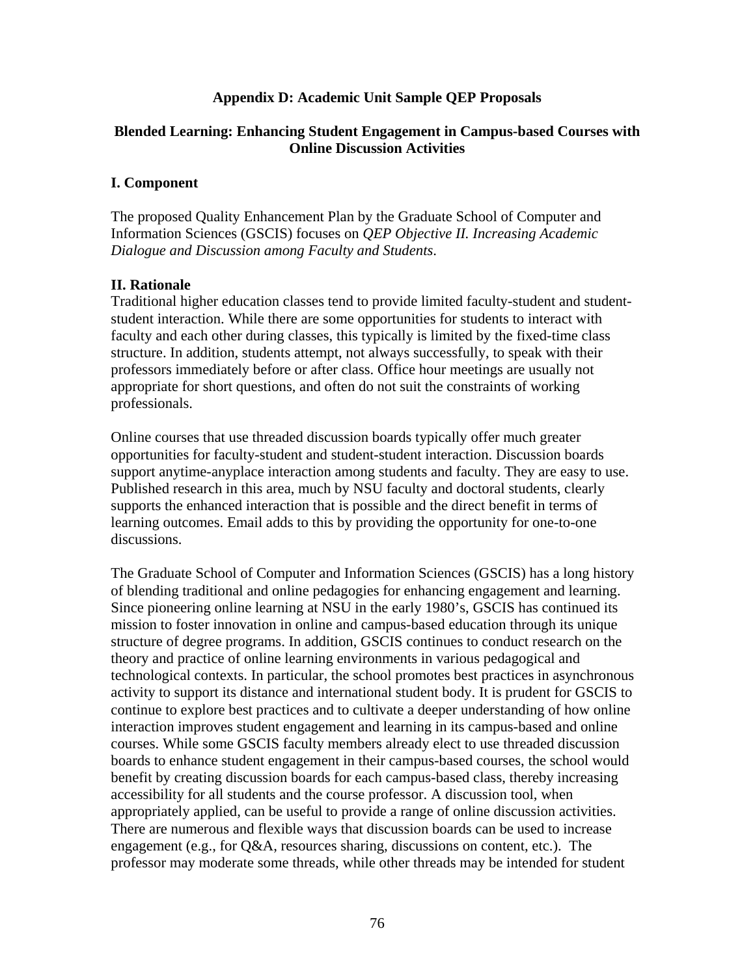# **Appendix D: Academic Unit Sample QEP Proposals**

# **Blended Learning: Enhancing Student Engagement in Campus-based Courses with Online Discussion Activities**

# **I. Component**

The proposed Quality Enhancement Plan by the Graduate School of Computer and Information Sciences (GSCIS) focuses on *QEP Objective II. Increasing Academic Dialogue and Discussion among Faculty and Students*.

# **II. Rationale**

Traditional higher education classes tend to provide limited faculty-student and studentstudent interaction. While there are some opportunities for students to interact with faculty and each other during classes, this typically is limited by the fixed-time class structure. In addition, students attempt, not always successfully, to speak with their professors immediately before or after class. Office hour meetings are usually not appropriate for short questions, and often do not suit the constraints of working professionals.

Online courses that use threaded discussion boards typically offer much greater opportunities for faculty-student and student-student interaction. Discussion boards support anytime-anyplace interaction among students and faculty. They are easy to use. Published research in this area, much by NSU faculty and doctoral students, clearly supports the enhanced interaction that is possible and the direct benefit in terms of learning outcomes. Email adds to this by providing the opportunity for one-to-one discussions.

The Graduate School of Computer and Information Sciences (GSCIS) has a long history of blending traditional and online pedagogies for enhancing engagement and learning. Since pioneering online learning at NSU in the early 1980's, GSCIS has continued its mission to foster innovation in online and campus-based education through its unique structure of degree programs. In addition, GSCIS continues to conduct research on the theory and practice of online learning environments in various pedagogical and technological contexts. In particular, the school promotes best practices in asynchronous activity to support its distance and international student body. It is prudent for GSCIS to continue to explore best practices and to cultivate a deeper understanding of how online interaction improves student engagement and learning in its campus-based and online courses. While some GSCIS faculty members already elect to use threaded discussion boards to enhance student engagement in their campus-based courses, the school would benefit by creating discussion boards for each campus-based class, thereby increasing accessibility for all students and the course professor. A discussion tool, when appropriately applied, can be useful to provide a range of online discussion activities. There are numerous and flexible ways that discussion boards can be used to increase engagement (e.g., for Q&A, resources sharing, discussions on content, etc.). The professor may moderate some threads, while other threads may be intended for student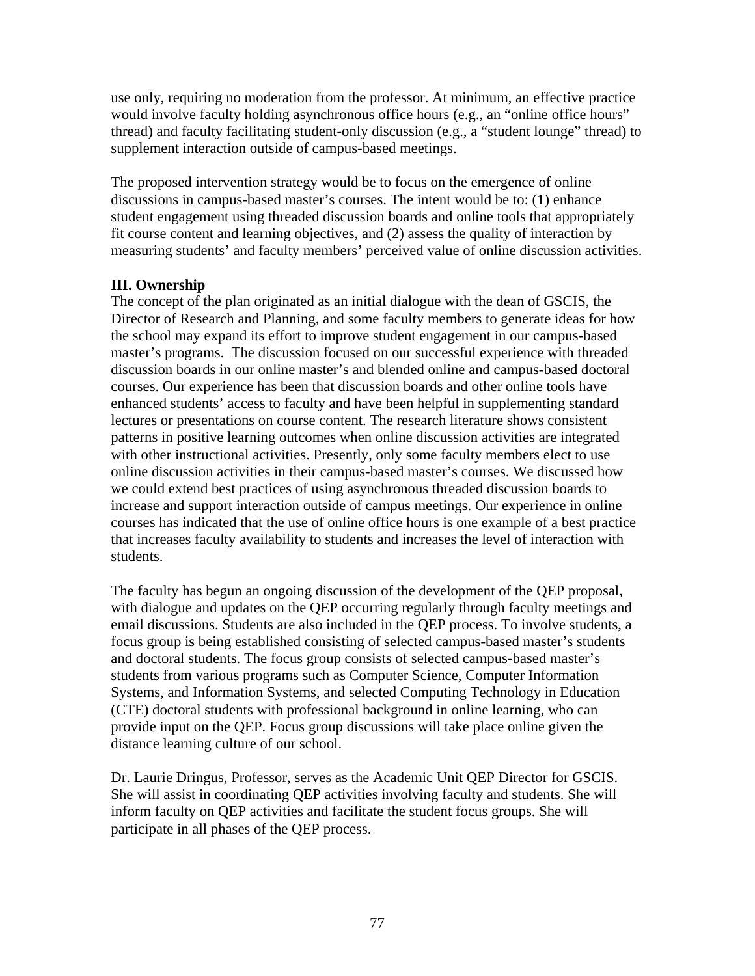use only, requiring no moderation from the professor. At minimum, an effective practice would involve faculty holding asynchronous office hours (e.g., an "online office hours" thread) and faculty facilitating student-only discussion (e.g., a "student lounge" thread) to supplement interaction outside of campus-based meetings.

The proposed intervention strategy would be to focus on the emergence of online discussions in campus-based master's courses. The intent would be to: (1) enhance student engagement using threaded discussion boards and online tools that appropriately fit course content and learning objectives, and (2) assess the quality of interaction by measuring students' and faculty members' perceived value of online discussion activities.

# **III. Ownership**

The concept of the plan originated as an initial dialogue with the dean of GSCIS, the Director of Research and Planning, and some faculty members to generate ideas for how the school may expand its effort to improve student engagement in our campus-based master's programs. The discussion focused on our successful experience with threaded discussion boards in our online master's and blended online and campus-based doctoral courses. Our experience has been that discussion boards and other online tools have enhanced students' access to faculty and have been helpful in supplementing standard lectures or presentations on course content. The research literature shows consistent patterns in positive learning outcomes when online discussion activities are integrated with other instructional activities. Presently, only some faculty members elect to use online discussion activities in their campus-based master's courses. We discussed how we could extend best practices of using asynchronous threaded discussion boards to increase and support interaction outside of campus meetings. Our experience in online courses has indicated that the use of online office hours is one example of a best practice that increases faculty availability to students and increases the level of interaction with students.

The faculty has begun an ongoing discussion of the development of the QEP proposal, with dialogue and updates on the QEP occurring regularly through faculty meetings and email discussions. Students are also included in the QEP process. To involve students, a focus group is being established consisting of selected campus-based master's students and doctoral students. The focus group consists of selected campus-based master's students from various programs such as Computer Science, Computer Information Systems, and Information Systems, and selected Computing Technology in Education (CTE) doctoral students with professional background in online learning, who can provide input on the QEP. Focus group discussions will take place online given the distance learning culture of our school.

Dr. Laurie Dringus, Professor, serves as the Academic Unit QEP Director for GSCIS. She will assist in coordinating QEP activities involving faculty and students. She will inform faculty on QEP activities and facilitate the student focus groups. She will participate in all phases of the QEP process.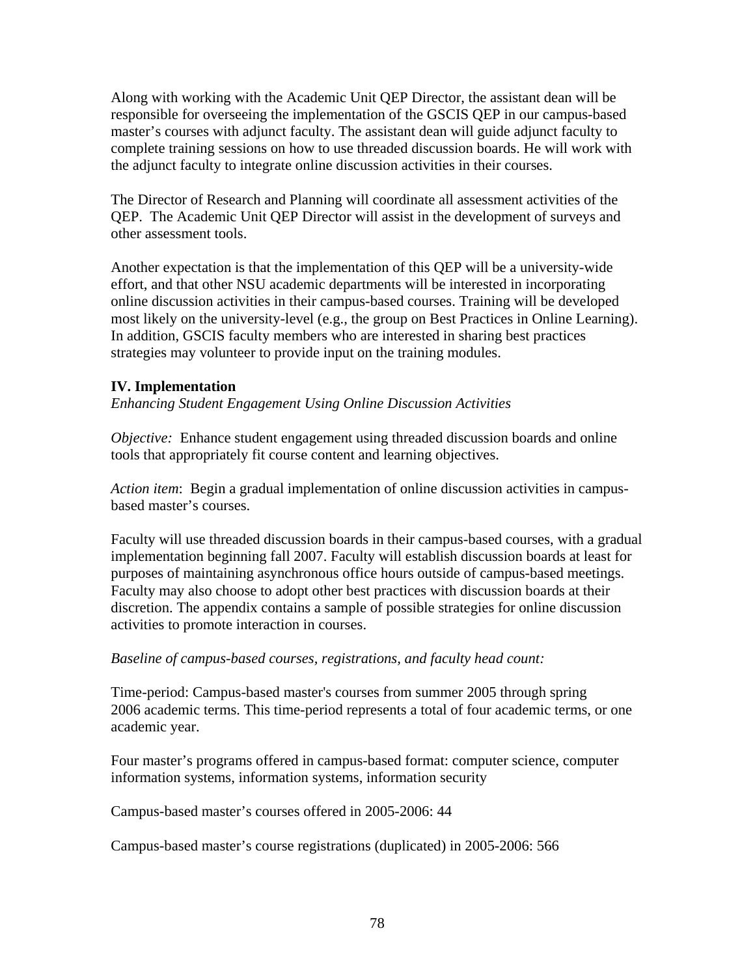Along with working with the Academic Unit QEP Director, the assistant dean will be responsible for overseeing the implementation of the GSCIS QEP in our campus-based master's courses with adjunct faculty. The assistant dean will guide adjunct faculty to complete training sessions on how to use threaded discussion boards. He will work with the adjunct faculty to integrate online discussion activities in their courses.

The Director of Research and Planning will coordinate all assessment activities of the QEP. The Academic Unit QEP Director will assist in the development of surveys and other assessment tools.

Another expectation is that the implementation of this QEP will be a university-wide effort, and that other NSU academic departments will be interested in incorporating online discussion activities in their campus-based courses. Training will be developed most likely on the university-level (e.g., the group on Best Practices in Online Learning). In addition, GSCIS faculty members who are interested in sharing best practices strategies may volunteer to provide input on the training modules.

# **IV. Implementation**

*Enhancing Student Engagement Using Online Discussion Activities* 

*Objective:* Enhance student engagement using threaded discussion boards and online tools that appropriately fit course content and learning objectives.

*Action item*: Begin a gradual implementation of online discussion activities in campusbased master's courses.

Faculty will use threaded discussion boards in their campus-based courses, with a gradual implementation beginning fall 2007. Faculty will establish discussion boards at least for purposes of maintaining asynchronous office hours outside of campus-based meetings. Faculty may also choose to adopt other best practices with discussion boards at their discretion. The appendix contains a sample of possible strategies for online discussion activities to promote interaction in courses.

# *Baseline of campus-based courses, registrations, and faculty head count:*

Time-period: Campus-based master's courses from summer 2005 through spring 2006 academic terms. This time-period represents a total of four academic terms, or one academic year.

Four master's programs offered in campus-based format: computer science, computer information systems, information systems, information security

Campus-based master's courses offered in 2005-2006: 44

Campus-based master's course registrations (duplicated) in 2005-2006: 566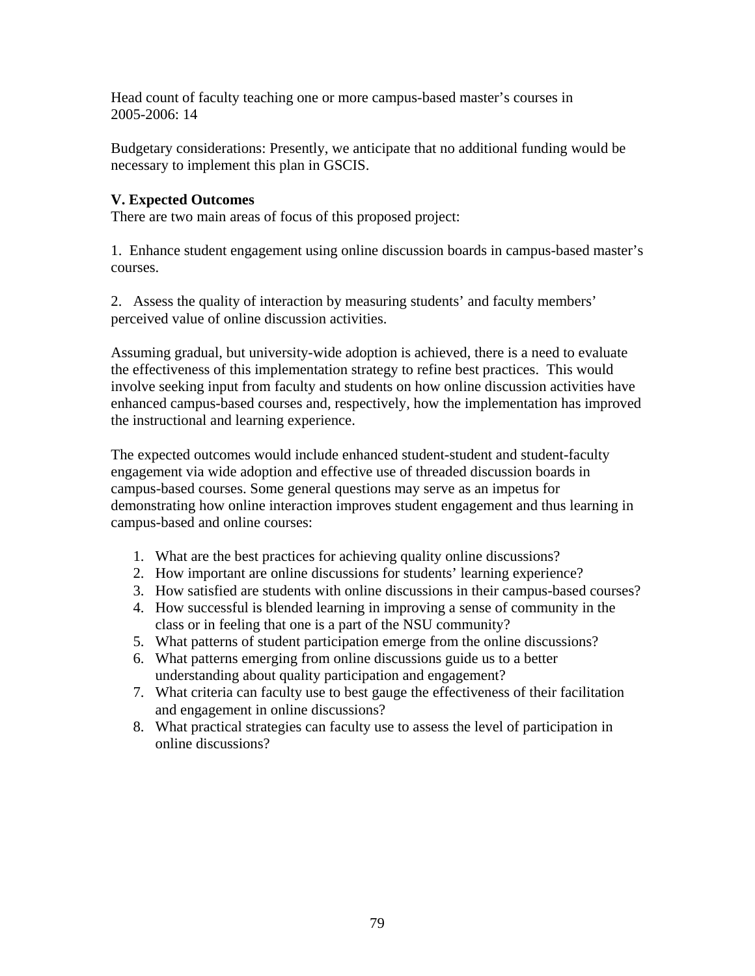Head count of faculty teaching one or more campus-based master's courses in 2005-2006: 14

Budgetary considerations: Presently, we anticipate that no additional funding would be necessary to implement this plan in GSCIS.

# **V. Expected Outcomes**

There are two main areas of focus of this proposed project:

1. Enhance student engagement using online discussion boards in campus-based master's courses.

2. Assess the quality of interaction by measuring students' and faculty members' perceived value of online discussion activities.

Assuming gradual, but university-wide adoption is achieved, there is a need to evaluate the effectiveness of this implementation strategy to refine best practices. This would involve seeking input from faculty and students on how online discussion activities have enhanced campus-based courses and, respectively, how the implementation has improved the instructional and learning experience.

The expected outcomes would include enhanced student-student and student-faculty engagement via wide adoption and effective use of threaded discussion boards in campus-based courses. Some general questions may serve as an impetus for demonstrating how online interaction improves student engagement and thus learning in campus-based and online courses:

- 1. What are the best practices for achieving quality online discussions?
- 2. How important are online discussions for students' learning experience?
- 3. How satisfied are students with online discussions in their campus-based courses?
- 4. How successful is blended learning in improving a sense of community in the class or in feeling that one is a part of the NSU community?
- 5. What patterns of student participation emerge from the online discussions?
- 6. What patterns emerging from online discussions guide us to a better understanding about quality participation and engagement?
- 7. What criteria can faculty use to best gauge the effectiveness of their facilitation and engagement in online discussions?
- 8. What practical strategies can faculty use to assess the level of participation in online discussions?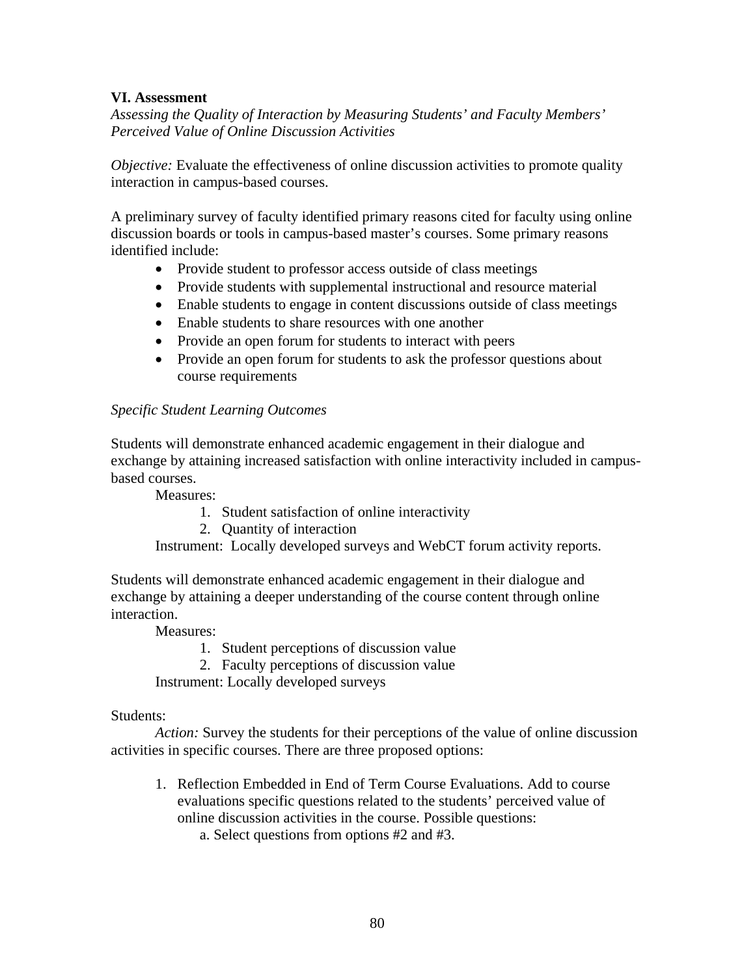# **VI. Assessment**

*Assessing the Quality of Interaction by Measuring Students' and Faculty Members' Perceived Value of Online Discussion Activities* 

*Objective:* Evaluate the effectiveness of online discussion activities to promote quality interaction in campus-based courses.

A preliminary survey of faculty identified primary reasons cited for faculty using online discussion boards or tools in campus-based master's courses. Some primary reasons identified include:

- Provide student to professor access outside of class meetings
- Provide students with supplemental instructional and resource material
- Enable students to engage in content discussions outside of class meetings
- Enable students to share resources with one another
- Provide an open forum for students to interact with peers
- Provide an open forum for students to ask the professor questions about course requirements

# *Specific Student Learning Outcomes*

Students will demonstrate enhanced academic engagement in their dialogue and exchange by attaining increased satisfaction with online interactivity included in campusbased courses.

Measures:

- 1. Student satisfaction of online interactivity
- 2. Quantity of interaction

Instrument: Locally developed surveys and WebCT forum activity reports.

Students will demonstrate enhanced academic engagement in their dialogue and exchange by attaining a deeper understanding of the course content through online interaction.

Measures:

1. Student perceptions of discussion value

2. Faculty perceptions of discussion value

Instrument: Locally developed surveys

# Students:

*Action:* Survey the students for their perceptions of the value of online discussion activities in specific courses. There are three proposed options:

1. Reflection Embedded in End of Term Course Evaluations. Add to course evaluations specific questions related to the students' perceived value of online discussion activities in the course. Possible questions:

a. Select questions from options #2 and #3.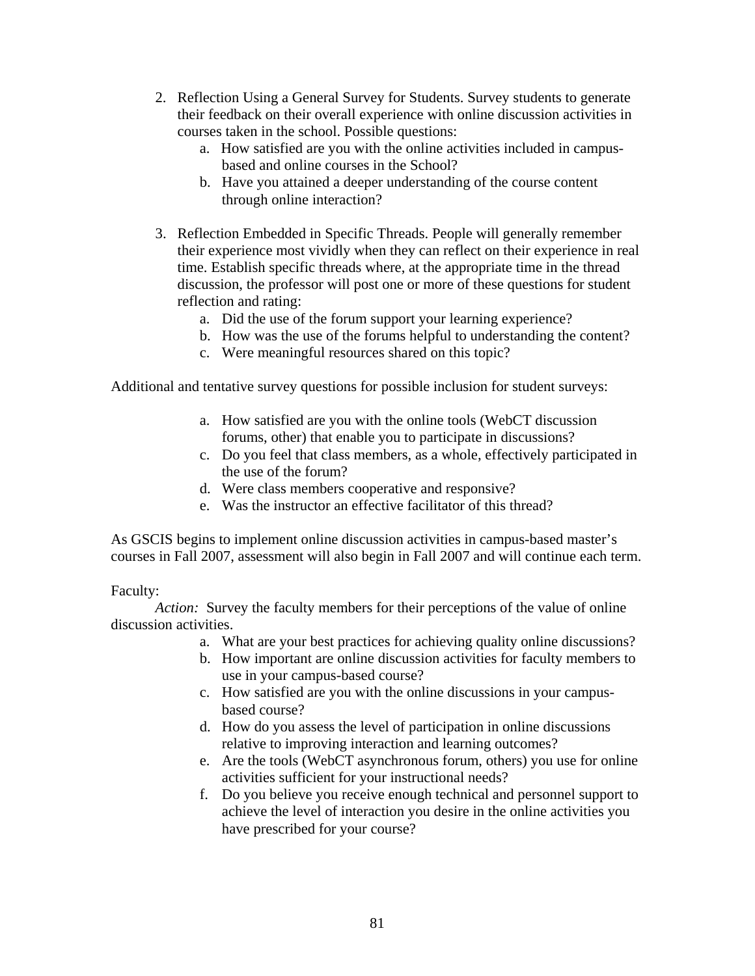- 2. Reflection Using a General Survey for Students. Survey students to generate their feedback on their overall experience with online discussion activities in courses taken in the school. Possible questions:
	- a. How satisfied are you with the online activities included in campusbased and online courses in the School?
	- b. Have you attained a deeper understanding of the course content through online interaction?
- 3. Reflection Embedded in Specific Threads. People will generally remember their experience most vividly when they can reflect on their experience in real time. Establish specific threads where, at the appropriate time in the thread discussion, the professor will post one or more of these questions for student reflection and rating:
	- a. Did the use of the forum support your learning experience?
	- b. How was the use of the forums helpful to understanding the content?
	- c. Were meaningful resources shared on this topic?

Additional and tentative survey questions for possible inclusion for student surveys:

- a. How satisfied are you with the online tools (WebCT discussion forums, other) that enable you to participate in discussions?
- c. Do you feel that class members, as a whole, effectively participated in the use of the forum?
- d. Were class members cooperative and responsive?
- e. Was the instructor an effective facilitator of this thread?

As GSCIS begins to implement online discussion activities in campus-based master's courses in Fall 2007, assessment will also begin in Fall 2007 and will continue each term.

# Faculty:

*Action:* Survey the faculty members for their perceptions of the value of online discussion activities.

- a. What are your best practices for achieving quality online discussions?
- b. How important are online discussion activities for faculty members to use in your campus-based course?
- c. How satisfied are you with the online discussions in your campusbased course?
- d. How do you assess the level of participation in online discussions relative to improving interaction and learning outcomes?
- e. Are the tools (WebCT asynchronous forum, others) you use for online activities sufficient for your instructional needs?
- f. Do you believe you receive enough technical and personnel support to achieve the level of interaction you desire in the online activities you have prescribed for your course?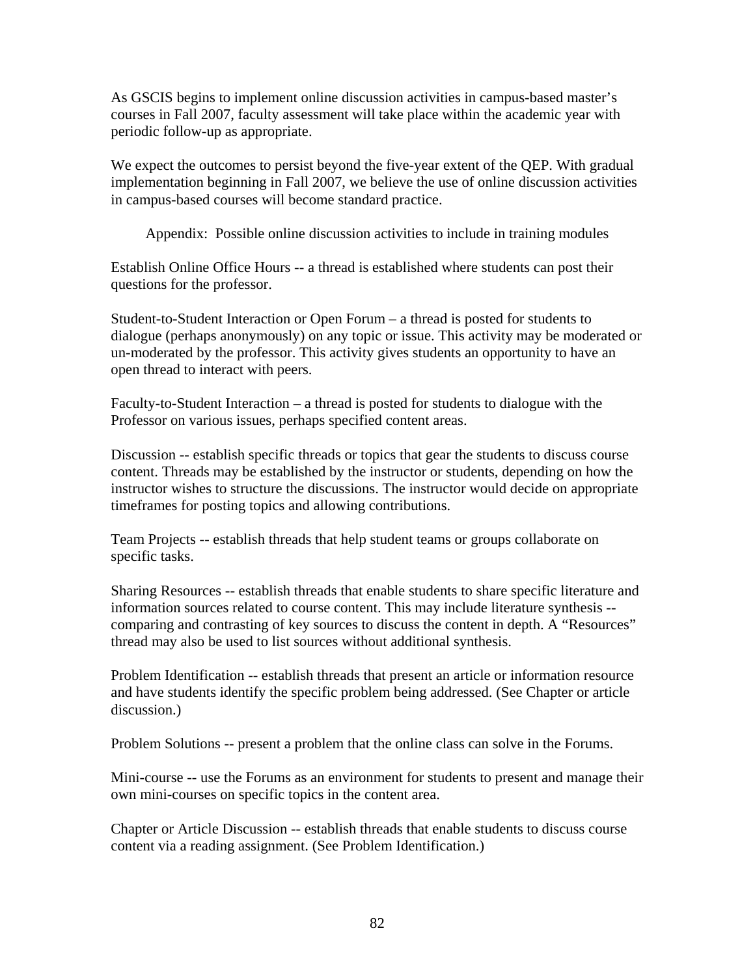As GSCIS begins to implement online discussion activities in campus-based master's courses in Fall 2007, faculty assessment will take place within the academic year with periodic follow-up as appropriate.

We expect the outcomes to persist beyond the five-year extent of the QEP. With gradual implementation beginning in Fall 2007, we believe the use of online discussion activities in campus-based courses will become standard practice.

Appendix: Possible online discussion activities to include in training modules

Establish Online Office Hours -- a thread is established where students can post their questions for the professor.

Student-to-Student Interaction or Open Forum – a thread is posted for students to dialogue (perhaps anonymously) on any topic or issue. This activity may be moderated or un-moderated by the professor. This activity gives students an opportunity to have an open thread to interact with peers.

Faculty-to-Student Interaction – a thread is posted for students to dialogue with the Professor on various issues, perhaps specified content areas.

Discussion -- establish specific threads or topics that gear the students to discuss course content. Threads may be established by the instructor or students, depending on how the instructor wishes to structure the discussions. The instructor would decide on appropriate timeframes for posting topics and allowing contributions.

Team Projects -- establish threads that help student teams or groups collaborate on specific tasks.

Sharing Resources -- establish threads that enable students to share specific literature and information sources related to course content. This may include literature synthesis - comparing and contrasting of key sources to discuss the content in depth. A "Resources" thread may also be used to list sources without additional synthesis.

Problem Identification -- establish threads that present an article or information resource and have students identify the specific problem being addressed. (See Chapter or article discussion.)

Problem Solutions -- present a problem that the online class can solve in the Forums.

Mini-course -- use the Forums as an environment for students to present and manage their own mini-courses on specific topics in the content area.

Chapter or Article Discussion -- establish threads that enable students to discuss course content via a reading assignment. (See Problem Identification.)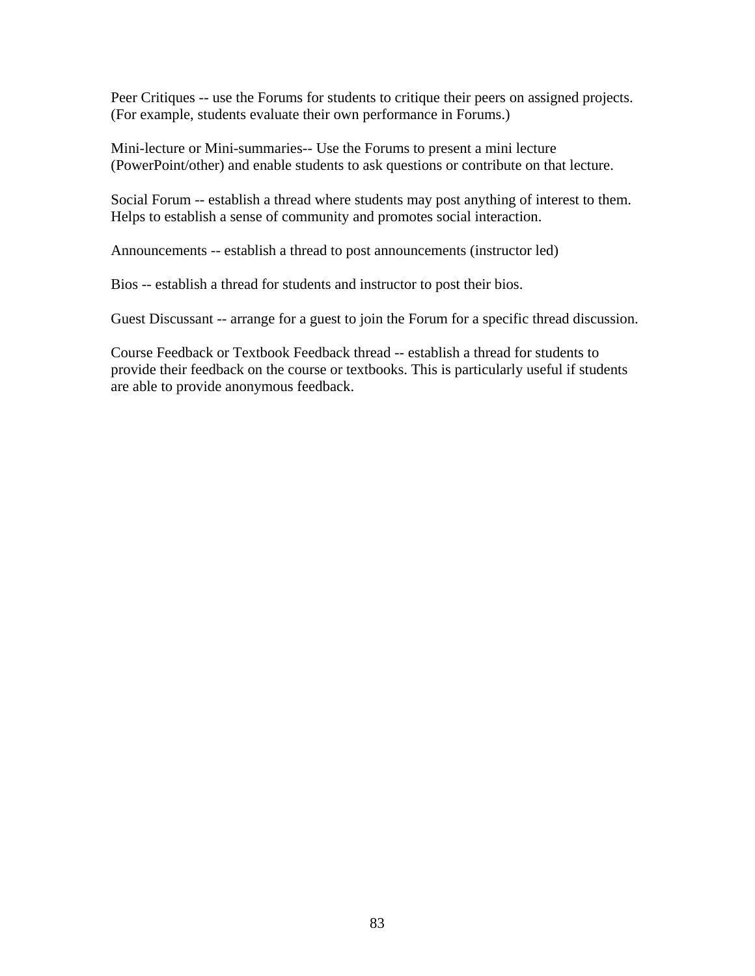Peer Critiques -- use the Forums for students to critique their peers on assigned projects. (For example, students evaluate their own performance in Forums.)

Mini-lecture or Mini-summaries-- Use the Forums to present a mini lecture (PowerPoint/other) and enable students to ask questions or contribute on that lecture.

Social Forum -- establish a thread where students may post anything of interest to them. Helps to establish a sense of community and promotes social interaction.

Announcements -- establish a thread to post announcements (instructor led)

Bios -- establish a thread for students and instructor to post their bios.

Guest Discussant -- arrange for a guest to join the Forum for a specific thread discussion.

Course Feedback or Textbook Feedback thread -- establish a thread for students to provide their feedback on the course or textbooks. This is particularly useful if students are able to provide anonymous feedback.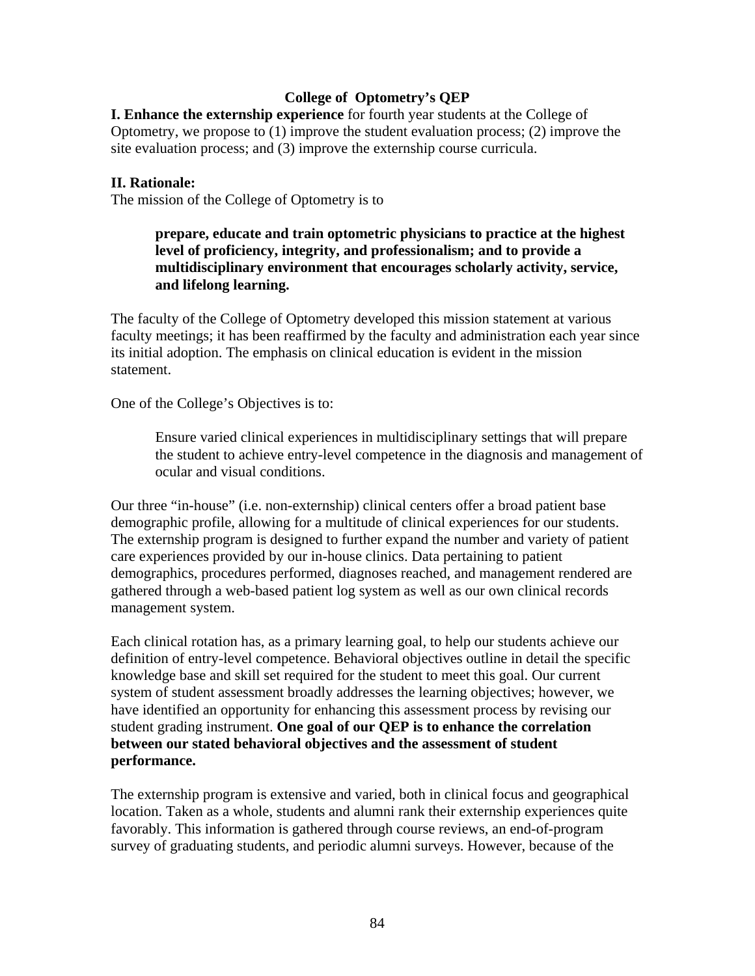# **College of Optometry's QEP**

**I. Enhance the externship experience** for fourth year students at the College of Optometry, we propose to (1) improve the student evaluation process; (2) improve the site evaluation process; and (3) improve the externship course curricula.

## **II. Rationale:**

The mission of the College of Optometry is to

# **prepare, educate and train optometric physicians to practice at the highest level of proficiency, integrity, and professionalism; and to provide a multidisciplinary environment that encourages scholarly activity, service, and lifelong learning.**

The faculty of the College of Optometry developed this mission statement at various faculty meetings; it has been reaffirmed by the faculty and administration each year since its initial adoption. The emphasis on clinical education is evident in the mission statement.

One of the College's Objectives is to:

Ensure varied clinical experiences in multidisciplinary settings that will prepare the student to achieve entry-level competence in the diagnosis and management of ocular and visual conditions.

Our three "in-house" (i.e. non-externship) clinical centers offer a broad patient base demographic profile, allowing for a multitude of clinical experiences for our students. The externship program is designed to further expand the number and variety of patient care experiences provided by our in-house clinics. Data pertaining to patient demographics, procedures performed, diagnoses reached, and management rendered are gathered through a web-based patient log system as well as our own clinical records management system.

Each clinical rotation has, as a primary learning goal, to help our students achieve our definition of entry-level competence. Behavioral objectives outline in detail the specific knowledge base and skill set required for the student to meet this goal. Our current system of student assessment broadly addresses the learning objectives; however, we have identified an opportunity for enhancing this assessment process by revising our student grading instrument. **One goal of our QEP is to enhance the correlation between our stated behavioral objectives and the assessment of student performance.** 

The externship program is extensive and varied, both in clinical focus and geographical location. Taken as a whole, students and alumni rank their externship experiences quite favorably. This information is gathered through course reviews, an end-of-program survey of graduating students, and periodic alumni surveys. However, because of the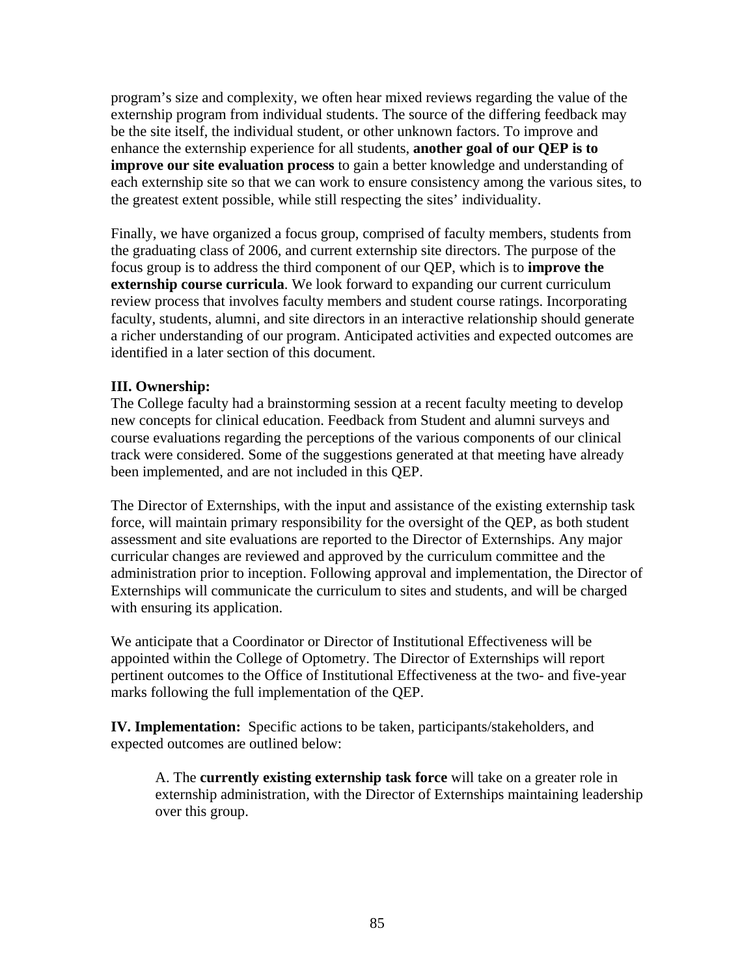program's size and complexity, we often hear mixed reviews regarding the value of the externship program from individual students. The source of the differing feedback may be the site itself, the individual student, or other unknown factors. To improve and enhance the externship experience for all students, **another goal of our QEP is to improve our site evaluation process** to gain a better knowledge and understanding of each externship site so that we can work to ensure consistency among the various sites, to the greatest extent possible, while still respecting the sites' individuality.

Finally, we have organized a focus group, comprised of faculty members, students from the graduating class of 2006, and current externship site directors. The purpose of the focus group is to address the third component of our QEP, which is to **improve the externship course curricula**. We look forward to expanding our current curriculum review process that involves faculty members and student course ratings. Incorporating faculty, students, alumni, and site directors in an interactive relationship should generate a richer understanding of our program. Anticipated activities and expected outcomes are identified in a later section of this document.

# **III. Ownership:**

The College faculty had a brainstorming session at a recent faculty meeting to develop new concepts for clinical education. Feedback from Student and alumni surveys and course evaluations regarding the perceptions of the various components of our clinical track were considered. Some of the suggestions generated at that meeting have already been implemented, and are not included in this QEP.

The Director of Externships, with the input and assistance of the existing externship task force, will maintain primary responsibility for the oversight of the QEP, as both student assessment and site evaluations are reported to the Director of Externships. Any major curricular changes are reviewed and approved by the curriculum committee and the administration prior to inception. Following approval and implementation, the Director of Externships will communicate the curriculum to sites and students, and will be charged with ensuring its application.

We anticipate that a Coordinator or Director of Institutional Effectiveness will be appointed within the College of Optometry. The Director of Externships will report pertinent outcomes to the Office of Institutional Effectiveness at the two- and five-year marks following the full implementation of the QEP.

**IV. Implementation:** Specific actions to be taken, participants/stakeholders, and expected outcomes are outlined below:

A. The **currently existing externship task force** will take on a greater role in externship administration, with the Director of Externships maintaining leadership over this group.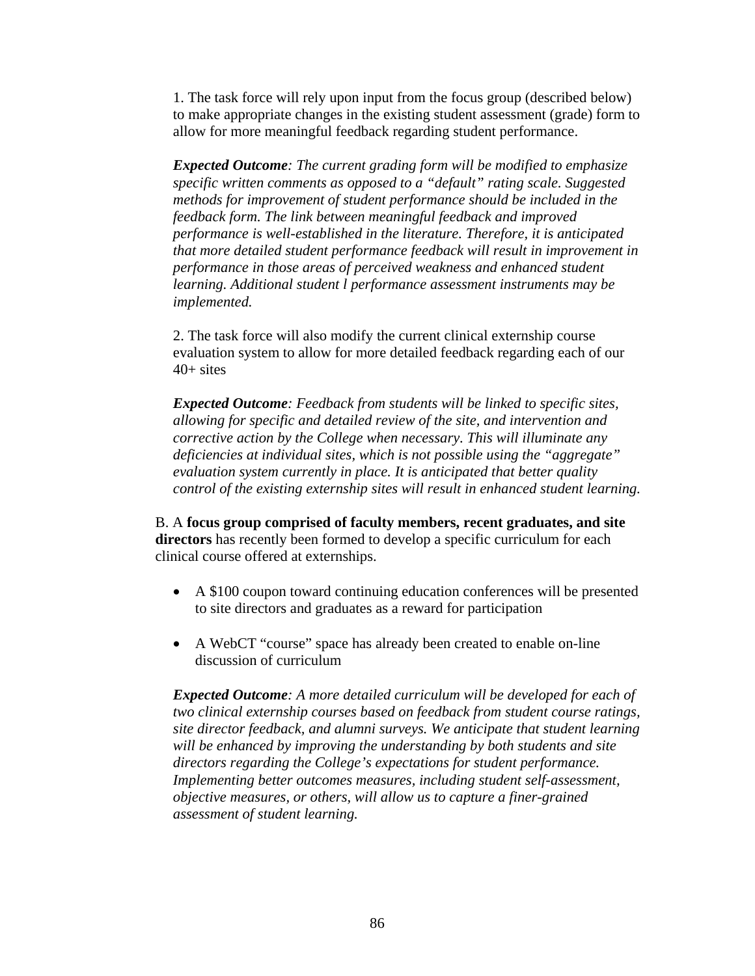1. The task force will rely upon input from the focus group (described below) to make appropriate changes in the existing student assessment (grade) form to allow for more meaningful feedback regarding student performance.

*Expected Outcome: The current grading form will be modified to emphasize specific written comments as opposed to a "default" rating scale. Suggested methods for improvement of student performance should be included in the feedback form. The link between meaningful feedback and improved performance is well-established in the literature. Therefore, it is anticipated that more detailed student performance feedback will result in improvement in performance in those areas of perceived weakness and enhanced student learning. Additional student l performance assessment instruments may be implemented.* 

2. The task force will also modify the current clinical externship course evaluation system to allow for more detailed feedback regarding each of our  $40+$  sites

*Expected Outcome: Feedback from students will be linked to specific sites, allowing for specific and detailed review of the site, and intervention and corrective action by the College when necessary. This will illuminate any deficiencies at individual sites, which is not possible using the "aggregate" evaluation system currently in place. It is anticipated that better quality control of the existing externship sites will result in enhanced student learning.* 

B. A **focus group comprised of faculty members, recent graduates, and site directors** has recently been formed to develop a specific curriculum for each clinical course offered at externships.

- A \$100 coupon toward continuing education conferences will be presented to site directors and graduates as a reward for participation
- A WebCT "course" space has already been created to enable on-line discussion of curriculum

*Expected Outcome: A more detailed curriculum will be developed for each of two clinical externship courses based on feedback from student course ratings, site director feedback, and alumni surveys. We anticipate that student learning will be enhanced by improving the understanding by both students and site directors regarding the College's expectations for student performance. Implementing better outcomes measures, including student self-assessment, objective measures, or others, will allow us to capture a finer-grained assessment of student learning.*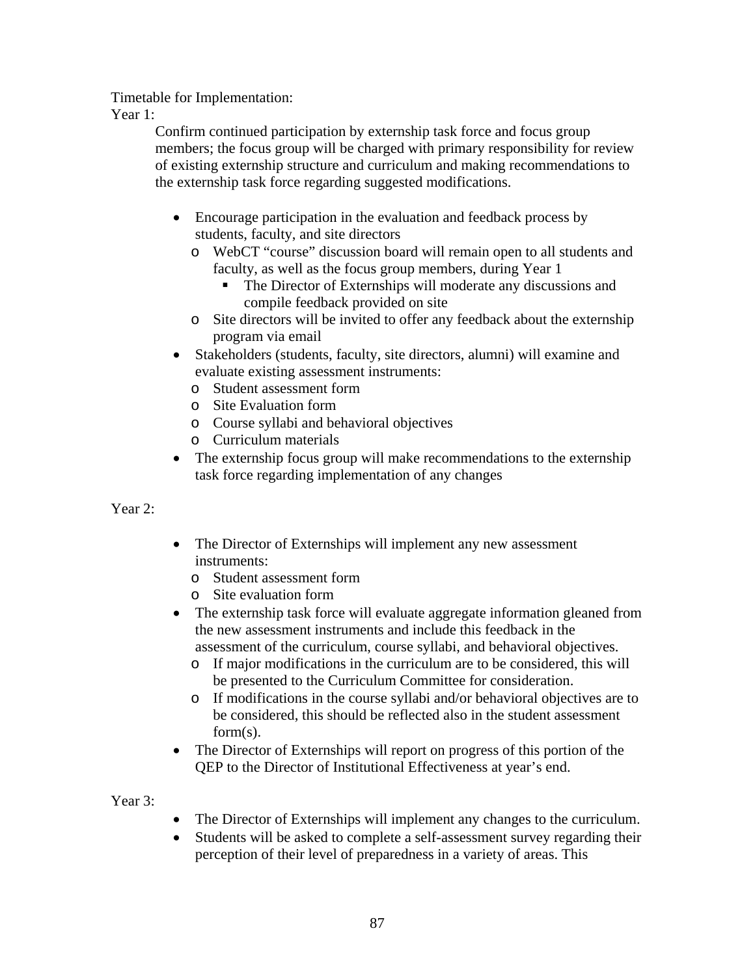Timetable for Implementation:

Year 1:

Confirm continued participation by externship task force and focus group members; the focus group will be charged with primary responsibility for review of existing externship structure and curriculum and making recommendations to the externship task force regarding suggested modifications.

- Encourage participation in the evaluation and feedback process by students, faculty, and site directors
	- o WebCT "course" discussion board will remain open to all students and faculty, as well as the focus group members, during Year 1
		- The Director of Externships will moderate any discussions and compile feedback provided on site
	- o Site directors will be invited to offer any feedback about the externship program via email
- Stakeholders (students, faculty, site directors, alumni) will examine and evaluate existing assessment instruments:
	- o Student assessment form
	- o Site Evaluation form
	- o Course syllabi and behavioral objectives
	- o Curriculum materials
- The externship focus group will make recommendations to the externship task force regarding implementation of any changes

Year 2:

- The Director of Externships will implement any new assessment instruments:
	- o Student assessment form
	- o Site evaluation form
- The externship task force will evaluate aggregate information gleaned from the new assessment instruments and include this feedback in the assessment of the curriculum, course syllabi, and behavioral objectives.
	- o If major modifications in the curriculum are to be considered, this will be presented to the Curriculum Committee for consideration.
	- o If modifications in the course syllabi and/or behavioral objectives are to be considered, this should be reflected also in the student assessment form(s).
- The Director of Externships will report on progress of this portion of the QEP to the Director of Institutional Effectiveness at year's end.

Year 3:

- The Director of Externships will implement any changes to the curriculum.
- Students will be asked to complete a self-assessment survey regarding their perception of their level of preparedness in a variety of areas. This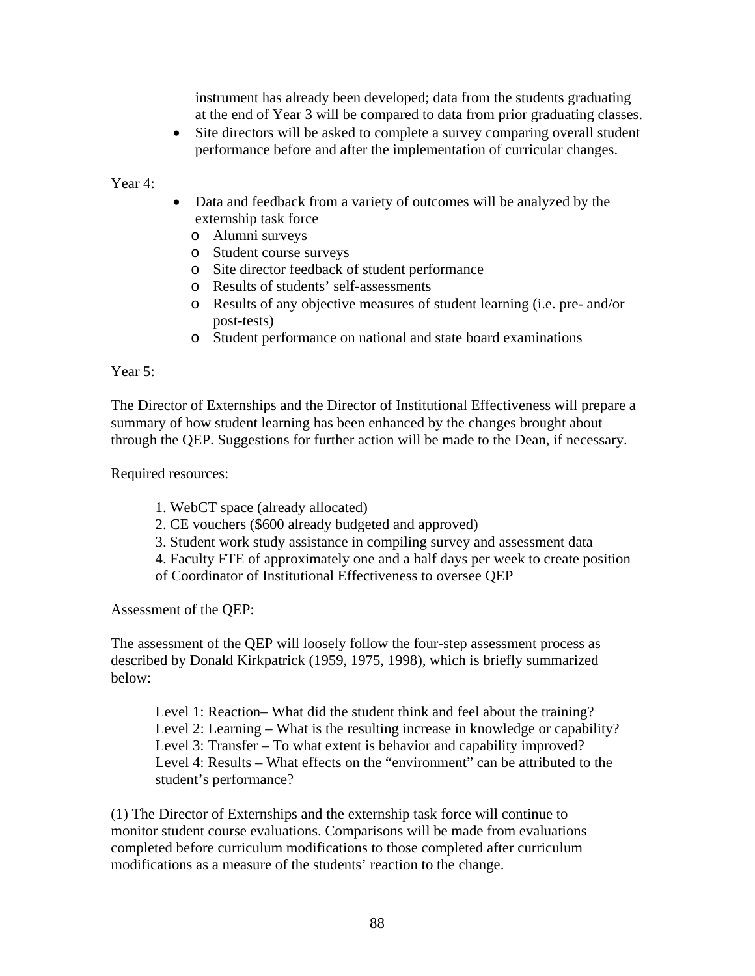instrument has already been developed; data from the students graduating at the end of Year 3 will be compared to data from prior graduating classes.

• Site directors will be asked to complete a survey comparing overall student performance before and after the implementation of curricular changes.

Year 4:

- Data and feedback from a variety of outcomes will be analyzed by the externship task force
	- o Alumni surveys
	- o Student course surveys
	- o Site director feedback of student performance
	- o Results of students' self-assessments
	- o Results of any objective measures of student learning (i.e. pre- and/or post-tests)
	- o Student performance on national and state board examinations

Year 5:

The Director of Externships and the Director of Institutional Effectiveness will prepare a summary of how student learning has been enhanced by the changes brought about through the QEP. Suggestions for further action will be made to the Dean, if necessary.

Required resources:

- 1. WebCT space (already allocated)
- 2. CE vouchers (\$600 already budgeted and approved)
- 3. Student work study assistance in compiling survey and assessment data
- 4. Faculty FTE of approximately one and a half days per week to create position
- of Coordinator of Institutional Effectiveness to oversee QEP

Assessment of the QEP:

The assessment of the QEP will loosely follow the four-step assessment process as described by Donald Kirkpatrick (1959, 1975, 1998), which is briefly summarized below:

Level 1: Reaction– What did the student think and feel about the training? Level 2: Learning – What is the resulting increase in knowledge or capability? Level 3: Transfer – To what extent is behavior and capability improved? Level 4: Results – What effects on the "environment" can be attributed to the student's performance?

(1) The Director of Externships and the externship task force will continue to monitor student course evaluations. Comparisons will be made from evaluations completed before curriculum modifications to those completed after curriculum modifications as a measure of the students' reaction to the change.